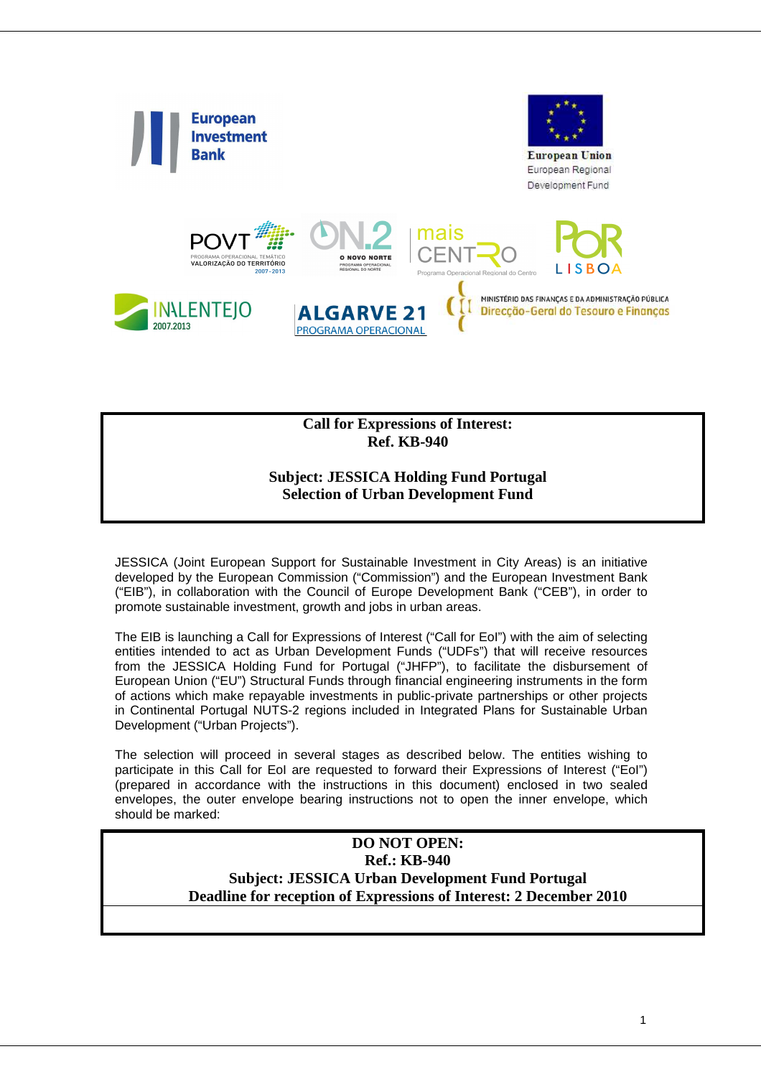

**Call for Expressions of Interest: Ref. KB-940** 

#### **Subject: JESSICA Holding Fund Portugal Selection of Urban Development Fund**

JESSICA (Joint European Support for Sustainable Investment in City Areas) is an initiative developed by the European Commission ("Commission") and the European Investment Bank ("EIB"), in collaboration with the Council of Europe Development Bank ("CEB"), in order to promote sustainable investment, growth and jobs in urban areas.

The EIB is launching a Call for Expressions of Interest ("Call for EoI") with the aim of selecting entities intended to act as Urban Development Funds ("UDFs") that will receive resources from the JESSICA Holding Fund for Portugal ("JHFP"), to facilitate the disbursement of European Union ("EU") Structural Funds through financial engineering instruments in the form of actions which make repayable investments in public-private partnerships or other projects in Continental Portugal NUTS-2 regions included in Integrated Plans for Sustainable Urban Development ("Urban Projects").

The selection will proceed in several stages as described below. The entities wishing to participate in this Call for EoI are requested to forward their Expressions of Interest ("EoI") (prepared in accordance with the instructions in this document) enclosed in two sealed envelopes, the outer envelope bearing instructions not to open the inner envelope, which should be marked:

#### **DO NOT OPEN: Ref.: KB-940 Subject: JESSICA Urban Development Fund Portugal Deadline for reception of Expressions of Interest: 2 December 2010**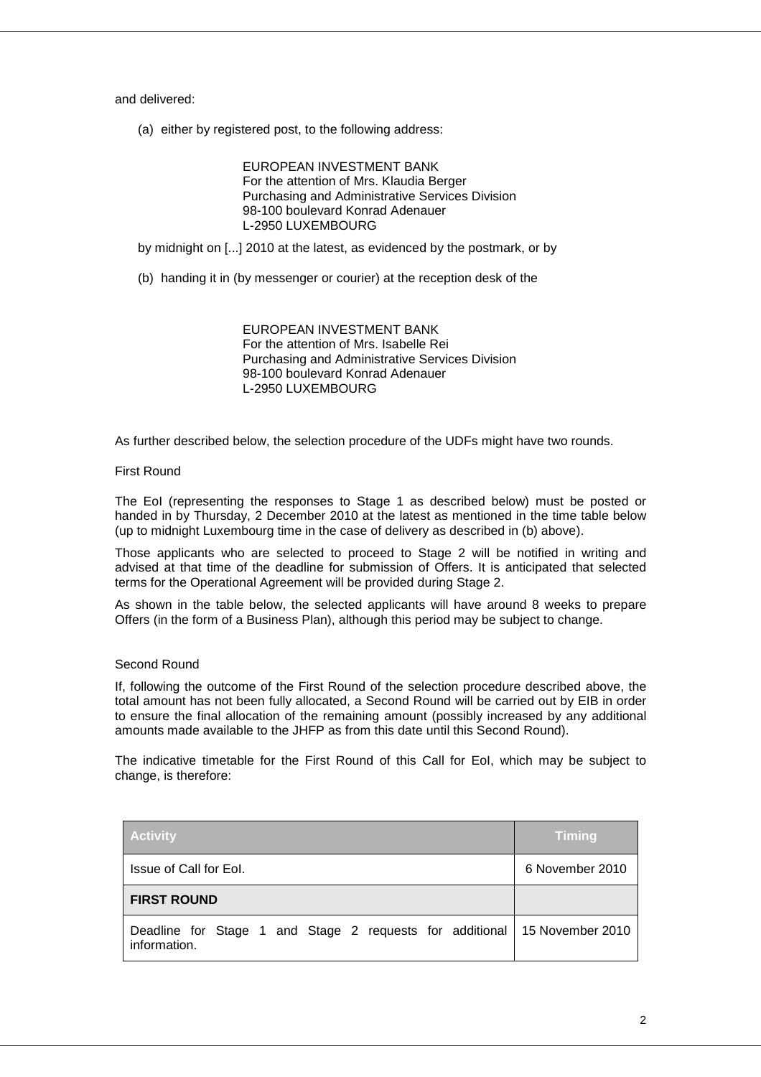and delivered:

(a) either by registered post, to the following address:

EUROPEAN INVESTMENT BANK For the attention of Mrs. Klaudia Berger Purchasing and Administrative Services Division 98-100 boulevard Konrad Adenauer L-2950 LUXEMBOURG

by midnight on [...] 2010 at the latest, as evidenced by the postmark, or by

(b) handing it in (by messenger or courier) at the reception desk of the

EUROPEAN INVESTMENT BANK For the attention of Mrs. Isabelle Rei Purchasing and Administrative Services Division 98-100 boulevard Konrad Adenauer L-2950 LUXEMBOURG

As further described below, the selection procedure of the UDFs might have two rounds.

#### First Round

The EoI (representing the responses to Stage 1 as described below) must be posted or handed in by Thursday, 2 December 2010 at the latest as mentioned in the time table below (up to midnight Luxembourg time in the case of delivery as described in (b) above).

Those applicants who are selected to proceed to Stage 2 will be notified in writing and advised at that time of the deadline for submission of Offers. It is anticipated that selected terms for the Operational Agreement will be provided during Stage 2.

As shown in the table below, the selected applicants will have around 8 weeks to prepare Offers (in the form of a Business Plan), although this period may be subject to change.

#### Second Round

If, following the outcome of the First Round of the selection procedure described above, the total amount has not been fully allocated, a Second Round will be carried out by EIB in order to ensure the final allocation of the remaining amount (possibly increased by any additional amounts made available to the JHFP as from this date until this Second Round).

The indicative timetable for the First Round of this Call for EoI, which may be subject to change, is therefore:

| <b>Activity</b>                                                                           | <b>Timing</b>   |
|-------------------------------------------------------------------------------------------|-----------------|
| Issue of Call for Eol.                                                                    | 6 November 2010 |
| <b>FIRST ROUND</b>                                                                        |                 |
| Deadline for Stage 1 and Stage 2 requests for additional 15 November 2010<br>information. |                 |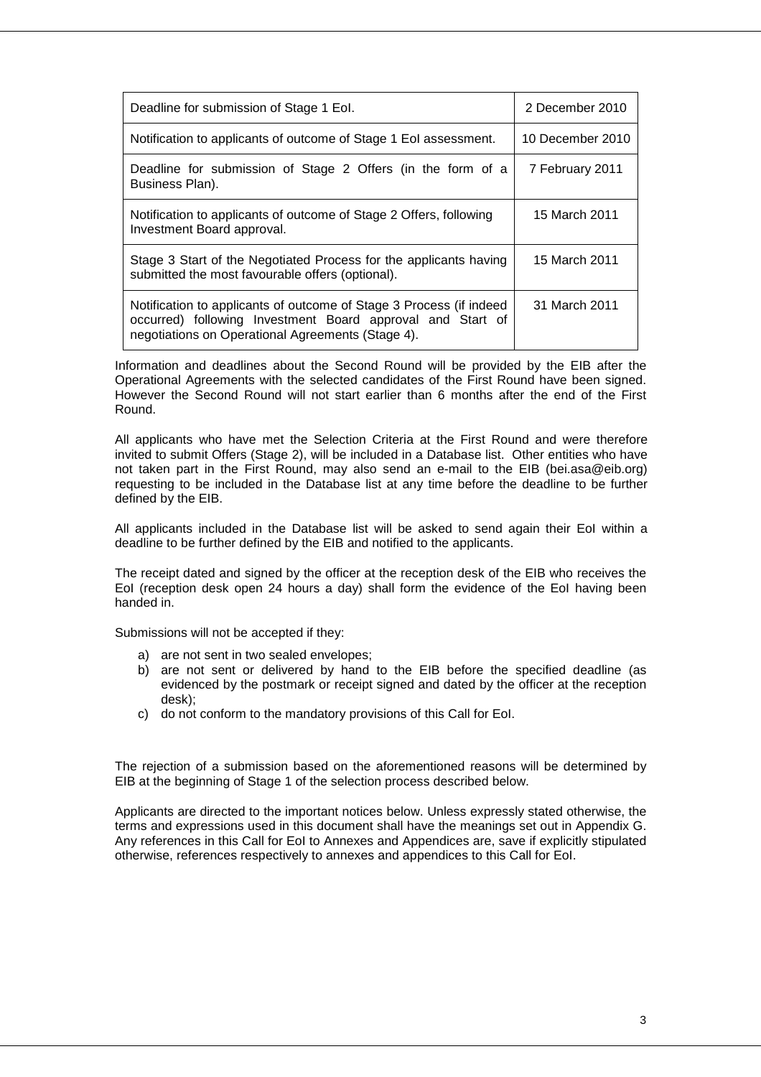| Deadline for submission of Stage 1 Eol.                                                                                                                                                | 2 December 2010  |
|----------------------------------------------------------------------------------------------------------------------------------------------------------------------------------------|------------------|
| Notification to applicants of outcome of Stage 1 Eol assessment.                                                                                                                       | 10 December 2010 |
| Deadline for submission of Stage 2 Offers (in the form of a<br>Business Plan).                                                                                                         | 7 February 2011  |
| Notification to applicants of outcome of Stage 2 Offers, following<br>Investment Board approval.                                                                                       | 15 March 2011    |
| Stage 3 Start of the Negotiated Process for the applicants having<br>submitted the most favourable offers (optional).                                                                  | 15 March 2011    |
| Notification to applicants of outcome of Stage 3 Process (if indeed<br>occurred) following Investment Board approval and Start of<br>negotiations on Operational Agreements (Stage 4). | 31 March 2011    |

Information and deadlines about the Second Round will be provided by the EIB after the Operational Agreements with the selected candidates of the First Round have been signed. However the Second Round will not start earlier than 6 months after the end of the First Round.

All applicants who have met the Selection Criteria at the First Round and were therefore invited to submit Offers (Stage 2), will be included in a Database list. Other entities who have not taken part in the First Round, may also send an e-mail to the EIB (bei.asa@eib.org) requesting to be included in the Database list at any time before the deadline to be further defined by the EIB.

All applicants included in the Database list will be asked to send again their EoI within a deadline to be further defined by the EIB and notified to the applicants.

The receipt dated and signed by the officer at the reception desk of the EIB who receives the EoI (reception desk open 24 hours a day) shall form the evidence of the EoI having been handed in.

Submissions will not be accepted if they:

- a) are not sent in two sealed envelopes;
- b) are not sent or delivered by hand to the EIB before the specified deadline (as evidenced by the postmark or receipt signed and dated by the officer at the reception desk);
- c) do not conform to the mandatory provisions of this Call for EoI.

The rejection of a submission based on the aforementioned reasons will be determined by EIB at the beginning of Stage 1 of the selection process described below.

Applicants are directed to the important notices below. Unless expressly stated otherwise, the terms and expressions used in this document shall have the meanings set out in Appendix G. Any references in this Call for EoI to Annexes and Appendices are, save if explicitly stipulated otherwise, references respectively to annexes and appendices to this Call for EoI.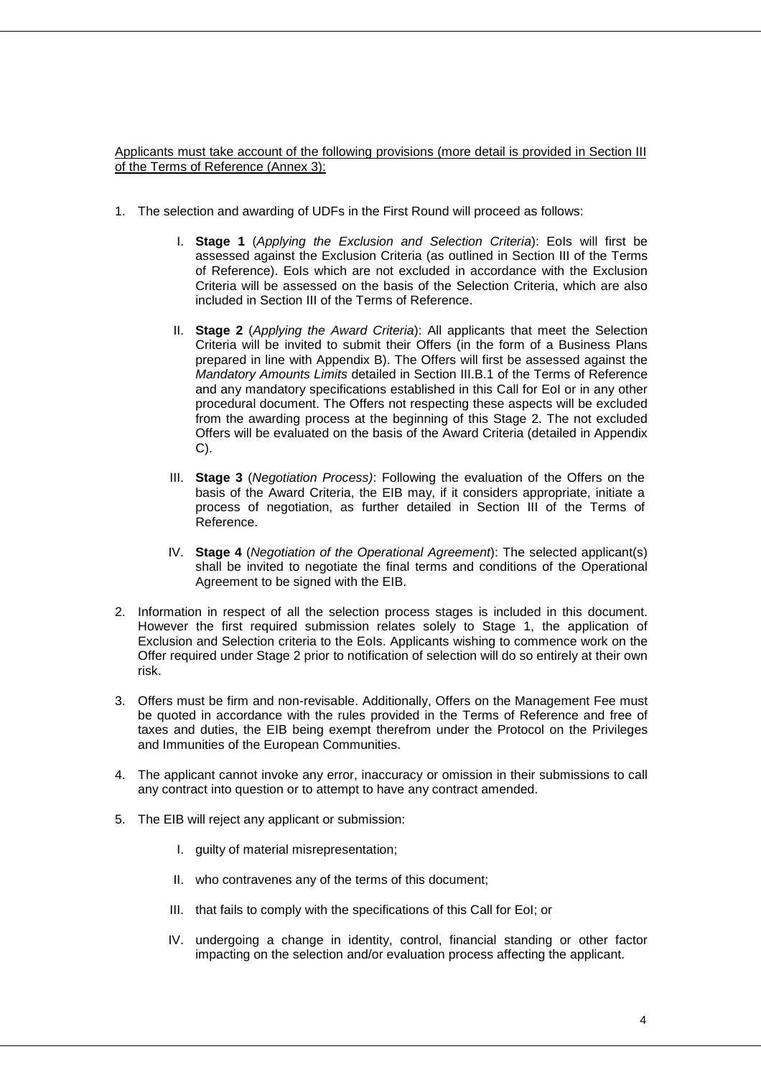Applicants must take account of the following provisions (more detail is provided in Section III of the Terms of Reference (Annex 3):

- 1. The selection and awarding of UDFs in the First Round will proceed as follows:
	- I. Stage 1 (Applying the Exclusion and Selection Criteria): Eols will first be assessed against the Exclusion Criteria (as outlined in Section III of the Terms of Reference). EoIs which are not excluded in accordance with the Exclusion Criteria will be assessed on the basis of the Selection Criteria, which are also included in Section III of the Terms of Reference.
	- II. **Stage 2** (Applying the Award Criteria): All applicants that meet the Selection Criteria will be invited to submit their Offers (in the form of a Business Plans prepared in line with Appendix B). The Offers will first be assessed against the Mandatory Amounts Limits detailed in Section III.B.1 of the Terms of Reference and any mandatory specifications established in this Call for EoI or in any other procedural document. The Offers not respecting these aspects will be excluded from the awarding process at the beginning of this Stage 2. The not excluded Offers will be evaluated on the basis of the Award Criteria (detailed in Appendix C).
	- III. **Stage 3** (Negotiation Process): Following the evaluation of the Offers on the basis of the Award Criteria, the EIB may, if it considers appropriate, initiate a process of negotiation, as further detailed in Section III of the Terms of Reference.
	- IV. **Stage 4** (Negotiation of the Operational Agreement): The selected applicant(s) shall be invited to negotiate the final terms and conditions of the Operational Agreement to be signed with the EIB.
- 2. Information in respect of all the selection process stages is included in this document. However the first required submission relates solely to Stage 1, the application of Exclusion and Selection criteria to the EoIs. Applicants wishing to commence work on the Offer required under Stage 2 prior to notification of selection will do so entirely at their own risk.
- 3. Offers must be firm and non-revisable. Additionally, Offers on the Management Fee must be quoted in accordance with the rules provided in the Terms of Reference and free of taxes and duties, the EIB being exempt therefrom under the Protocol on the Privileges and Immunities of the European Communities.
- 4. The applicant cannot invoke any error, inaccuracy or omission in their submissions to call any contract into question or to attempt to have any contract amended.
- 5. The EIB will reject any applicant or submission:
	- I. guilty of material misrepresentation;
	- II. who contravenes any of the terms of this document;
	- III. that fails to comply with the specifications of this Call for EoI; or
	- IV. undergoing a change in identity, control, financial standing or other factor impacting on the selection and/or evaluation process affecting the applicant.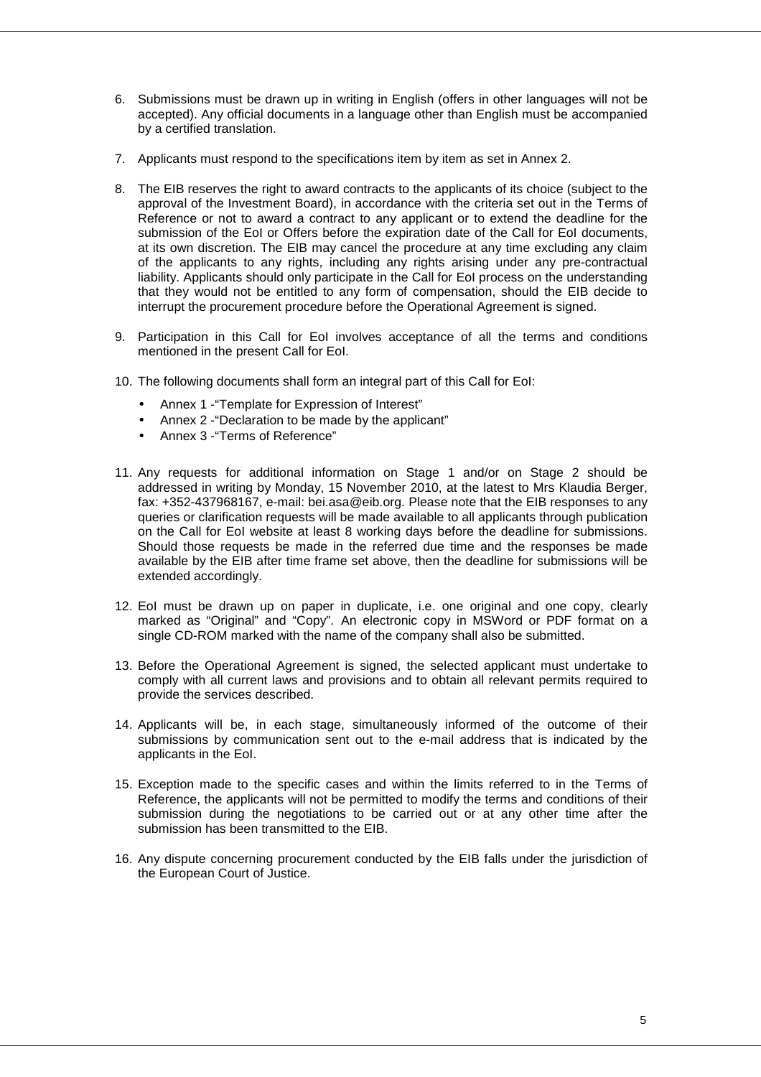- 6. Submissions must be drawn up in writing in English (offers in other languages will not be accepted). Any official documents in a language other than English must be accompanied by a certified translation.
- 7. Applicants must respond to the specifications item by item as set in Annex 2.
- 8. The EIB reserves the right to award contracts to the applicants of its choice (subject to the approval of the Investment Board), in accordance with the criteria set out in the Terms of Reference or not to award a contract to any applicant or to extend the deadline for the submission of the EoI or Offers before the expiration date of the Call for EoI documents, at its own discretion. The EIB may cancel the procedure at any time excluding any claim of the applicants to any rights, including any rights arising under any pre-contractual liability. Applicants should only participate in the Call for EoI process on the understanding that they would not be entitled to any form of compensation, should the EIB decide to interrupt the procurement procedure before the Operational Agreement is signed.
- 9. Participation in this Call for EoI involves acceptance of all the terms and conditions mentioned in the present Call for EoI.
- 10. The following documents shall form an integral part of this Call for EoI:
	- Annex 1 -"Template for Expression of Interest"
	- Annex 2 -"Declaration to be made by the applicant"
	- Annex 3 -"Terms of Reference"
- 11. Any requests for additional information on Stage 1 and/or on Stage 2 should be addressed in writing by Monday, 15 November 2010, at the latest to Mrs Klaudia Berger, fax: +352-437968167, e-mail: bei.asa@eib.org. Please note that the EIB responses to any queries or clarification requests will be made available to all applicants through publication on the Call for EoI website at least 8 working days before the deadline for submissions. Should those requests be made in the referred due time and the responses be made available by the EIB after time frame set above, then the deadline for submissions will be extended accordingly.
- 12. EoI must be drawn up on paper in duplicate, i.e. one original and one copy, clearly marked as "Original" and "Copy". An electronic copy in MSWord or PDF format on a single CD-ROM marked with the name of the company shall also be submitted.
- 13. Before the Operational Agreement is signed, the selected applicant must undertake to comply with all current laws and provisions and to obtain all relevant permits required to provide the services described.
- 14. Applicants will be, in each stage, simultaneously informed of the outcome of their submissions by communication sent out to the e-mail address that is indicated by the applicants in the EoI.
- 15. Exception made to the specific cases and within the limits referred to in the Terms of Reference, the applicants will not be permitted to modify the terms and conditions of their submission during the negotiations to be carried out or at any other time after the submission has been transmitted to the EIB.
- 16. Any dispute concerning procurement conducted by the EIB falls under the jurisdiction of the European Court of Justice.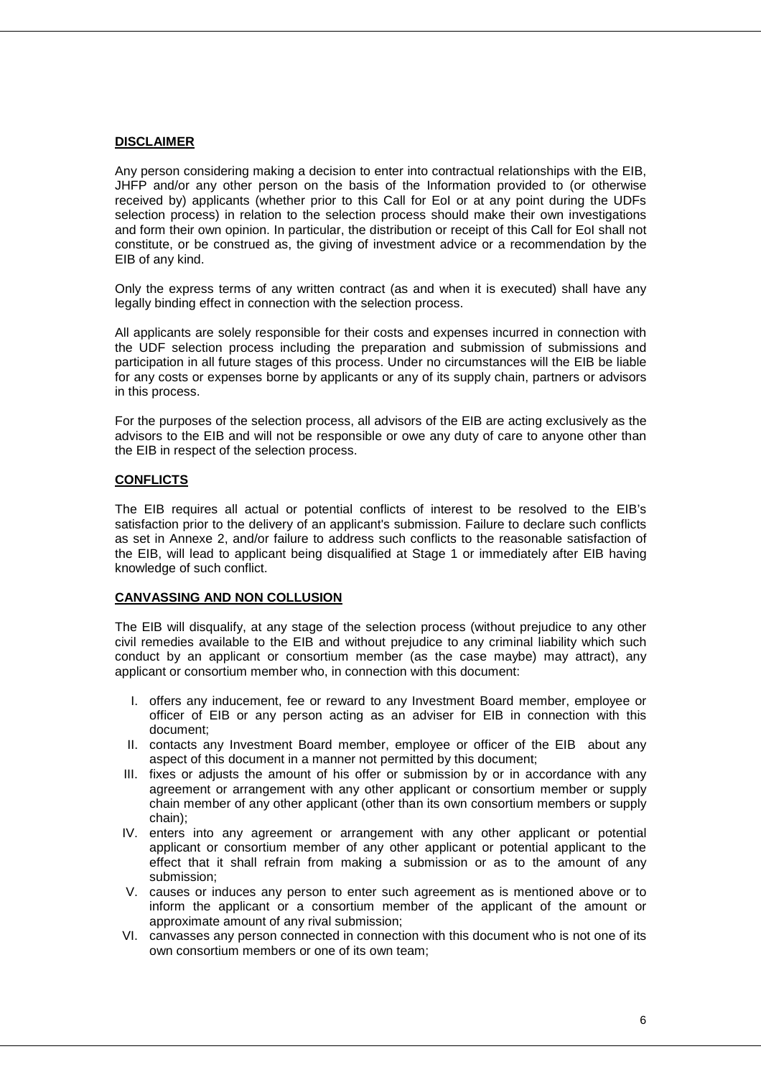#### **DISCLAIMER**

Any person considering making a decision to enter into contractual relationships with the EIB, JHFP and/or any other person on the basis of the Information provided to (or otherwise received by) applicants (whether prior to this Call for EoI or at any point during the UDFs selection process) in relation to the selection process should make their own investigations and form their own opinion. In particular, the distribution or receipt of this Call for EoI shall not constitute, or be construed as, the giving of investment advice or a recommendation by the EIB of any kind.

Only the express terms of any written contract (as and when it is executed) shall have any legally binding effect in connection with the selection process.

All applicants are solely responsible for their costs and expenses incurred in connection with the UDF selection process including the preparation and submission of submissions and participation in all future stages of this process. Under no circumstances will the EIB be liable for any costs or expenses borne by applicants or any of its supply chain, partners or advisors in this process.

For the purposes of the selection process, all advisors of the EIB are acting exclusively as the advisors to the EIB and will not be responsible or owe any duty of care to anyone other than the EIB in respect of the selection process.

#### **CONFLICTS**

The EIB requires all actual or potential conflicts of interest to be resolved to the EIB's satisfaction prior to the delivery of an applicant's submission. Failure to declare such conflicts as set in Annexe 2, and/or failure to address such conflicts to the reasonable satisfaction of the EIB, will lead to applicant being disqualified at Stage 1 or immediately after EIB having knowledge of such conflict.

#### **CANVASSING AND NON COLLUSION**

The EIB will disqualify, at any stage of the selection process (without prejudice to any other civil remedies available to the EIB and without prejudice to any criminal liability which such conduct by an applicant or consortium member (as the case maybe) may attract), any applicant or consortium member who, in connection with this document:

- I. offers any inducement, fee or reward to any Investment Board member, employee or officer of EIB or any person acting as an adviser for EIB in connection with this document;
- II. contacts any Investment Board member, employee or officer of the EIB about any aspect of this document in a manner not permitted by this document;
- III. fixes or adjusts the amount of his offer or submission by or in accordance with any agreement or arrangement with any other applicant or consortium member or supply chain member of any other applicant (other than its own consortium members or supply chain);
- IV. enters into any agreement or arrangement with any other applicant or potential applicant or consortium member of any other applicant or potential applicant to the effect that it shall refrain from making a submission or as to the amount of any submission;
- V. causes or induces any person to enter such agreement as is mentioned above or to inform the applicant or a consortium member of the applicant of the amount or approximate amount of any rival submission;
- VI. canvasses any person connected in connection with this document who is not one of its own consortium members or one of its own team;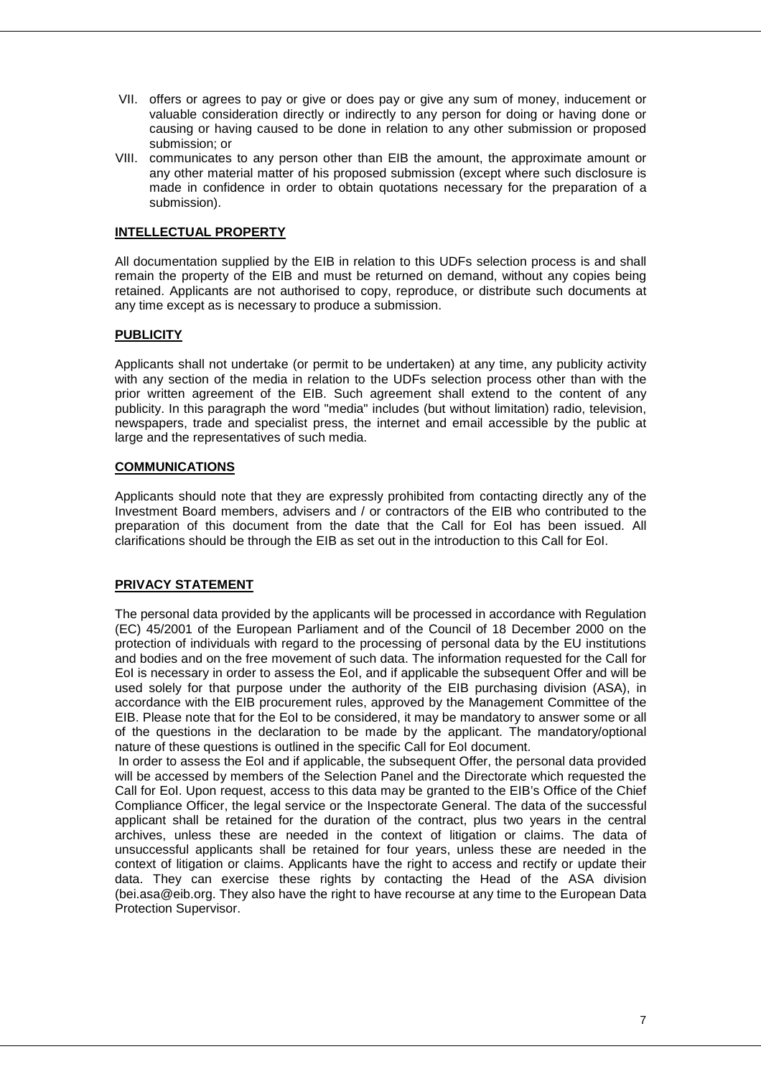- VII. offers or agrees to pay or give or does pay or give any sum of money, inducement or valuable consideration directly or indirectly to any person for doing or having done or causing or having caused to be done in relation to any other submission or proposed submission; or
- VIII. communicates to any person other than EIB the amount, the approximate amount or any other material matter of his proposed submission (except where such disclosure is made in confidence in order to obtain quotations necessary for the preparation of a submission).

#### **INTELLECTUAL PROPERTY**

All documentation supplied by the EIB in relation to this UDFs selection process is and shall remain the property of the EIB and must be returned on demand, without any copies being retained. Applicants are not authorised to copy, reproduce, or distribute such documents at any time except as is necessary to produce a submission.

#### **PUBLICITY**

Applicants shall not undertake (or permit to be undertaken) at any time, any publicity activity with any section of the media in relation to the UDFs selection process other than with the prior written agreement of the EIB. Such agreement shall extend to the content of any publicity. In this paragraph the word "media" includes (but without limitation) radio, television, newspapers, trade and specialist press, the internet and email accessible by the public at large and the representatives of such media.

#### **COMMUNICATIONS**

Applicants should note that they are expressly prohibited from contacting directly any of the Investment Board members, advisers and / or contractors of the EIB who contributed to the preparation of this document from the date that the Call for EoI has been issued. All clarifications should be through the EIB as set out in the introduction to this Call for EoI.

#### **PRIVACY STATEMENT**

The personal data provided by the applicants will be processed in accordance with Regulation (EC) 45/2001 of the European Parliament and of the Council of 18 December 2000 on the protection of individuals with regard to the processing of personal data by the EU institutions and bodies and on the free movement of such data. The information requested for the Call for EoI is necessary in order to assess the EoI, and if applicable the subsequent Offer and will be used solely for that purpose under the authority of the EIB purchasing division (ASA), in accordance with the EIB procurement rules, approved by the Management Committee of the EIB. Please note that for the EoI to be considered, it may be mandatory to answer some or all of the questions in the declaration to be made by the applicant. The mandatory/optional nature of these questions is outlined in the specific Call for EoI document.

 In order to assess the EoI and if applicable, the subsequent Offer, the personal data provided will be accessed by members of the Selection Panel and the Directorate which requested the Call for EoI. Upon request, access to this data may be granted to the EIB's Office of the Chief Compliance Officer, the legal service or the Inspectorate General. The data of the successful applicant shall be retained for the duration of the contract, plus two years in the central archives, unless these are needed in the context of litigation or claims. The data of unsuccessful applicants shall be retained for four years, unless these are needed in the context of litigation or claims. Applicants have the right to access and rectify or update their data. They can exercise these rights by contacting the Head of the ASA division (bei.asa@eib.org. They also have the right to have recourse at any time to the European Data Protection Supervisor.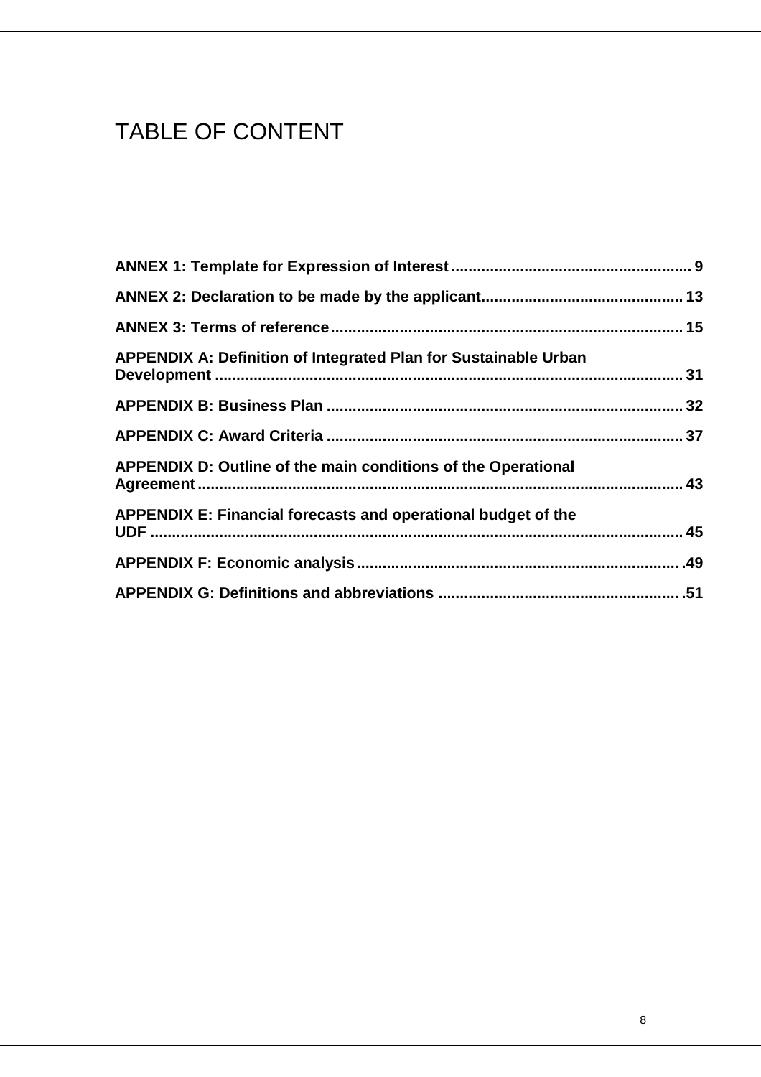# TABLE OF CONTENT

| <b>APPENDIX A: Definition of Integrated Plan for Sustainable Urban</b> |  |
|------------------------------------------------------------------------|--|
|                                                                        |  |
|                                                                        |  |
| APPENDIX D: Outline of the main conditions of the Operational          |  |
| APPENDIX E: Financial forecasts and operational budget of the          |  |
|                                                                        |  |
|                                                                        |  |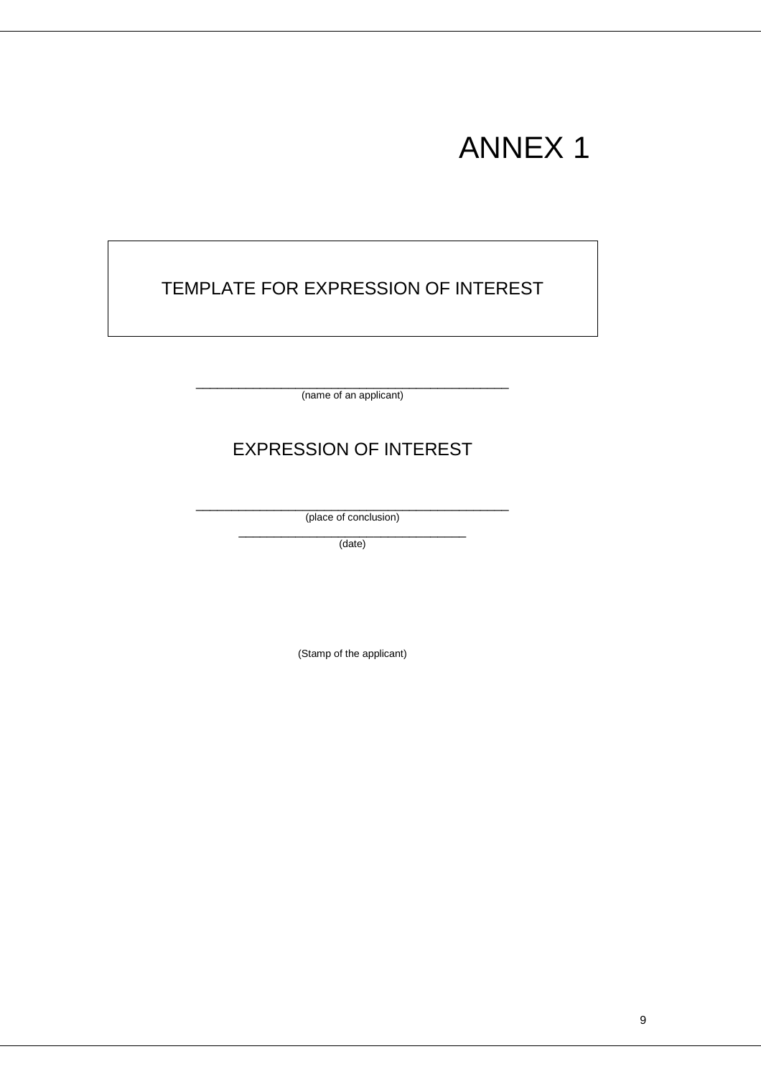# ANNEX 1

# TEMPLATE FOR EXPRESSION OF INTEREST

\_\_\_\_\_\_\_\_\_\_\_\_\_\_\_\_\_\_\_\_\_\_\_\_\_\_\_\_\_\_\_\_\_\_\_\_\_\_\_\_\_\_\_\_ (name of an applicant)

# EXPRESSION OF INTEREST

\_\_\_\_\_\_\_\_\_\_\_\_\_\_\_\_\_\_\_\_\_\_\_\_\_\_\_\_\_\_\_\_\_\_\_\_\_\_\_\_\_\_\_\_ (place of conclusion)

> \_\_\_\_\_\_\_\_\_\_\_\_\_\_\_\_\_\_\_\_\_\_\_\_\_\_\_\_\_\_\_\_ (date)

> > (Stamp of the applicant)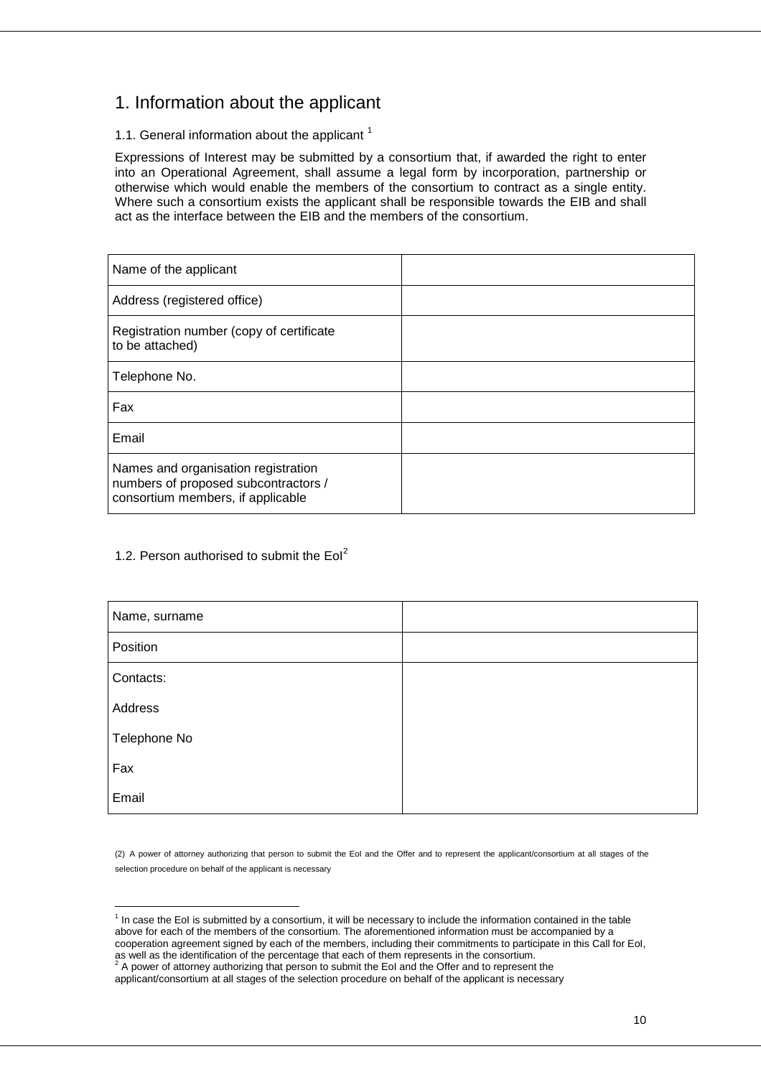## 1. Information about the applicant

#### 1.1. General information about the applicant  $1$

Expressions of Interest may be submitted by a consortium that, if awarded the right to enter into an Operational Agreement, shall assume a legal form by incorporation, partnership or otherwise which would enable the members of the consortium to contract as a single entity. Where such a consortium exists the applicant shall be responsible towards the EIB and shall act as the interface between the EIB and the members of the consortium.

| Name of the applicant                                                                                            |  |
|------------------------------------------------------------------------------------------------------------------|--|
| Address (registered office)                                                                                      |  |
| Registration number (copy of certificate<br>to be attached)                                                      |  |
| Telephone No.                                                                                                    |  |
| Fax                                                                                                              |  |
| Email                                                                                                            |  |
| Names and organisation registration<br>numbers of proposed subcontractors /<br>consortium members, if applicable |  |

#### 1.2. Person authorised to submit the  $Eol<sup>2</sup>$

| Name, surname |  |
|---------------|--|
| Position      |  |
| Contacts:     |  |
| Address       |  |
| Telephone No  |  |
| Fax           |  |
| Email         |  |

(2) A power of attorney authorizing that person to submit the EoI and the Offer and to represent the applicant/consortium at all stages of the selection procedure on behalf of the applicant is necessary

<sup>1&</sup>lt;br><sup>1</sup> In case the EoI is submitted by a consortium, it will be necessary to include the information contained in the table above for each of the members of the consortium. The aforementioned information must be accompanied by a cooperation agreement signed by each of the members, including their commitments to participate in this Call for EoI, as well as the identification of the percentage that each of them represents in the consortium.<br><sup>2</sup> A power of attorney authorizing that person to submit the EoI and the Offer and to represent the

applicant/consortium at all stages of the selection procedure on behalf of the applicant is necessary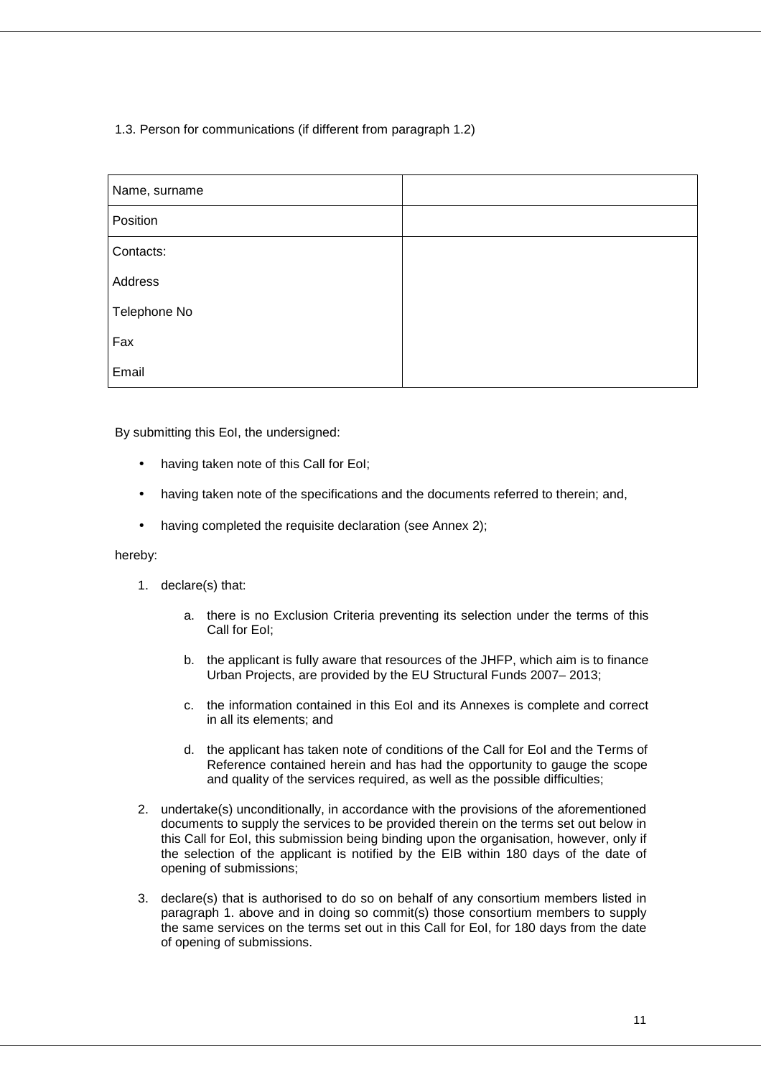#### 1.3. Person for communications (if different from paragraph 1.2)

| Name, surname |  |
|---------------|--|
| Position      |  |
| Contacts:     |  |
| Address       |  |
| Telephone No  |  |
| Fax           |  |
| Email         |  |

By submitting this EoI, the undersigned:

- having taken note of this Call for EoI;
- having taken note of the specifications and the documents referred to therein; and,
- having completed the requisite declaration (see Annex 2);

#### hereby:

- 1. declare(s) that:
	- a. there is no Exclusion Criteria preventing its selection under the terms of this Call for EoI;
	- b. the applicant is fully aware that resources of the JHFP, which aim is to finance Urban Projects, are provided by the EU Structural Funds 2007– 2013;
	- c. the information contained in this EoI and its Annexes is complete and correct in all its elements; and
	- d. the applicant has taken note of conditions of the Call for EoI and the Terms of Reference contained herein and has had the opportunity to gauge the scope and quality of the services required, as well as the possible difficulties;
- 2. undertake(s) unconditionally, in accordance with the provisions of the aforementioned documents to supply the services to be provided therein on the terms set out below in this Call for EoI, this submission being binding upon the organisation, however, only if the selection of the applicant is notified by the EIB within 180 days of the date of opening of submissions;
- 3. declare(s) that is authorised to do so on behalf of any consortium members listed in paragraph 1. above and in doing so commit(s) those consortium members to supply the same services on the terms set out in this Call for EoI, for 180 days from the date of opening of submissions.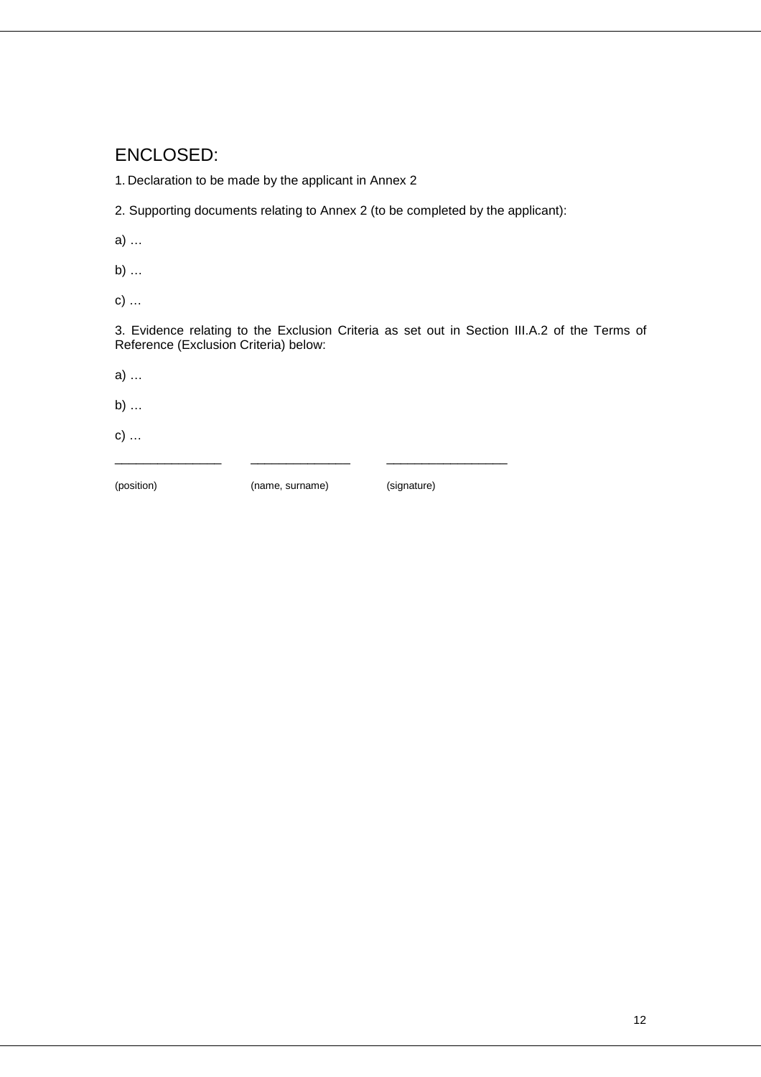## ENCLOSED:

1. Declaration to be made by the applicant in Annex 2

2. Supporting documents relating to Annex 2 (to be completed by the applicant):

a) …

b) …

c) …

3. Evidence relating to the Exclusion Criteria as set out in Section III.A.2 of the Terms of Reference (Exclusion Criteria) below:

a) …

b) …

c) …

(position)

(name, surname) (signature)

\_\_\_\_\_\_\_\_\_\_\_\_\_\_\_ \_\_\_\_\_\_\_\_\_\_\_\_\_\_ \_\_\_\_\_\_\_\_\_\_\_\_\_\_\_\_\_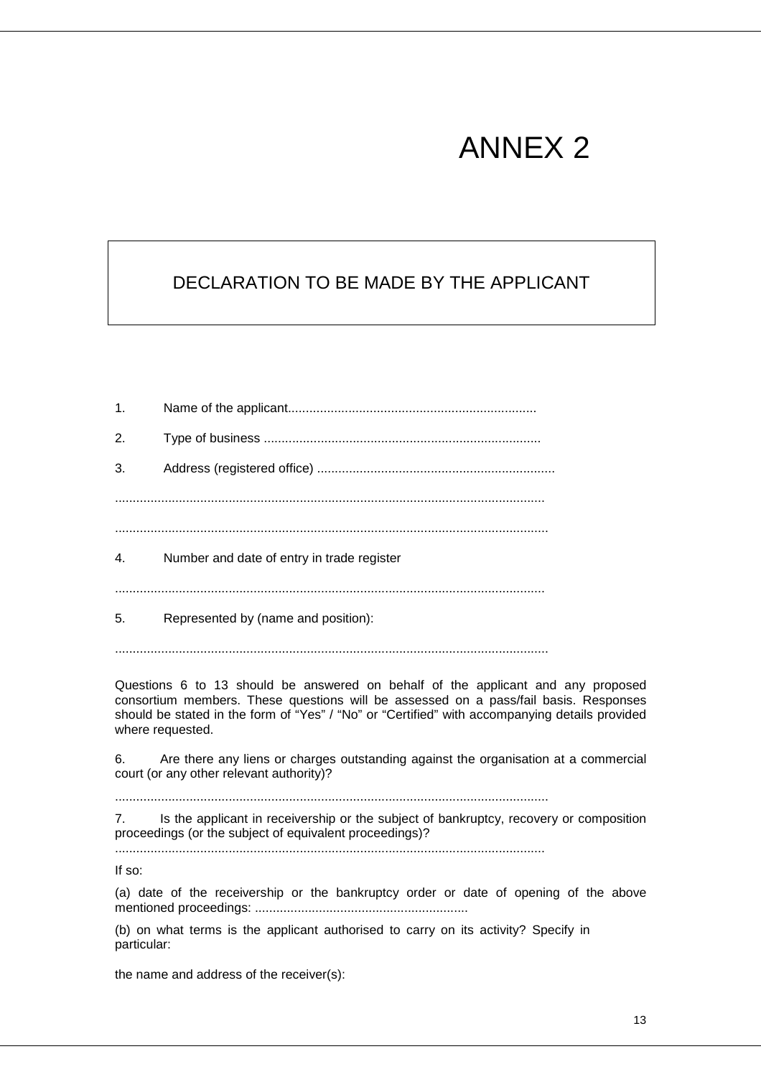# ANNEX 2

# DECLARATION TO BE MADE BY THE APPLICANT

1. Name of the applicant...................................................................... 2. Type of business .............................................................................. 3. Address (registered office) ................................................................... ......................................................................................................................... .......................................................................................................................... 4. Number and date of entry in trade register ......................................................................................................................... 5. Represented by (name and position):

..........................................................................................................................

Questions 6 to 13 should be answered on behalf of the applicant and any proposed consortium members. These questions will be assessed on a pass/fail basis. Responses should be stated in the form of "Yes" / "No" or "Certified" with accompanying details provided where requested.

6. Are there any liens or charges outstanding against the organisation at a commercial court (or any other relevant authority)?

..........................................................................................................................

7. Is the applicant in receivership or the subject of bankruptcy, recovery or composition proceedings (or the subject of equivalent proceedings)?

.........................................................................................................................

If so:

(a) date of the receivership or the bankruptcy order or date of opening of the above mentioned proceedings: ............................................................

(b) on what terms is the applicant authorised to carry on its activity? Specify in particular:

the name and address of the receiver(s):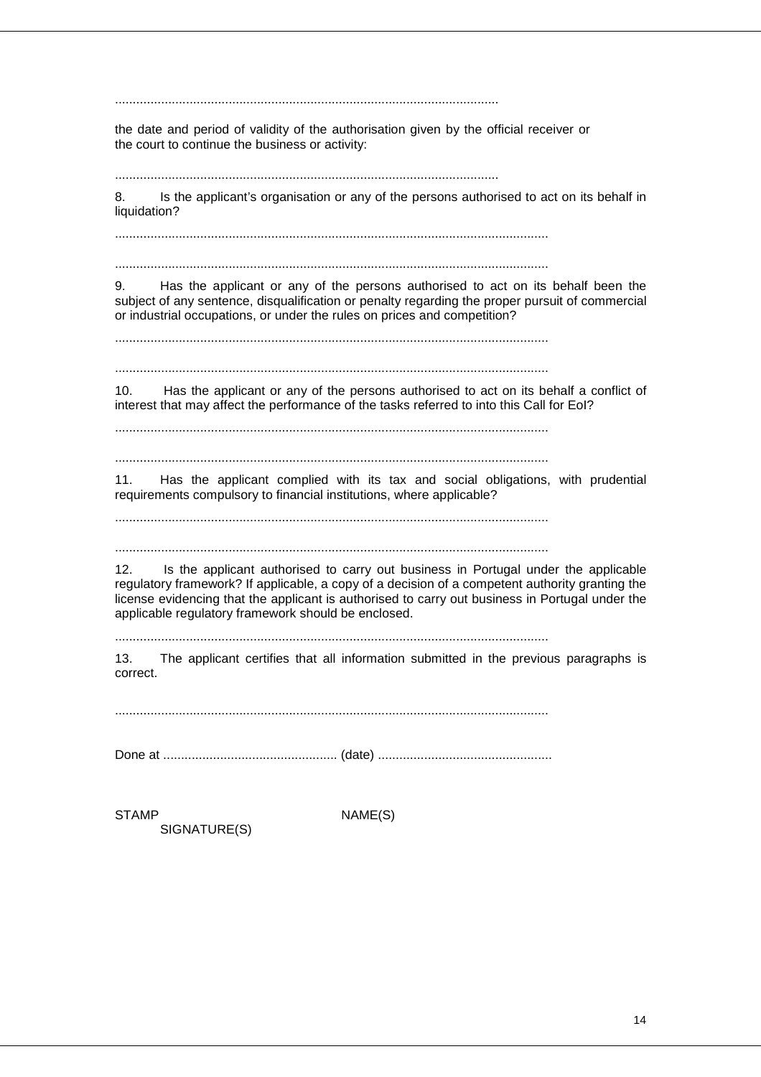............................................................................................................

the date and period of validity of the authorisation given by the official receiver or the court to continue the business or activity:

............................................................................................................

8. Is the applicant's organisation or any of the persons authorised to act on its behalf in liquidation?

..........................................................................................................................

..........................................................................................................................

9. Has the applicant or any of the persons authorised to act on its behalf been the subject of any sentence, disqualification or penalty regarding the proper pursuit of commercial or industrial occupations, or under the rules on prices and competition?

..........................................................................................................................

..........................................................................................................................

10. Has the applicant or any of the persons authorised to act on its behalf a conflict of interest that may affect the performance of the tasks referred to into this Call for EoI?

..........................................................................................................................

..........................................................................................................................

11. Has the applicant complied with its tax and social obligations, with prudential requirements compulsory to financial institutions, where applicable?

..........................................................................................................................

..........................................................................................................................

12. Is the applicant authorised to carry out business in Portugal under the applicable regulatory framework? If applicable, a copy of a decision of a competent authority granting the license evidencing that the applicant is authorised to carry out business in Portugal under the applicable regulatory framework should be enclosed.

..........................................................................................................................

13. The applicant certifies that all information submitted in the previous paragraphs is correct.

..........................................................................................................................

Done at ................................................. (date) .................................................

SIGNATURE(S)

STAMP NAME(S)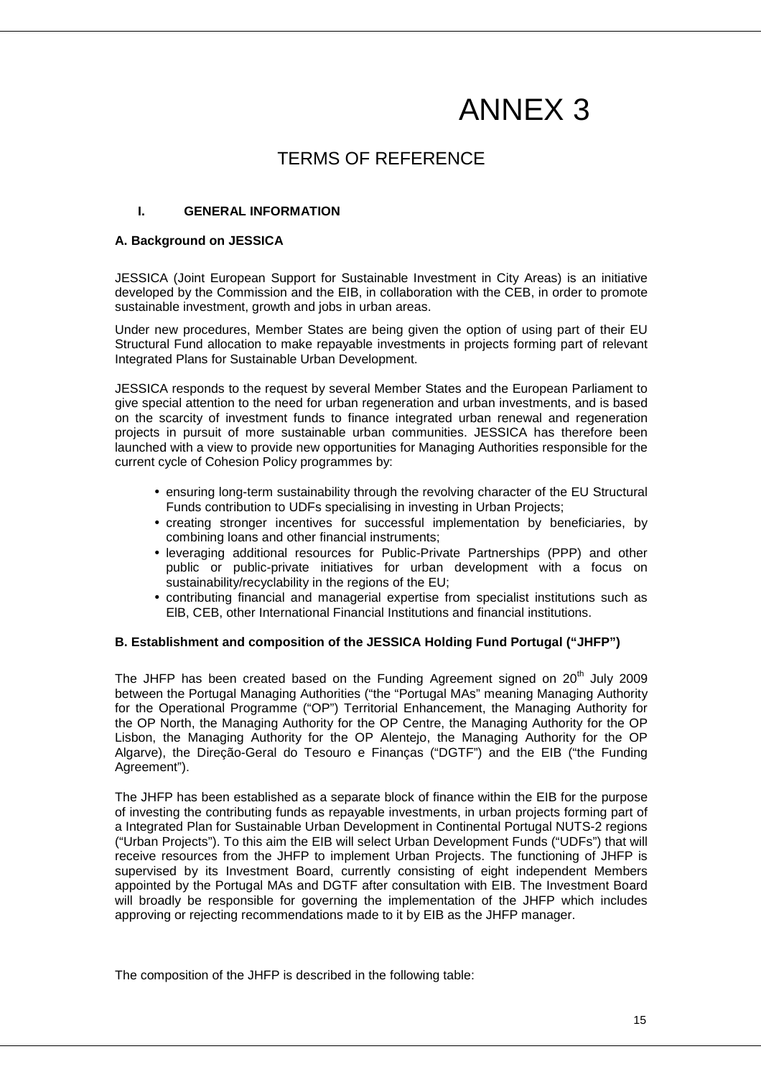# ANNEX 3

## TERMS OF REFERENCE

#### **I. GENERAL INFORMATION**

#### **A. Background on JESSICA**

JESSICA (Joint European Support for Sustainable Investment in City Areas) is an initiative developed by the Commission and the EIB, in collaboration with the CEB, in order to promote sustainable investment, growth and jobs in urban areas.

Under new procedures, Member States are being given the option of using part of their EU Structural Fund allocation to make repayable investments in projects forming part of relevant Integrated Plans for Sustainable Urban Development.

JESSICA responds to the request by several Member States and the European Parliament to give special attention to the need for urban regeneration and urban investments, and is based on the scarcity of investment funds to finance integrated urban renewal and regeneration projects in pursuit of more sustainable urban communities. JESSICA has therefore been launched with a view to provide new opportunities for Managing Authorities responsible for the current cycle of Cohesion Policy programmes by:

- ensuring long-term sustainability through the revolving character of the EU Structural Funds contribution to UDFs specialising in investing in Urban Projects;
- creating stronger incentives for successful implementation by beneficiaries, by combining loans and other financial instruments;
- leveraging additional resources for Public-Private Partnerships (PPP) and other public or public-private initiatives for urban development with a focus on sustainability/recyclability in the regions of the EU;
- contributing financial and managerial expertise from specialist institutions such as ElB, CEB, other International Financial Institutions and financial institutions.

#### **B. Establishment and composition of the JESSICA Holding Fund Portugal ("JHFP")**

The JHFP has been created based on the Funding Agreement signed on  $20<sup>th</sup>$  July 2009 between the Portugal Managing Authorities ("the "Portugal MAs" meaning Managing Authority for the Operational Programme ("OP") Territorial Enhancement, the Managing Authority for the OP North, the Managing Authority for the OP Centre, the Managing Authority for the OP Lisbon, the Managing Authority for the OP Alentejo, the Managing Authority for the OP Algarve), the Direção-Geral do Tesouro e Finanças ("DGTF") and the EIB ("the Funding Agreement").

The JHFP has been established as a separate block of finance within the EIB for the purpose of investing the contributing funds as repayable investments, in urban projects forming part of a Integrated Plan for Sustainable Urban Development in Continental Portugal NUTS-2 regions ("Urban Projects"). To this aim the EIB will select Urban Development Funds ("UDFs") that will receive resources from the JHFP to implement Urban Projects. The functioning of JHFP is supervised by its Investment Board, currently consisting of eight independent Members appointed by the Portugal MAs and DGTF after consultation with EIB. The Investment Board will broadly be responsible for governing the implementation of the JHFP which includes approving or rejecting recommendations made to it by EIB as the JHFP manager.

The composition of the JHFP is described in the following table: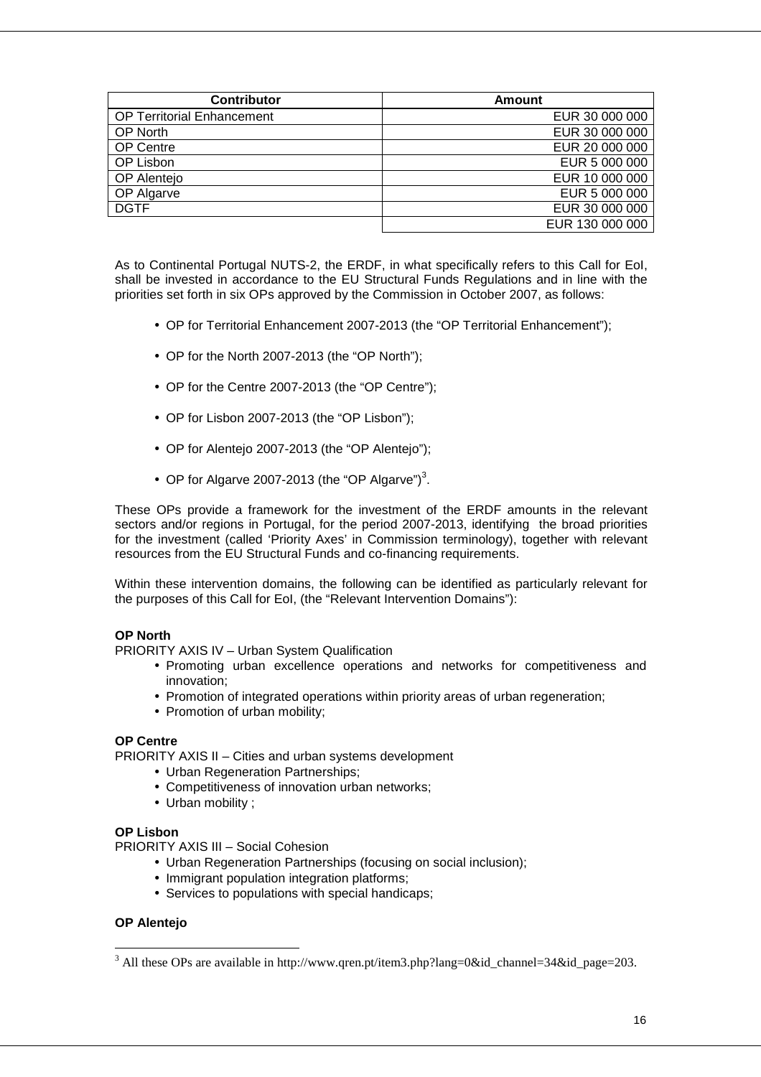| <b>Contributor</b>                | Amount          |
|-----------------------------------|-----------------|
| <b>OP Territorial Enhancement</b> | EUR 30 000 000  |
| <b>OP North</b>                   | EUR 30 000 000  |
| OP Centre                         | EUR 20 000 000  |
| OP Lisbon                         | EUR 5 000 000   |
| OP Alentejo                       | EUR 10 000 000  |
| OP Algarve                        | EUR 5 000 000   |
| <b>DGTF</b>                       | EUR 30 000 000  |
|                                   | EUR 130 000 000 |

As to Continental Portugal NUTS-2, the ERDF, in what specifically refers to this Call for EoI, shall be invested in accordance to the EU Structural Funds Regulations and in line with the priorities set forth in six OPs approved by the Commission in October 2007, as follows:

- OP for Territorial Enhancement 2007-2013 (the "OP Territorial Enhancement");
- OP for the North 2007-2013 (the "OP North");
- OP for the Centre 2007-2013 (the "OP Centre"):
- OP for Lisbon 2007-2013 (the "OP Lisbon");
- OP for Alentejo 2007-2013 (the "OP Alentejo");
- OP for Algarve 2007-2013 (the "OP Algarve")<sup>3</sup>.

These OPs provide a framework for the investment of the ERDF amounts in the relevant sectors and/or regions in Portugal, for the period 2007-2013, identifying the broad priorities for the investment (called 'Priority Axes' in Commission terminology), together with relevant resources from the EU Structural Funds and co-financing requirements.

Within these intervention domains, the following can be identified as particularly relevant for the purposes of this Call for EoI, (the "Relevant Intervention Domains"):

#### **OP North**

PRIORITY AXIS IV – Urban System Qualification

- Promoting urban excellence operations and networks for competitiveness and innovation;
- Promotion of integrated operations within priority areas of urban regeneration;
- Promotion of urban mobility:

#### **OP Centre**

PRIORITY AXIS II – Cities and urban systems development

- Urban Regeneration Partnerships:
- Competitiveness of innovation urban networks;
- Urban mobility ;

#### **OP Lisbon**

PRIORITY AXIS III – Social Cohesion

- Urban Regeneration Partnerships (focusing on social inclusion);
- Immigrant population integration platforms:
- Services to populations with special handicaps:

#### **OP Alentejo**

 $\overline{a}$ 

<sup>&</sup>lt;sup>3</sup> All these OPs are available in http://www.qren.pt/item3.php?lang=0&id\_channel=34&id\_page=203.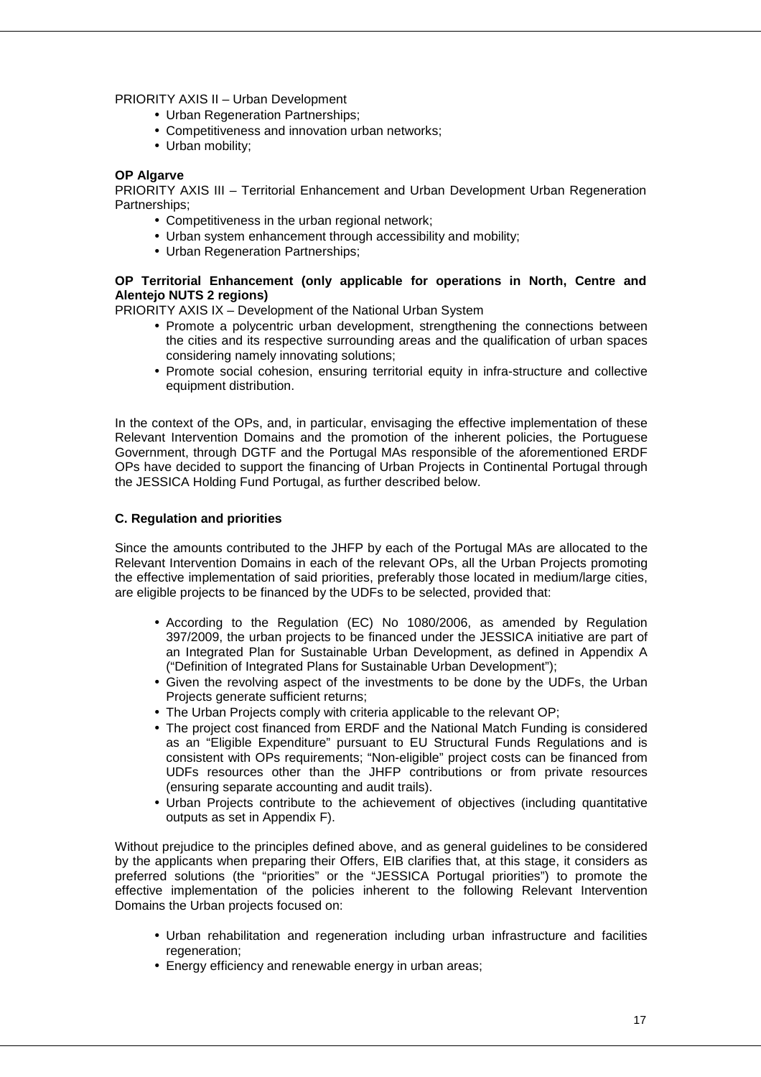#### PRIORITY AXIS II – Urban Development

- Urban Regeneration Partnerships;
- Competitiveness and innovation urban networks;
- Urban mobility;

#### **OP Algarve**

PRIORITY AXIS III – Territorial Enhancement and Urban Development Urban Regeneration Partnerships;

- Competitiveness in the urban regional network;
- Urban system enhancement through accessibility and mobility;
- Urban Regeneration Partnerships:

#### **OP Territorial Enhancement (only applicable for operations in North, Centre and Alentejo NUTS 2 regions)**

PRIORITY AXIS IX – Development of the National Urban System

- Promote a polycentric urban development, strengthening the connections between the cities and its respective surrounding areas and the qualification of urban spaces considering namely innovating solutions;
- Promote social cohesion, ensuring territorial equity in infra-structure and collective equipment distribution.

In the context of the OPs, and, in particular, envisaging the effective implementation of these Relevant Intervention Domains and the promotion of the inherent policies, the Portuguese Government, through DGTF and the Portugal MAs responsible of the aforementioned ERDF OPs have decided to support the financing of Urban Projects in Continental Portugal through the JESSICA Holding Fund Portugal, as further described below.

#### **C. Regulation and priorities**

Since the amounts contributed to the JHFP by each of the Portugal MAs are allocated to the Relevant Intervention Domains in each of the relevant OPs, all the Urban Projects promoting the effective implementation of said priorities, preferably those located in medium/large cities, are eligible projects to be financed by the UDFs to be selected, provided that:

- According to the Regulation (EC) No 1080/2006, as amended by Regulation 397/2009, the urban projects to be financed under the JESSICA initiative are part of an Integrated Plan for Sustainable Urban Development, as defined in Appendix A ("Definition of Integrated Plans for Sustainable Urban Development");
- Given the revolving aspect of the investments to be done by the UDFs, the Urban Projects generate sufficient returns:
- The Urban Projects comply with criteria applicable to the relevant OP;
- The project cost financed from ERDF and the National Match Funding is considered as an "Eligible Expenditure" pursuant to EU Structural Funds Regulations and is consistent with OPs requirements; "Non-eligible" project costs can be financed from UDFs resources other than the JHFP contributions or from private resources (ensuring separate accounting and audit trails).
- Urban Projects contribute to the achievement of objectives (including quantitative outputs as set in Appendix F).

Without prejudice to the principles defined above, and as general guidelines to be considered by the applicants when preparing their Offers, EIB clarifies that, at this stage, it considers as preferred solutions (the "priorities" or the "JESSICA Portugal priorities") to promote the effective implementation of the policies inherent to the following Relevant Intervention Domains the Urban projects focused on:

- Urban rehabilitation and regeneration including urban infrastructure and facilities regeneration;
- Energy efficiency and renewable energy in urban areas;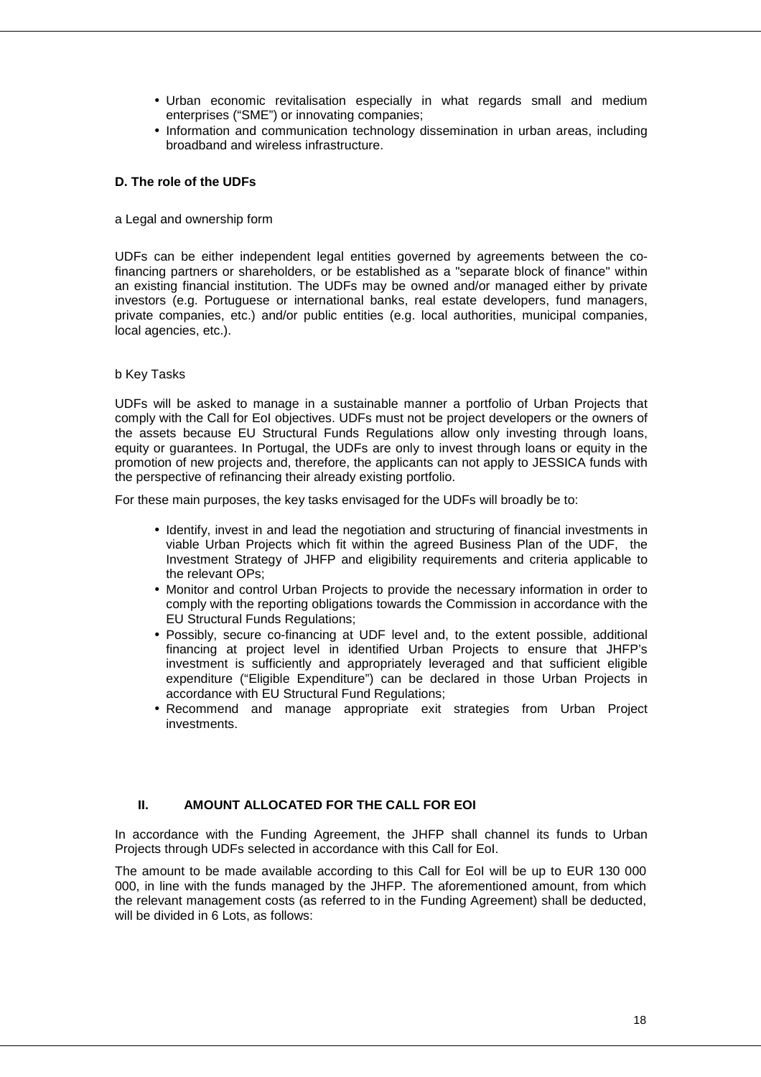- Urban economic revitalisation especially in what regards small and medium enterprises ("SME") or innovating companies;
- Information and communication technology dissemination in urban areas, including broadband and wireless infrastructure.

#### **D. The role of the UDFs**

#### a Legal and ownership form

UDFs can be either independent legal entities governed by agreements between the cofinancing partners or shareholders, or be established as a "separate block of finance" within an existing financial institution. The UDFs may be owned and/or managed either by private investors (e.g. Portuguese or international banks, real estate developers, fund managers, private companies, etc.) and/or public entities (e.g. local authorities, municipal companies, local agencies, etc.).

#### b Key Tasks

UDFs will be asked to manage in a sustainable manner a portfolio of Urban Projects that comply with the Call for EoI objectives. UDFs must not be project developers or the owners of the assets because EU Structural Funds Regulations allow only investing through loans, equity or guarantees. In Portugal, the UDFs are only to invest through loans or equity in the promotion of new projects and, therefore, the applicants can not apply to JESSICA funds with the perspective of refinancing their already existing portfolio.

For these main purposes, the key tasks envisaged for the UDFs will broadly be to:

- Identify, invest in and lead the negotiation and structuring of financial investments in viable Urban Projects which fit within the agreed Business Plan of the UDF, the Investment Strategy of JHFP and eligibility requirements and criteria applicable to the relevant OPs;
- Monitor and control Urban Projects to provide the necessary information in order to comply with the reporting obligations towards the Commission in accordance with the EU Structural Funds Regulations;
- Possibly, secure co-financing at UDF level and, to the extent possible, additional financing at project level in identified Urban Projects to ensure that JHFP's investment is sufficiently and appropriately leveraged and that sufficient eligible expenditure ("Eligible Expenditure") can be declared in those Urban Projects in accordance with EU Structural Fund Regulations;
- Recommend and manage appropriate exit strategies from Urban Project investments.

#### **II. AMOUNT ALLOCATED FOR THE CALL FOR EOI**

In accordance with the Funding Agreement, the JHFP shall channel its funds to Urban Projects through UDFs selected in accordance with this Call for EoI.

The amount to be made available according to this Call for EoI will be up to EUR 130 000 000, in line with the funds managed by the JHFP. The aforementioned amount, from which the relevant management costs (as referred to in the Funding Agreement) shall be deducted, will be divided in 6 Lots, as follows: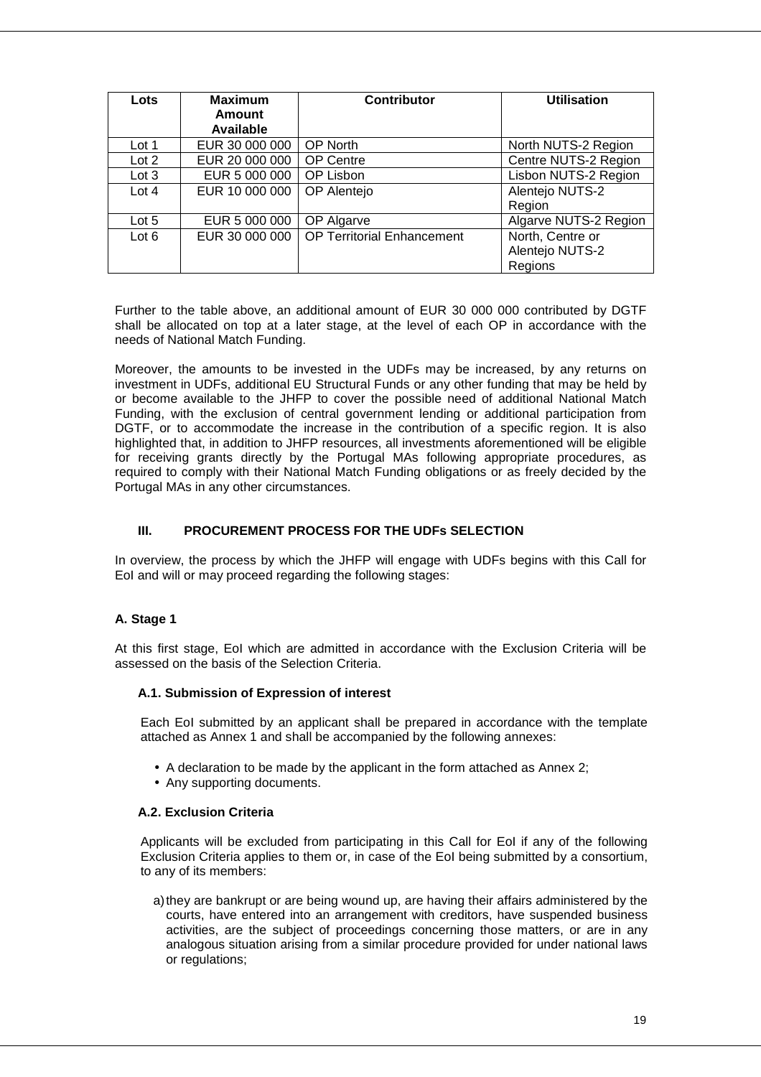| Lots    | <b>Maximum</b><br>Amount<br>Available | <b>Contributor</b>         | <b>Utilisation</b>    |
|---------|---------------------------------------|----------------------------|-----------------------|
| Lot 1   | EUR 30 000 000                        | <b>OP North</b>            | North NUTS-2 Region   |
| Lot 2   | EUR 20 000 000                        | OP Centre                  | Centre NUTS-2 Region  |
| Lot 3   | EUR 5 000 000                         | OP Lisbon                  | Lisbon NUTS-2 Region  |
| Lot $4$ | EUR 10 000 000                        | OP Alentejo                | Alentejo NUTS-2       |
|         |                                       |                            | Region                |
| Lot 5   | EUR 5 000 000                         | OP Algarve                 | Algarve NUTS-2 Region |
| Lot 6   | EUR 30 000 000                        | OP Territorial Enhancement | North, Centre or      |
|         |                                       |                            | Alentejo NUTS-2       |
|         |                                       |                            | Regions               |

Further to the table above, an additional amount of EUR 30 000 000 contributed by DGTF shall be allocated on top at a later stage, at the level of each OP in accordance with the needs of National Match Funding.

Moreover, the amounts to be invested in the UDFs may be increased, by any returns on investment in UDFs, additional EU Structural Funds or any other funding that may be held by or become available to the JHFP to cover the possible need of additional National Match Funding, with the exclusion of central government lending or additional participation from DGTF, or to accommodate the increase in the contribution of a specific region. It is also highlighted that, in addition to JHFP resources, all investments aforementioned will be eligible for receiving grants directly by the Portugal MAs following appropriate procedures, as required to comply with their National Match Funding obligations or as freely decided by the Portugal MAs in any other circumstances.

#### **III. PROCUREMENT PROCESS FOR THE UDFs SELECTION**

In overview, the process by which the JHFP will engage with UDFs begins with this Call for EoI and will or may proceed regarding the following stages:

#### **A. Stage 1**

At this first stage, EoI which are admitted in accordance with the Exclusion Criteria will be assessed on the basis of the Selection Criteria.

#### **A.1. Submission of Expression of interest**

Each EoI submitted by an applicant shall be prepared in accordance with the template attached as Annex 1 and shall be accompanied by the following annexes:

- A declaration to be made by the applicant in the form attached as Annex 2;
- Any supporting documents.

#### **A.2. Exclusion Criteria**

Applicants will be excluded from participating in this Call for EoI if any of the following Exclusion Criteria applies to them or, in case of the EoI being submitted by a consortium, to any of its members:

a) they are bankrupt or are being wound up, are having their affairs administered by the courts, have entered into an arrangement with creditors, have suspended business activities, are the subject of proceedings concerning those matters, or are in any analogous situation arising from a similar procedure provided for under national laws or regulations;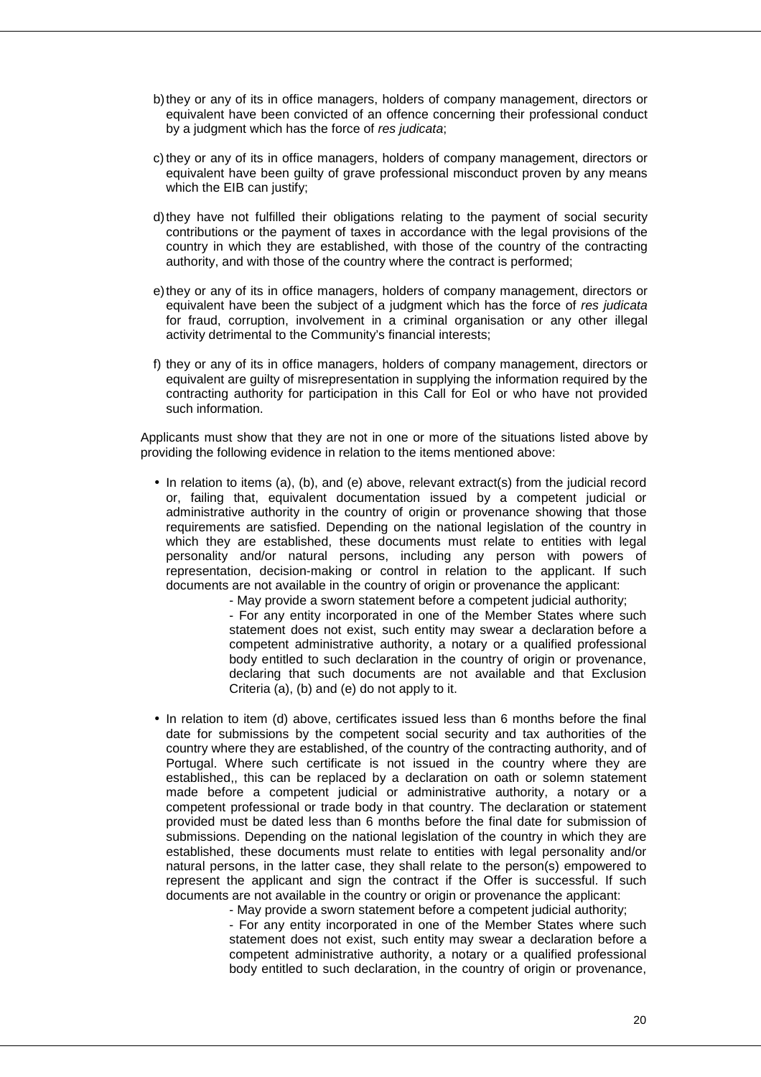- b) they or any of its in office managers, holders of company management, directors or equivalent have been convicted of an offence concerning their professional conduct by a judgment which has the force of res judicata;
- c) they or any of its in office managers, holders of company management, directors or equivalent have been guilty of grave professional misconduct proven by any means which the EIB can justify:
- d) they have not fulfilled their obligations relating to the payment of social security contributions or the payment of taxes in accordance with the legal provisions of the country in which they are established, with those of the country of the contracting authority, and with those of the country where the contract is performed;
- e) they or any of its in office managers, holders of company management, directors or equivalent have been the subject of a judgment which has the force of res judicata for fraud, corruption, involvement in a criminal organisation or any other illegal activity detrimental to the Community's financial interests;
- f) they or any of its in office managers, holders of company management, directors or equivalent are guilty of misrepresentation in supplying the information required by the contracting authority for participation in this Call for EoI or who have not provided such information.

Applicants must show that they are not in one or more of the situations listed above by providing the following evidence in relation to the items mentioned above:

• In relation to items (a), (b), and (e) above, relevant extract(s) from the judicial record or, failing that, equivalent documentation issued by a competent judicial or administrative authority in the country of origin or provenance showing that those requirements are satisfied. Depending on the national legislation of the country in which they are established, these documents must relate to entities with legal personality and/or natural persons, including any person with powers of representation, decision-making or control in relation to the applicant. If such documents are not available in the country of origin or provenance the applicant:

- May provide a sworn statement before a competent judicial authority; - For any entity incorporated in one of the Member States where such statement does not exist, such entity may swear a declaration before a competent administrative authority, a notary or a qualified professional body entitled to such declaration in the country of origin or provenance, declaring that such documents are not available and that Exclusion Criteria (a), (b) and (e) do not apply to it.

• In relation to item (d) above, certificates issued less than 6 months before the final date for submissions by the competent social security and tax authorities of the country where they are established, of the country of the contracting authority, and of Portugal. Where such certificate is not issued in the country where they are established,, this can be replaced by a declaration on oath or solemn statement made before a competent judicial or administrative authority, a notary or a competent professional or trade body in that country. The declaration or statement provided must be dated less than 6 months before the final date for submission of submissions. Depending on the national legislation of the country in which they are established, these documents must relate to entities with legal personality and/or natural persons, in the latter case, they shall relate to the person(s) empowered to represent the applicant and sign the contract if the Offer is successful. If such documents are not available in the country or origin or provenance the applicant:

- May provide a sworn statement before a competent judicial authority; - For any entity incorporated in one of the Member States where such statement does not exist, such entity may swear a declaration before a competent administrative authority, a notary or a qualified professional body entitled to such declaration, in the country of origin or provenance,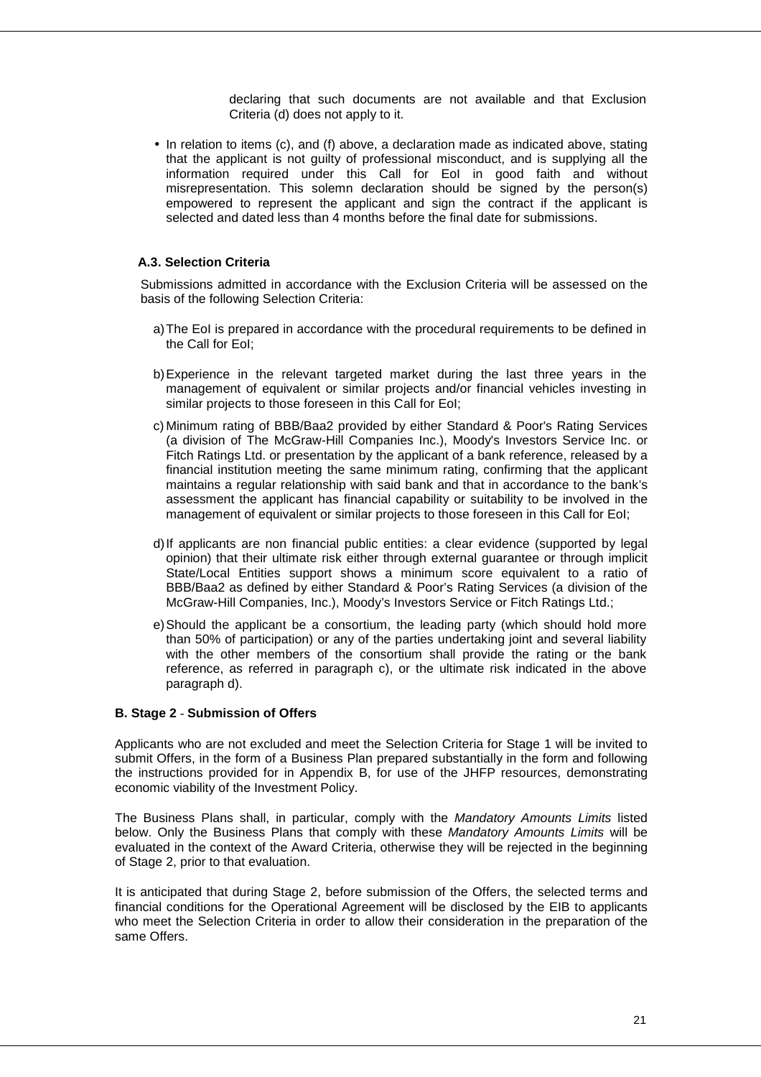declaring that such documents are not available and that Exclusion Criteria (d) does not apply to it.

• In relation to items (c), and (f) above, a declaration made as indicated above, stating that the applicant is not guilty of professional misconduct, and is supplying all the information required under this Call for Eol in good faith and without misrepresentation. This solemn declaration should be signed by the person(s) empowered to represent the applicant and sign the contract if the applicant is selected and dated less than 4 months before the final date for submissions.

#### **A.3. Selection Criteria**

Submissions admitted in accordance with the Exclusion Criteria will be assessed on the basis of the following Selection Criteria:

- a) The EoI is prepared in accordance with the procedural requirements to be defined in the Call for EoI;
- b) Experience in the relevant targeted market during the last three years in the management of equivalent or similar projects and/or financial vehicles investing in similar projects to those foreseen in this Call for EoI;
- c) Minimum rating of BBB/Baa2 provided by either Standard & Poor's Rating Services (a division of The McGraw-Hill Companies Inc.), Moody's Investors Service Inc. or Fitch Ratings Ltd. or presentation by the applicant of a bank reference, released by a financial institution meeting the same minimum rating, confirming that the applicant maintains a regular relationship with said bank and that in accordance to the bank's assessment the applicant has financial capability or suitability to be involved in the management of equivalent or similar projects to those foreseen in this Call for EoI;
- d) If applicants are non financial public entities: a clear evidence (supported by legal opinion) that their ultimate risk either through external guarantee or through implicit State/Local Entities support shows a minimum score equivalent to a ratio of BBB/Baa2 as defined by either Standard & Poor's Rating Services (a division of the McGraw-Hill Companies, Inc.), Moody's Investors Service or Fitch Ratings Ltd.;
- e) Should the applicant be a consortium, the leading party (which should hold more than 50% of participation) or any of the parties undertaking joint and several liability with the other members of the consortium shall provide the rating or the bank reference, as referred in paragraph c), or the ultimate risk indicated in the above paragraph d).

#### **B. Stage 2** - **Submission of Offers**

Applicants who are not excluded and meet the Selection Criteria for Stage 1 will be invited to submit Offers, in the form of a Business Plan prepared substantially in the form and following the instructions provided for in Appendix B, for use of the JHFP resources, demonstrating economic viability of the Investment Policy.

The Business Plans shall, in particular, comply with the Mandatory Amounts Limits listed below. Only the Business Plans that comply with these Mandatory Amounts Limits will be evaluated in the context of the Award Criteria, otherwise they will be rejected in the beginning of Stage 2, prior to that evaluation.

It is anticipated that during Stage 2, before submission of the Offers, the selected terms and financial conditions for the Operational Agreement will be disclosed by the EIB to applicants who meet the Selection Criteria in order to allow their consideration in the preparation of the same Offers.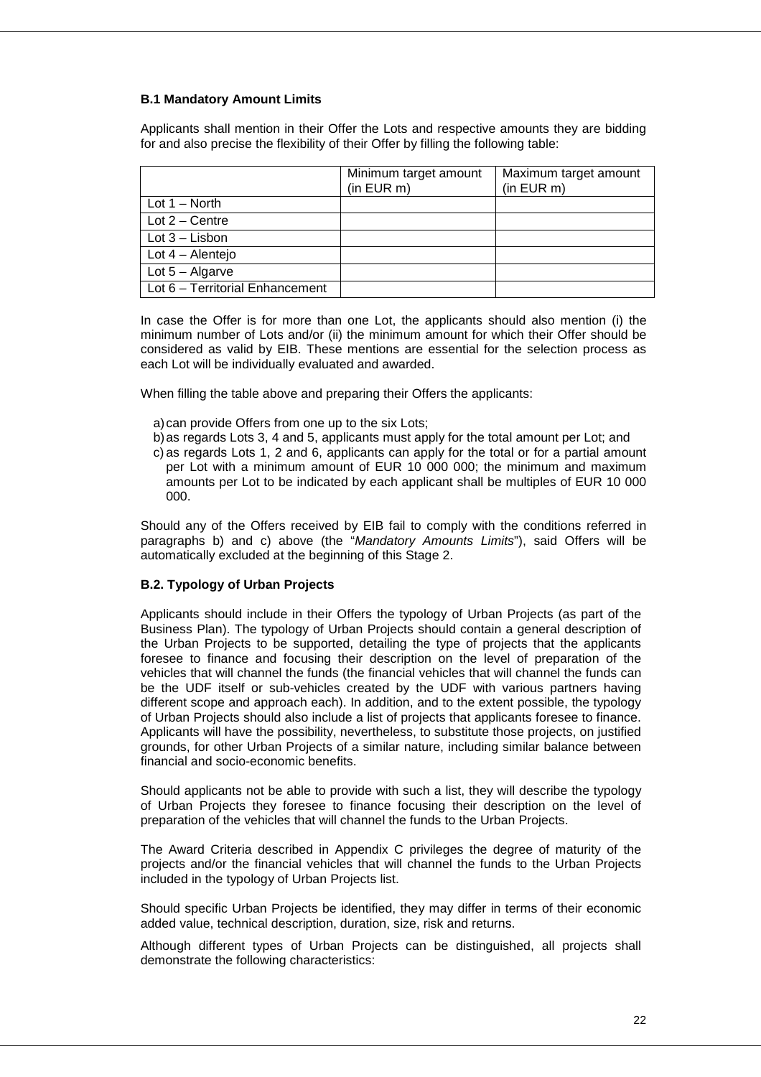#### **B.1 Mandatory Amount Limits**

Applicants shall mention in their Offer the Lots and respective amounts they are bidding for and also precise the flexibility of their Offer by filling the following table:

|                                 | Minimum target amount<br>(in EUR m) | Maximum target amount<br>$(in$ EUR $m)$ |
|---------------------------------|-------------------------------------|-----------------------------------------|
| Lot $1 -$ North                 |                                     |                                         |
| Lot $2 -$ Centre                |                                     |                                         |
| Lot $3$ – Lisbon                |                                     |                                         |
| Lot $4 -$ Alentejo              |                                     |                                         |
| Lot $5 -$ Algarve               |                                     |                                         |
| Lot 6 - Territorial Enhancement |                                     |                                         |

In case the Offer is for more than one Lot, the applicants should also mention (i) the minimum number of Lots and/or (ii) the minimum amount for which their Offer should be considered as valid by EIB. These mentions are essential for the selection process as each Lot will be individually evaluated and awarded.

When filling the table above and preparing their Offers the applicants:

- a) can provide Offers from one up to the six Lots;
- b) as regards Lots 3, 4 and 5, applicants must apply for the total amount per Lot; and
- c) as regards Lots 1, 2 and 6, applicants can apply for the total or for a partial amount per Lot with a minimum amount of EUR 10 000 000; the minimum and maximum amounts per Lot to be indicated by each applicant shall be multiples of EUR 10 000 000.

Should any of the Offers received by EIB fail to comply with the conditions referred in paragraphs b) and c) above (the "Mandatory Amounts Limits"), said Offers will be automatically excluded at the beginning of this Stage 2.

#### **B.2. Typology of Urban Projects**

Applicants should include in their Offers the typology of Urban Projects (as part of the Business Plan). The typology of Urban Projects should contain a general description of the Urban Projects to be supported, detailing the type of projects that the applicants foresee to finance and focusing their description on the level of preparation of the vehicles that will channel the funds (the financial vehicles that will channel the funds can be the UDF itself or sub-vehicles created by the UDF with various partners having different scope and approach each). In addition, and to the extent possible, the typology of Urban Projects should also include a list of projects that applicants foresee to finance. Applicants will have the possibility, nevertheless, to substitute those projects, on justified grounds, for other Urban Projects of a similar nature, including similar balance between financial and socio-economic benefits.

Should applicants not be able to provide with such a list, they will describe the typology of Urban Projects they foresee to finance focusing their description on the level of preparation of the vehicles that will channel the funds to the Urban Projects.

The Award Criteria described in Appendix C privileges the degree of maturity of the projects and/or the financial vehicles that will channel the funds to the Urban Projects included in the typology of Urban Projects list.

Should specific Urban Projects be identified, they may differ in terms of their economic added value, technical description, duration, size, risk and returns.

Although different types of Urban Projects can be distinguished, all projects shall demonstrate the following characteristics: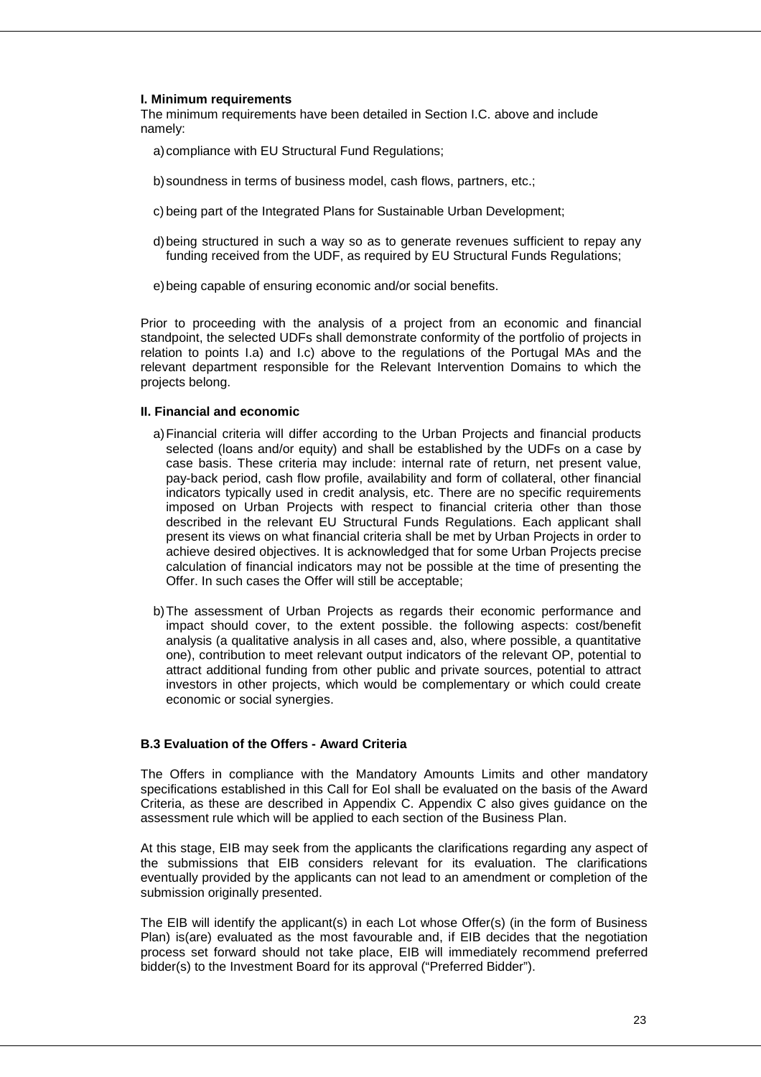#### **I. Minimum requirements**

The minimum requirements have been detailed in Section I.C. above and include namely:

- a) compliance with EU Structural Fund Regulations;
- b) soundness in terms of business model, cash flows, partners, etc.;
- c) being part of the Integrated Plans for Sustainable Urban Development;
- d) being structured in such a way so as to generate revenues sufficient to repay any funding received from the UDF, as required by EU Structural Funds Regulations;
- e) being capable of ensuring economic and/or social benefits.

Prior to proceeding with the analysis of a project from an economic and financial standpoint, the selected UDFs shall demonstrate conformity of the portfolio of projects in relation to points I.a) and I.c) above to the regulations of the Portugal MAs and the relevant department responsible for the Relevant Intervention Domains to which the projects belong.

#### **II. Financial and economic**

- a) Financial criteria will differ according to the Urban Projects and financial products selected (loans and/or equity) and shall be established by the UDFs on a case by case basis. These criteria may include: internal rate of return, net present value, pay-back period, cash flow profile, availability and form of collateral, other financial indicators typically used in credit analysis, etc. There are no specific requirements imposed on Urban Projects with respect to financial criteria other than those described in the relevant EU Structural Funds Regulations. Each applicant shall present its views on what financial criteria shall be met by Urban Projects in order to achieve desired objectives. It is acknowledged that for some Urban Projects precise calculation of financial indicators may not be possible at the time of presenting the Offer. In such cases the Offer will still be acceptable;
- b) The assessment of Urban Projects as regards their economic performance and impact should cover, to the extent possible. the following aspects: cost/benefit analysis (a qualitative analysis in all cases and, also, where possible, a quantitative one), contribution to meet relevant output indicators of the relevant OP, potential to attract additional funding from other public and private sources, potential to attract investors in other projects, which would be complementary or which could create economic or social synergies.

#### **B.3 Evaluation of the Offers - Award Criteria**

The Offers in compliance with the Mandatory Amounts Limits and other mandatory specifications established in this Call for EoI shall be evaluated on the basis of the Award Criteria, as these are described in Appendix C. Appendix C also gives guidance on the assessment rule which will be applied to each section of the Business Plan.

At this stage, EIB may seek from the applicants the clarifications regarding any aspect of the submissions that EIB considers relevant for its evaluation. The clarifications eventually provided by the applicants can not lead to an amendment or completion of the submission originally presented.

The EIB will identify the applicant(s) in each Lot whose Offer(s) (in the form of Business Plan) is(are) evaluated as the most favourable and, if EIB decides that the negotiation process set forward should not take place, EIB will immediately recommend preferred bidder(s) to the Investment Board for its approval ("Preferred Bidder").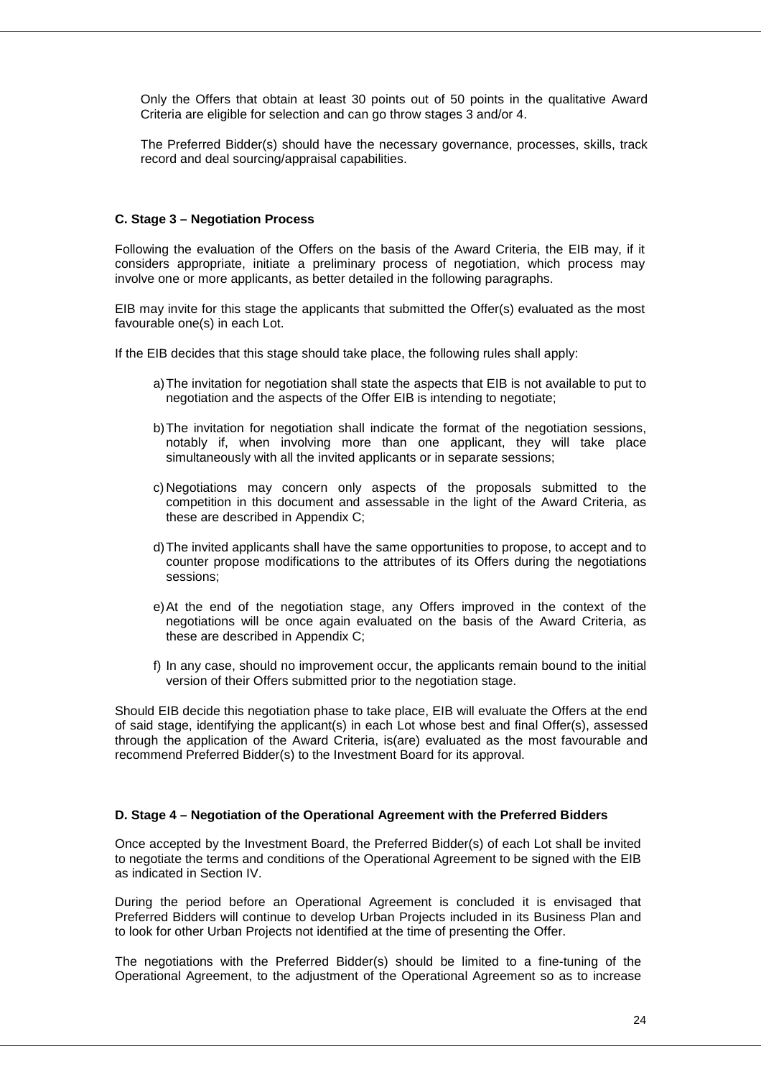Only the Offers that obtain at least 30 points out of 50 points in the qualitative Award Criteria are eligible for selection and can go throw stages 3 and/or 4.

The Preferred Bidder(s) should have the necessary governance, processes, skills, track record and deal sourcing/appraisal capabilities.

#### **C. Stage 3 – Negotiation Process**

Following the evaluation of the Offers on the basis of the Award Criteria, the EIB may, if it considers appropriate, initiate a preliminary process of negotiation, which process may involve one or more applicants, as better detailed in the following paragraphs.

EIB may invite for this stage the applicants that submitted the Offer(s) evaluated as the most favourable one(s) in each Lot.

If the EIB decides that this stage should take place, the following rules shall apply:

- a) The invitation for negotiation shall state the aspects that EIB is not available to put to negotiation and the aspects of the Offer EIB is intending to negotiate;
- b) The invitation for negotiation shall indicate the format of the negotiation sessions, notably if, when involving more than one applicant, they will take place simultaneously with all the invited applicants or in separate sessions;
- c) Negotiations may concern only aspects of the proposals submitted to the competition in this document and assessable in the light of the Award Criteria, as these are described in Appendix C;
- d) The invited applicants shall have the same opportunities to propose, to accept and to counter propose modifications to the attributes of its Offers during the negotiations sessions;
- e) At the end of the negotiation stage, any Offers improved in the context of the negotiations will be once again evaluated on the basis of the Award Criteria, as these are described in Appendix C;
- f) In any case, should no improvement occur, the applicants remain bound to the initial version of their Offers submitted prior to the negotiation stage.

Should EIB decide this negotiation phase to take place, EIB will evaluate the Offers at the end of said stage, identifying the applicant(s) in each Lot whose best and final Offer(s), assessed through the application of the Award Criteria, is(are) evaluated as the most favourable and recommend Preferred Bidder(s) to the Investment Board for its approval.

#### **D. Stage 4 – Negotiation of the Operational Agreement with the Preferred Bidders**

Once accepted by the Investment Board, the Preferred Bidder(s) of each Lot shall be invited to negotiate the terms and conditions of the Operational Agreement to be signed with the EIB as indicated in Section IV.

During the period before an Operational Agreement is concluded it is envisaged that Preferred Bidders will continue to develop Urban Projects included in its Business Plan and to look for other Urban Projects not identified at the time of presenting the Offer.

The negotiations with the Preferred Bidder(s) should be limited to a fine-tuning of the Operational Agreement, to the adjustment of the Operational Agreement so as to increase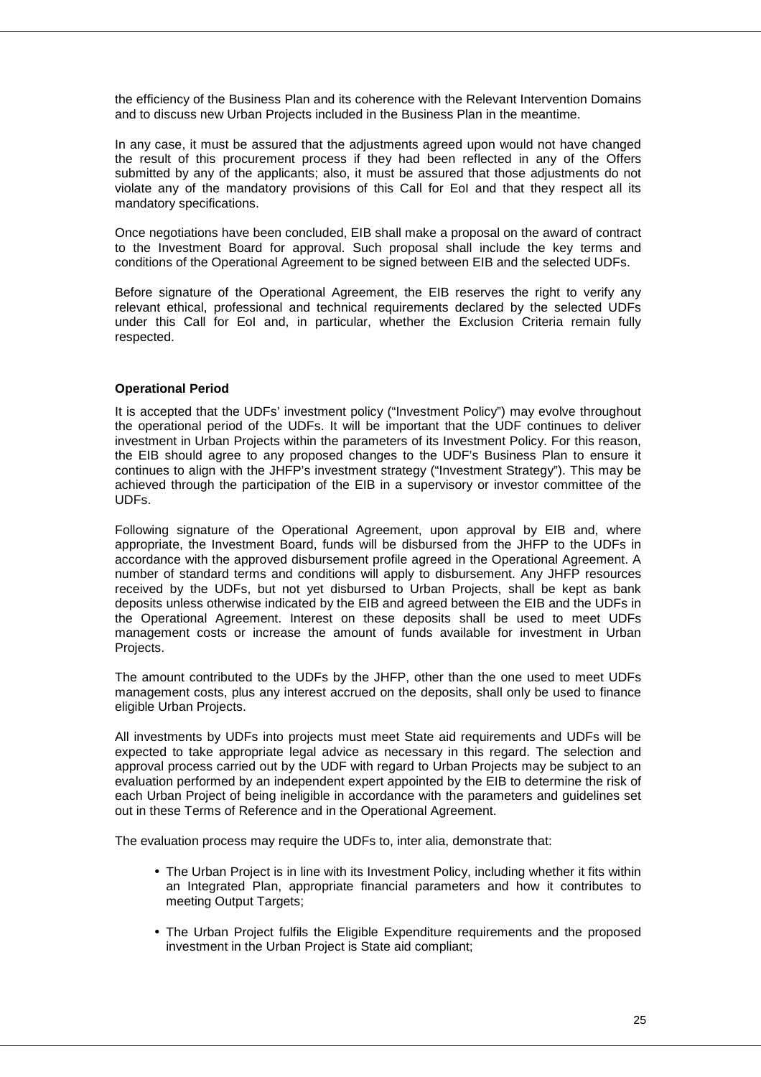the efficiency of the Business Plan and its coherence with the Relevant Intervention Domains and to discuss new Urban Projects included in the Business Plan in the meantime.

In any case, it must be assured that the adjustments agreed upon would not have changed the result of this procurement process if they had been reflected in any of the Offers submitted by any of the applicants; also, it must be assured that those adjustments do not violate any of the mandatory provisions of this Call for EoI and that they respect all its mandatory specifications.

Once negotiations have been concluded, EIB shall make a proposal on the award of contract to the Investment Board for approval. Such proposal shall include the key terms and conditions of the Operational Agreement to be signed between EIB and the selected UDFs.

Before signature of the Operational Agreement, the EIB reserves the right to verify any relevant ethical, professional and technical requirements declared by the selected UDFs under this Call for EoI and, in particular, whether the Exclusion Criteria remain fully respected.

#### **Operational Period**

It is accepted that the UDFs' investment policy ("Investment Policy") may evolve throughout the operational period of the UDFs. It will be important that the UDF continues to deliver investment in Urban Projects within the parameters of its Investment Policy. For this reason, the EIB should agree to any proposed changes to the UDF's Business Plan to ensure it continues to align with the JHFP's investment strategy ("Investment Strategy"). This may be achieved through the participation of the EIB in a supervisory or investor committee of the UDFs.

Following signature of the Operational Agreement, upon approval by EIB and, where appropriate, the Investment Board, funds will be disbursed from the JHFP to the UDFs in accordance with the approved disbursement profile agreed in the Operational Agreement. A number of standard terms and conditions will apply to disbursement. Any JHFP resources received by the UDFs, but not yet disbursed to Urban Projects, shall be kept as bank deposits unless otherwise indicated by the EIB and agreed between the EIB and the UDFs in the Operational Agreement. Interest on these deposits shall be used to meet UDFs management costs or increase the amount of funds available for investment in Urban Projects.

The amount contributed to the UDFs by the JHFP, other than the one used to meet UDFs management costs, plus any interest accrued on the deposits, shall only be used to finance eligible Urban Projects.

All investments by UDFs into projects must meet State aid requirements and UDFs will be expected to take appropriate legal advice as necessary in this regard. The selection and approval process carried out by the UDF with regard to Urban Projects may be subject to an evaluation performed by an independent expert appointed by the EIB to determine the risk of each Urban Project of being ineligible in accordance with the parameters and guidelines set out in these Terms of Reference and in the Operational Agreement.

The evaluation process may require the UDFs to, inter alia, demonstrate that:

- The Urban Project is in line with its Investment Policy, including whether it fits within an Integrated Plan, appropriate financial parameters and how it contributes to meeting Output Targets;
- The Urban Project fulfils the Eligible Expenditure requirements and the proposed investment in the Urban Project is State aid compliant;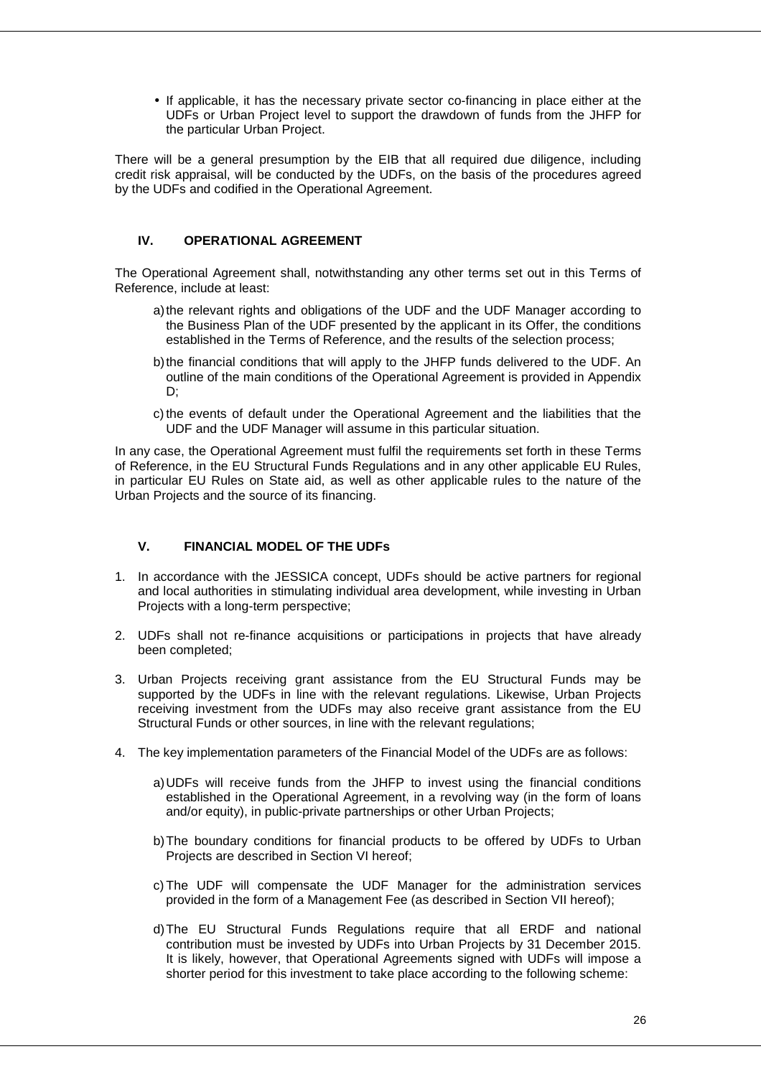• If applicable, it has the necessary private sector co-financing in place either at the UDFs or Urban Project level to support the drawdown of funds from the JHFP for the particular Urban Project.

There will be a general presumption by the EIB that all required due diligence, including credit risk appraisal, will be conducted by the UDFs, on the basis of the procedures agreed by the UDFs and codified in the Operational Agreement.

#### **IV. OPERATIONAL AGREEMENT**

The Operational Agreement shall, notwithstanding any other terms set out in this Terms of Reference, include at least:

- a) the relevant rights and obligations of the UDF and the UDF Manager according to the Business Plan of the UDF presented by the applicant in its Offer, the conditions established in the Terms of Reference, and the results of the selection process;
- b) the financial conditions that will apply to the JHFP funds delivered to the UDF. An outline of the main conditions of the Operational Agreement is provided in Appendix D;
- c) the events of default under the Operational Agreement and the liabilities that the UDF and the UDF Manager will assume in this particular situation.

In any case, the Operational Agreement must fulfil the requirements set forth in these Terms of Reference, in the EU Structural Funds Regulations and in any other applicable EU Rules, in particular EU Rules on State aid, as well as other applicable rules to the nature of the Urban Projects and the source of its financing.

#### **V. FINANCIAL MODEL OF THE UDFs**

- 1. In accordance with the JESSICA concept, UDFs should be active partners for regional and local authorities in stimulating individual area development, while investing in Urban Projects with a long-term perspective;
- 2. UDFs shall not re-finance acquisitions or participations in projects that have already been completed;
- 3. Urban Projects receiving grant assistance from the EU Structural Funds may be supported by the UDFs in line with the relevant regulations. Likewise, Urban Projects receiving investment from the UDFs may also receive grant assistance from the EU Structural Funds or other sources, in line with the relevant regulations;
- 4. The key implementation parameters of the Financial Model of the UDFs are as follows:
	- a) UDFs will receive funds from the JHFP to invest using the financial conditions established in the Operational Agreement, in a revolving way (in the form of loans and/or equity), in public-private partnerships or other Urban Projects;
	- b) The boundary conditions for financial products to be offered by UDFs to Urban Projects are described in Section VI hereof;
	- c) The UDF will compensate the UDF Manager for the administration services provided in the form of a Management Fee (as described in Section VII hereof);
	- d) The EU Structural Funds Regulations require that all ERDF and national contribution must be invested by UDFs into Urban Projects by 31 December 2015. It is likely, however, that Operational Agreements signed with UDFs will impose a shorter period for this investment to take place according to the following scheme: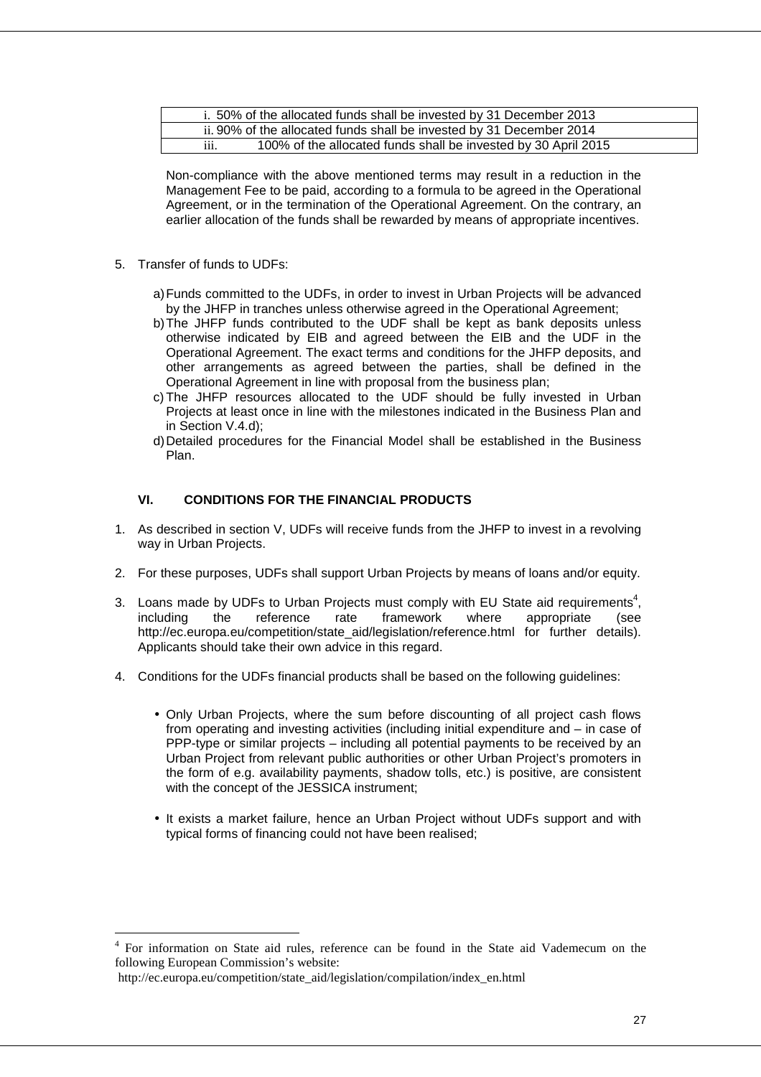|                  | i. 50% of the allocated funds shall be invested by 31 December 2013  |
|------------------|----------------------------------------------------------------------|
|                  | ii. 90% of the allocated funds shall be invested by 31 December 2014 |
| $\cdots$<br>111. | 100% of the allocated funds shall be invested by 30 April 2015       |

Non-compliance with the above mentioned terms may result in a reduction in the Management Fee to be paid, according to a formula to be agreed in the Operational Agreement, or in the termination of the Operational Agreement. On the contrary, an earlier allocation of the funds shall be rewarded by means of appropriate incentives.

- 5. Transfer of funds to UDFs:
	- a) Funds committed to the UDFs, in order to invest in Urban Projects will be advanced by the JHFP in tranches unless otherwise agreed in the Operational Agreement;
	- b) The JHFP funds contributed to the UDF shall be kept as bank deposits unless otherwise indicated by EIB and agreed between the EIB and the UDF in the Operational Agreement. The exact terms and conditions for the JHFP deposits, and other arrangements as agreed between the parties, shall be defined in the Operational Agreement in line with proposal from the business plan;
	- c) The JHFP resources allocated to the UDF should be fully invested in Urban Projects at least once in line with the milestones indicated in the Business Plan and in Section V.4.d);
	- d) Detailed procedures for the Financial Model shall be established in the Business Plan.

#### **VI. CONDITIONS FOR THE FINANCIAL PRODUCTS**

- 1. As described in section V, UDFs will receive funds from the JHFP to invest in a revolving way in Urban Projects.
- 2. For these purposes, UDFs shall support Urban Projects by means of loans and/or equity.
- 3. Loans made by UDFs to Urban Projects must comply with EU State aid requirements<sup>4</sup>, including the reference rate framework where appropriate (see http://ec.europa.eu/competition/state\_aid/legislation/reference.html for further details). Applicants should take their own advice in this regard.
- 4. Conditions for the UDFs financial products shall be based on the following guidelines:
	- Only Urban Projects, where the sum before discounting of all project cash flows from operating and investing activities (including initial expenditure and – in case of PPP-type or similar projects – including all potential payments to be received by an Urban Project from relevant public authorities or other Urban Project's promoters in the form of e.g. availability payments, shadow tolls, etc.) is positive, are consistent with the concept of the JESSICA instrument;
	- It exists a market failure, hence an Urban Project without UDFs support and with typical forms of financing could not have been realised;

 $\overline{a}$ 

<sup>&</sup>lt;sup>4</sup> For information on State aid rules, reference can be found in the State aid Vademecum on the following European Commission's website:

http://ec.europa.eu/competition/state\_aid/legislation/compilation/index\_en.html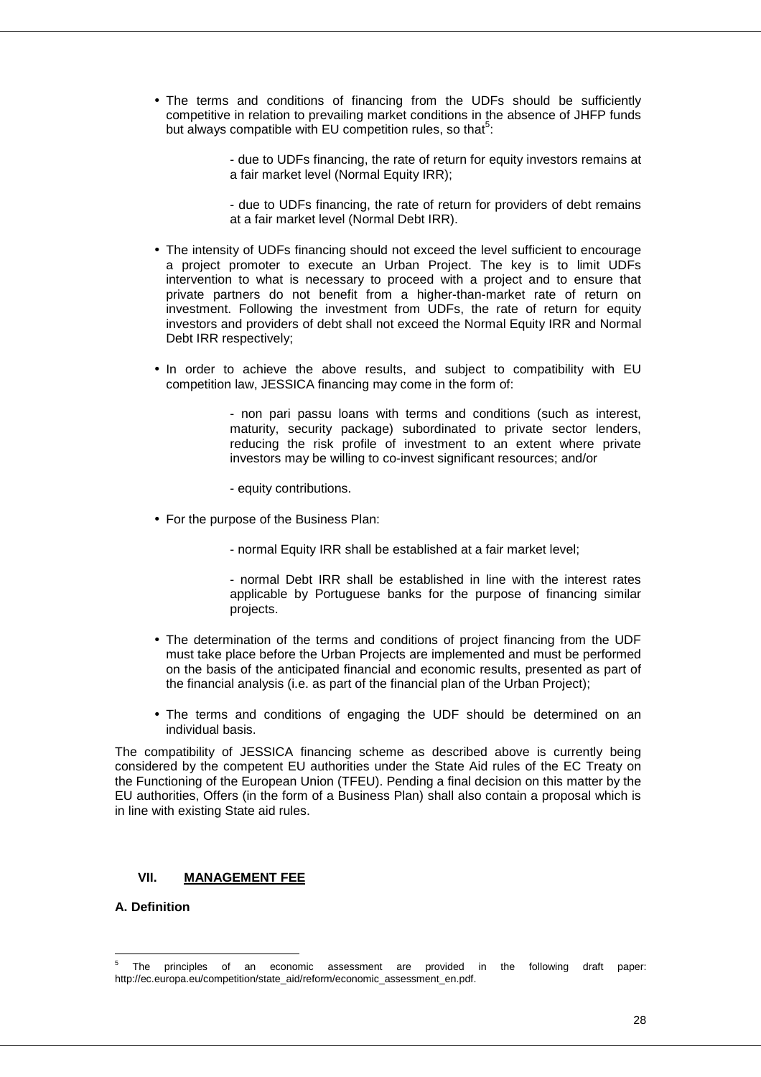• The terms and conditions of financing from the UDFs should be sufficiently competitive in relation to prevailing market conditions in the absence of JHFP funds but always compatible with EU competition rules, so that $5$ :

> - due to UDFs financing, the rate of return for equity investors remains at a fair market level (Normal Equity IRR);

> - due to UDFs financing, the rate of return for providers of debt remains at a fair market level (Normal Debt IRR).

- The intensity of UDFs financing should not exceed the level sufficient to encourage a project promoter to execute an Urban Project. The key is to limit UDFs intervention to what is necessary to proceed with a project and to ensure that private partners do not benefit from a higher-than-market rate of return on investment. Following the investment from UDFs, the rate of return for equity investors and providers of debt shall not exceed the Normal Equity IRR and Normal Debt IRR respectively;
- In order to achieve the above results, and subject to compatibility with EU competition law, JESSICA financing may come in the form of:

- non pari passu loans with terms and conditions (such as interest, maturity, security package) subordinated to private sector lenders, reducing the risk profile of investment to an extent where private investors may be willing to co-invest significant resources; and/or

- equity contributions.

- For the purpose of the Business Plan:
	- normal Equity IRR shall be established at a fair market level;

- normal Debt IRR shall be established in line with the interest rates applicable by Portuguese banks for the purpose of financing similar projects.

- The determination of the terms and conditions of project financing from the UDF must take place before the Urban Projects are implemented and must be performed on the basis of the anticipated financial and economic results, presented as part of the financial analysis (i.e. as part of the financial plan of the Urban Project);
- The terms and conditions of engaging the UDF should be determined on an individual basis.

The compatibility of JESSICA financing scheme as described above is currently being considered by the competent EU authorities under the State Aid rules of the EC Treaty on the Functioning of the European Union (TFEU). Pending a final decision on this matter by the EU authorities, Offers (in the form of a Business Plan) shall also contain a proposal which is in line with existing State aid rules.

#### **VII. MANAGEMENT FEE**

#### **A. Definition**

<sup>-&</sup>lt;br>5 The principles of an economic assessment are provided in the following draft paper: http://ec.europa.eu/competition/state\_aid/reform/economic\_assessment\_en.pdf.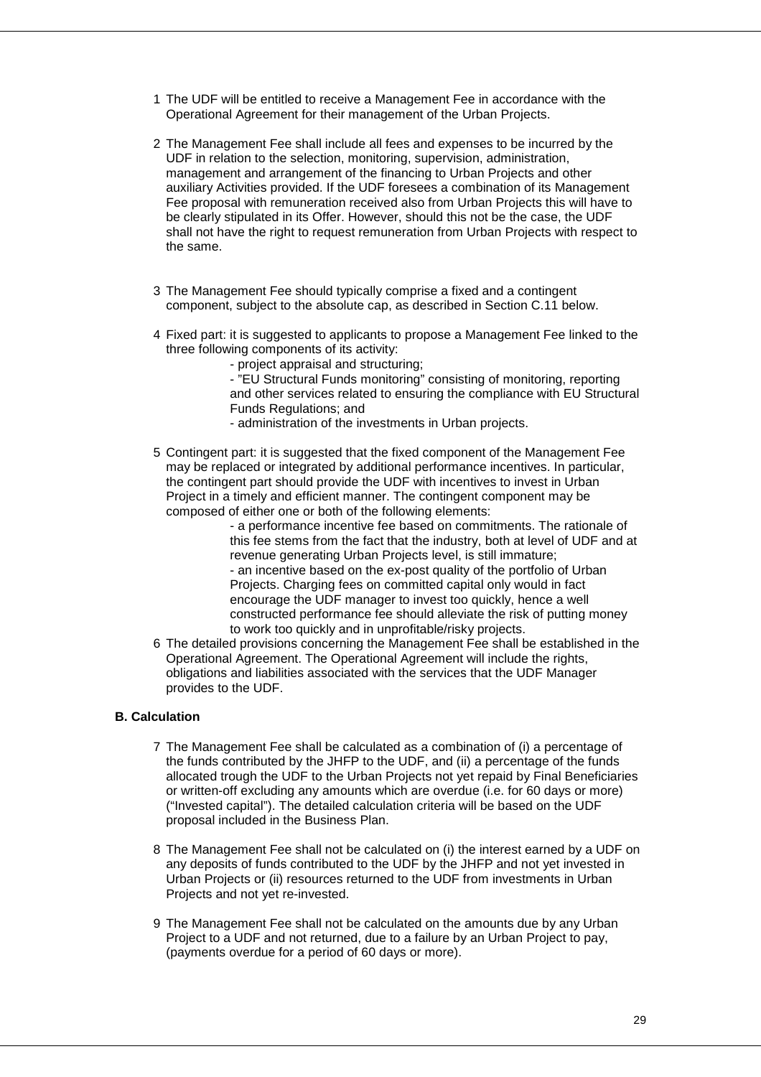- 1 The UDF will be entitled to receive a Management Fee in accordance with the Operational Agreement for their management of the Urban Projects.
- 2 The Management Fee shall include all fees and expenses to be incurred by the UDF in relation to the selection, monitoring, supervision, administration, management and arrangement of the financing to Urban Projects and other auxiliary Activities provided. If the UDF foresees a combination of its Management Fee proposal with remuneration received also from Urban Projects this will have to be clearly stipulated in its Offer. However, should this not be the case, the UDF shall not have the right to request remuneration from Urban Projects with respect to the same.
- 3 The Management Fee should typically comprise a fixed and a contingent component, subject to the absolute cap, as described in Section C.11 below.
- 4 Fixed part: it is suggested to applicants to propose a Management Fee linked to the three following components of its activity:
	- project appraisal and structuring;
	- "EU Structural Funds monitoring" consisting of monitoring, reporting and other services related to ensuring the compliance with EU Structural Funds Regulations; and
	- administration of the investments in Urban projects.
- 5 Contingent part: it is suggested that the fixed component of the Management Fee may be replaced or integrated by additional performance incentives. In particular, the contingent part should provide the UDF with incentives to invest in Urban Project in a timely and efficient manner. The contingent component may be composed of either one or both of the following elements:
	- a performance incentive fee based on commitments. The rationale of this fee stems from the fact that the industry, both at level of UDF and at revenue generating Urban Projects level, is still immature; - an incentive based on the ex-post quality of the portfolio of Urban Projects. Charging fees on committed capital only would in fact encourage the UDF manager to invest too quickly, hence a well constructed performance fee should alleviate the risk of putting money to work too quickly and in unprofitable/risky projects.
- 6 The detailed provisions concerning the Management Fee shall be established in the Operational Agreement. The Operational Agreement will include the rights, obligations and liabilities associated with the services that the UDF Manager provides to the UDF.

#### **B. Calculation**

- 7 The Management Fee shall be calculated as a combination of (i) a percentage of the funds contributed by the JHFP to the UDF, and (ii) a percentage of the funds allocated trough the UDF to the Urban Projects not yet repaid by Final Beneficiaries or written-off excluding any amounts which are overdue (i.e. for 60 days or more) ("Invested capital"). The detailed calculation criteria will be based on the UDF proposal included in the Business Plan.
- 8 The Management Fee shall not be calculated on (i) the interest earned by a UDF on any deposits of funds contributed to the UDF by the JHFP and not yet invested in Urban Projects or (ii) resources returned to the UDF from investments in Urban Projects and not yet re-invested.
- 9 The Management Fee shall not be calculated on the amounts due by any Urban Project to a UDF and not returned, due to a failure by an Urban Project to pay, (payments overdue for a period of 60 days or more).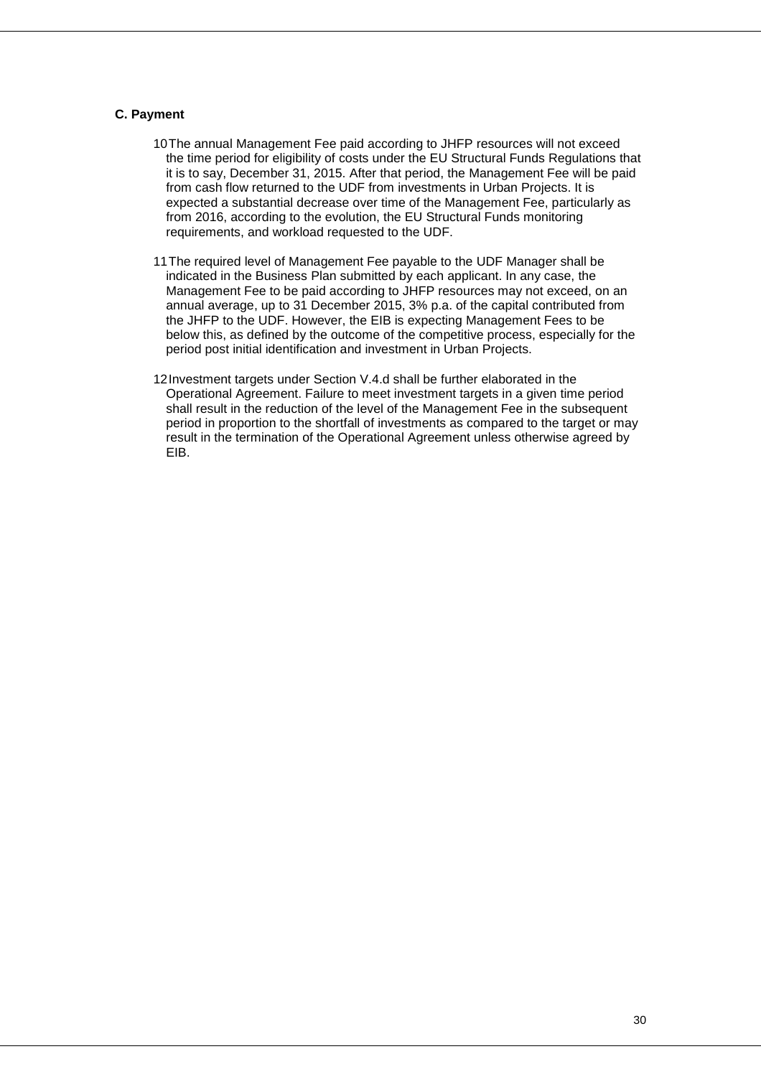#### **C. Payment**

- 10 The annual Management Fee paid according to JHFP resources will not exceed the time period for eligibility of costs under the EU Structural Funds Regulations that it is to say, December 31, 2015. After that period, the Management Fee will be paid from cash flow returned to the UDF from investments in Urban Projects. It is expected a substantial decrease over time of the Management Fee, particularly as from 2016, according to the evolution, the EU Structural Funds monitoring requirements, and workload requested to the UDF.
- 11 The required level of Management Fee payable to the UDF Manager shall be indicated in the Business Plan submitted by each applicant. In any case, the Management Fee to be paid according to JHFP resources may not exceed, on an annual average, up to 31 December 2015, 3% p.a. of the capital contributed from the JHFP to the UDF. However, the EIB is expecting Management Fees to be below this, as defined by the outcome of the competitive process, especially for the period post initial identification and investment in Urban Projects.
- 12 Investment targets under Section V.4.d shall be further elaborated in the Operational Agreement. Failure to meet investment targets in a given time period shall result in the reduction of the level of the Management Fee in the subsequent period in proportion to the shortfall of investments as compared to the target or may result in the termination of the Operational Agreement unless otherwise agreed by EIB.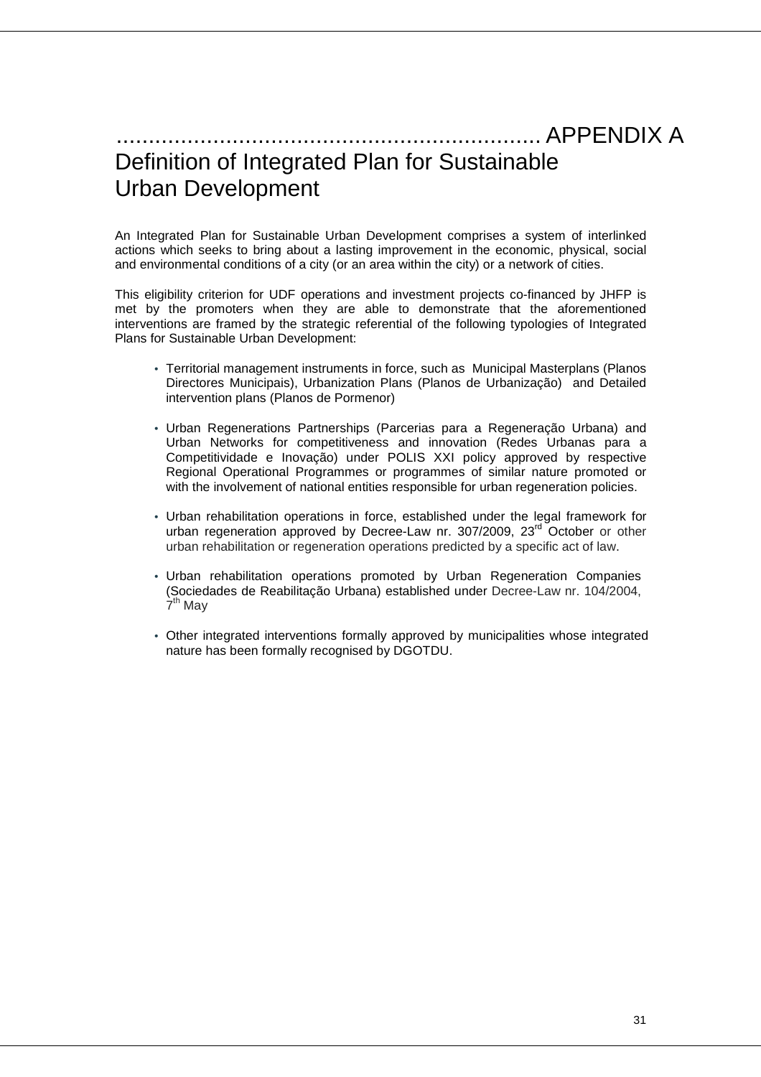# .................................................................. APPENDIX A Definition of Integrated Plan for Sustainable Urban Development

An Integrated Plan for Sustainable Urban Development comprises a system of interlinked actions which seeks to bring about a lasting improvement in the economic, physical, social and environmental conditions of a city (or an area within the city) or a network of cities.

This eligibility criterion for UDF operations and investment projects co-financed by JHFP is met by the promoters when they are able to demonstrate that the aforementioned interventions are framed by the strategic referential of the following typologies of Integrated Plans for Sustainable Urban Development:

- Territorial management instruments in force, such as Municipal Masterplans (Planos Directores Municipais), Urbanization Plans (Planos de Urbanização) and Detailed intervention plans (Planos de Pormenor)
- Urban Regenerations Partnerships (Parcerias para a Regeneração Urbana) and Urban Networks for competitiveness and innovation (Redes Urbanas para a Competitividade e Inovação) under POLIS XXI policy approved by respective Regional Operational Programmes or programmes of similar nature promoted or with the involvement of national entities responsible for urban regeneration policies.
- Urban rehabilitation operations in force, established under the legal framework for urban regeneration approved by Decree-Law nr. 307/2009, 23<sup>rd</sup> October or other urban rehabilitation or regeneration operations predicted by a specific act of law.
- Urban rehabilitation operations promoted by Urban Regeneration Companies (Sociedades de Reabilitação Urbana) established under Decree-Law nr. 104/2004,  $\grave{\mathsf{7}}^\mathsf{th}$  May
- Other integrated interventions formally approved by municipalities whose integrated nature has been formally recognised by DGOTDU.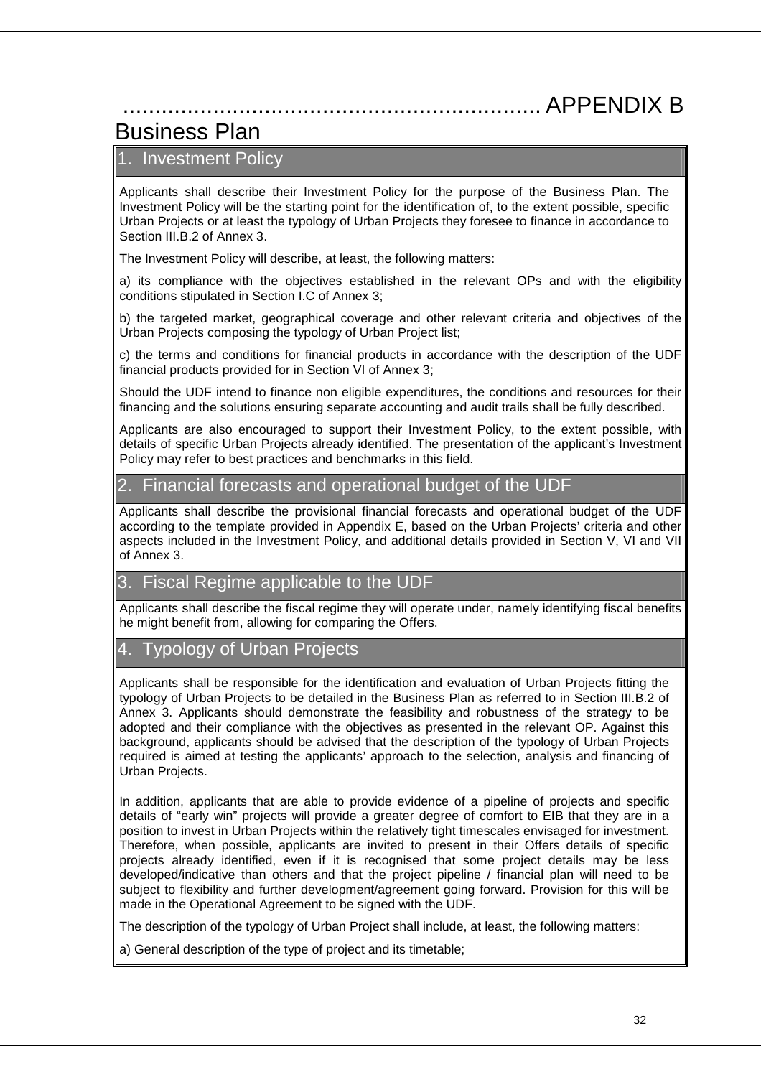# ................................................................. APPENDIX B

# Business Plan

## 1. Investment Policy

Applicants shall describe their Investment Policy for the purpose of the Business Plan. The Investment Policy will be the starting point for the identification of, to the extent possible, specific Urban Projects or at least the typology of Urban Projects they foresee to finance in accordance to Section III.B.2 of Annex 3.

The Investment Policy will describe, at least, the following matters:

a) its compliance with the objectives established in the relevant OPs and with the eligibility conditions stipulated in Section I.C of Annex 3;

b) the targeted market, geographical coverage and other relevant criteria and objectives of the Urban Projects composing the typology of Urban Project list;

c) the terms and conditions for financial products in accordance with the description of the UDF financial products provided for in Section VI of Annex 3;

Should the UDF intend to finance non eligible expenditures, the conditions and resources for their financing and the solutions ensuring separate accounting and audit trails shall be fully described.

Applicants are also encouraged to support their Investment Policy, to the extent possible, with details of specific Urban Projects already identified. The presentation of the applicant's Investment Policy may refer to best practices and benchmarks in this field.

### 2. Financial forecasts and operational budget of the UDF

Applicants shall describe the provisional financial forecasts and operational budget of the UDF according to the template provided in Appendix E, based on the Urban Projects' criteria and other aspects included in the Investment Policy, and additional details provided in Section V, VI and VII of Annex 3.

### 3. Fiscal Regime applicable to the UDF

Applicants shall describe the fiscal regime they will operate under, namely identifying fiscal benefits he might benefit from, allowing for comparing the Offers.

### 4. Typology of Urban Projects

Applicants shall be responsible for the identification and evaluation of Urban Projects fitting the typology of Urban Projects to be detailed in the Business Plan as referred to in Section III.B.2 of Annex 3. Applicants should demonstrate the feasibility and robustness of the strategy to be adopted and their compliance with the objectives as presented in the relevant OP. Against this background, applicants should be advised that the description of the typology of Urban Projects required is aimed at testing the applicants' approach to the selection, analysis and financing of Urban Projects.

In addition, applicants that are able to provide evidence of a pipeline of projects and specific details of "early win" projects will provide a greater degree of comfort to EIB that they are in a position to invest in Urban Projects within the relatively tight timescales envisaged for investment. Therefore, when possible, applicants are invited to present in their Offers details of specific projects already identified, even if it is recognised that some project details may be less developed/indicative than others and that the project pipeline / financial plan will need to be subject to flexibility and further development/agreement going forward. Provision for this will be made in the Operational Agreement to be signed with the UDF.

The description of the typology of Urban Project shall include, at least, the following matters:

a) General description of the type of project and its timetable;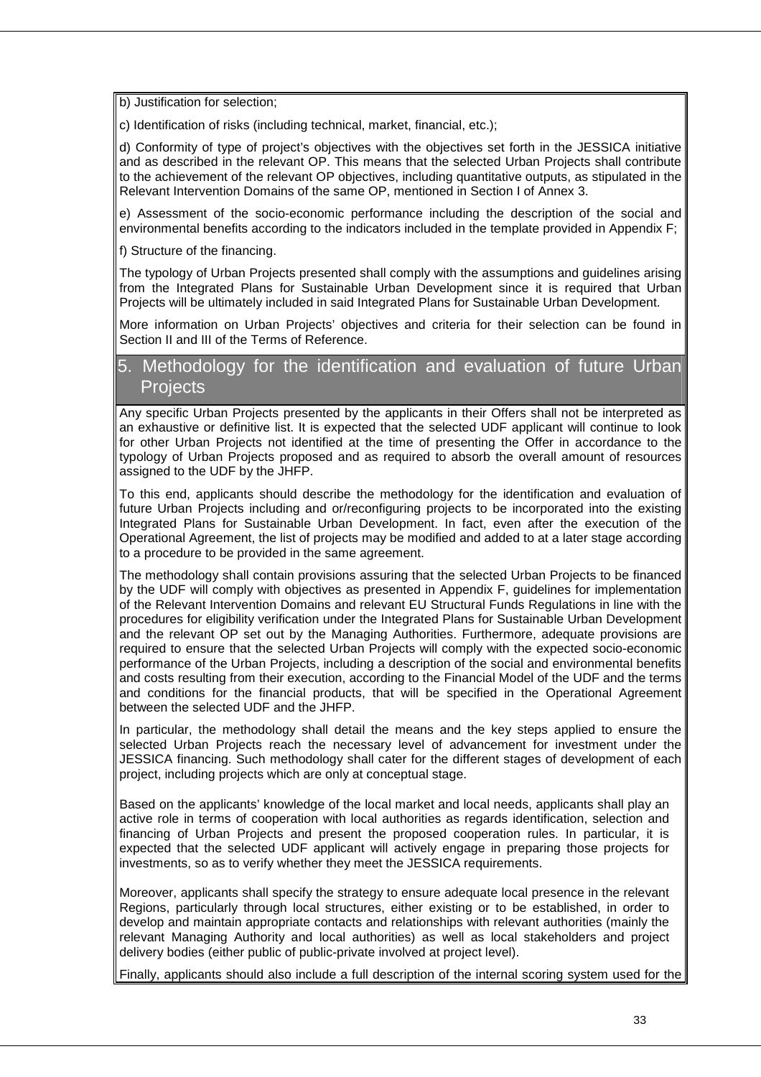b) Justification for selection;

c) Identification of risks (including technical, market, financial, etc.);

d) Conformity of type of project's objectives with the objectives set forth in the JESSICA initiative and as described in the relevant OP. This means that the selected Urban Projects shall contribute to the achievement of the relevant OP objectives, including quantitative outputs, as stipulated in the Relevant Intervention Domains of the same OP, mentioned in Section I of Annex 3.

e) Assessment of the socio-economic performance including the description of the social and environmental benefits according to the indicators included in the template provided in Appendix F;

f) Structure of the financing.

The typology of Urban Projects presented shall comply with the assumptions and guidelines arising from the Integrated Plans for Sustainable Urban Development since it is required that Urban Projects will be ultimately included in said Integrated Plans for Sustainable Urban Development.

More information on Urban Projects' objectives and criteria for their selection can be found in Section II and III of the Terms of Reference.

### 5. Methodology for the identification and evaluation of future Urban **Projects**

Any specific Urban Projects presented by the applicants in their Offers shall not be interpreted as an exhaustive or definitive list. It is expected that the selected UDF applicant will continue to look for other Urban Projects not identified at the time of presenting the Offer in accordance to the typology of Urban Projects proposed and as required to absorb the overall amount of resources assigned to the UDF by the JHFP.

To this end, applicants should describe the methodology for the identification and evaluation of future Urban Projects including and or/reconfiguring projects to be incorporated into the existing Integrated Plans for Sustainable Urban Development. In fact, even after the execution of the Operational Agreement, the list of projects may be modified and added to at a later stage according to a procedure to be provided in the same agreement.

The methodology shall contain provisions assuring that the selected Urban Projects to be financed by the UDF will comply with objectives as presented in Appendix F, guidelines for implementation of the Relevant Intervention Domains and relevant EU Structural Funds Regulations in line with the procedures for eligibility verification under the Integrated Plans for Sustainable Urban Development and the relevant OP set out by the Managing Authorities. Furthermore, adequate provisions are required to ensure that the selected Urban Projects will comply with the expected socio-economic performance of the Urban Projects, including a description of the social and environmental benefits and costs resulting from their execution, according to the Financial Model of the UDF and the terms and conditions for the financial products, that will be specified in the Operational Agreement between the selected UDF and the JHFP.

In particular, the methodology shall detail the means and the key steps applied to ensure the selected Urban Projects reach the necessary level of advancement for investment under the JESSICA financing. Such methodology shall cater for the different stages of development of each project, including projects which are only at conceptual stage.

Based on the applicants' knowledge of the local market and local needs, applicants shall play an active role in terms of cooperation with local authorities as regards identification, selection and financing of Urban Projects and present the proposed cooperation rules. In particular, it is expected that the selected UDF applicant will actively engage in preparing those projects for investments, so as to verify whether they meet the JESSICA requirements.

Moreover, applicants shall specify the strategy to ensure adequate local presence in the relevant Regions, particularly through local structures, either existing or to be established, in order to develop and maintain appropriate contacts and relationships with relevant authorities (mainly the relevant Managing Authority and local authorities) as well as local stakeholders and project delivery bodies (either public of public-private involved at project level).

Finally, applicants should also include a full description of the internal scoring system used for the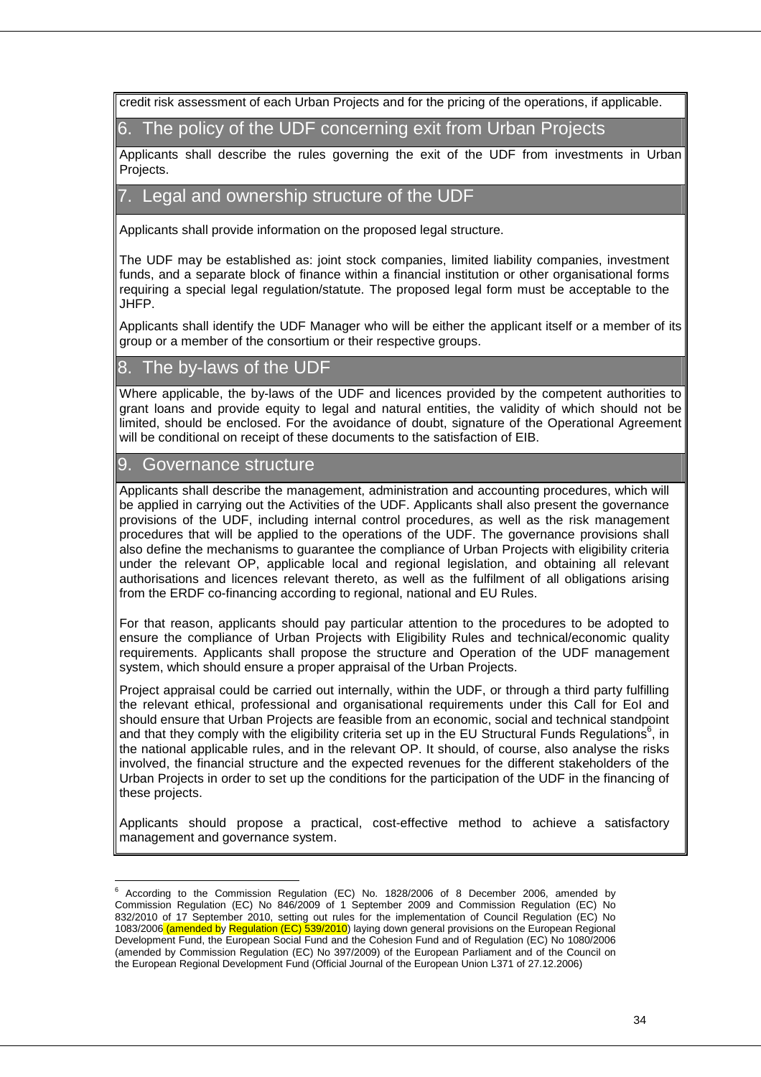credit risk assessment of each Urban Projects and for the pricing of the operations, if applicable.

6. The policy of the UDF concerning exit from Urban Projects

Applicants shall describe the rules governing the exit of the UDF from investments in Urban Projects.

### 7. Legal and ownership structure of the UDF

Applicants shall provide information on the proposed legal structure.

The UDF may be established as: joint stock companies, limited liability companies, investment funds, and a separate block of finance within a financial institution or other organisational forms requiring a special legal regulation/statute. The proposed legal form must be acceptable to the JHFP.

Applicants shall identify the UDF Manager who will be either the applicant itself or a member of its group or a member of the consortium or their respective groups.

### 8. The by-laws of the UDF

Where applicable, the by-laws of the UDF and licences provided by the competent authorities to grant loans and provide equity to legal and natural entities, the validity of which should not be limited, should be enclosed. For the avoidance of doubt, signature of the Operational Agreement will be conditional on receipt of these documents to the satisfaction of EIB.

### 9. Governance structure

Applicants shall describe the management, administration and accounting procedures, which will be applied in carrying out the Activities of the UDF. Applicants shall also present the governance provisions of the UDF, including internal control procedures, as well as the risk management procedures that will be applied to the operations of the UDF. The governance provisions shall also define the mechanisms to guarantee the compliance of Urban Projects with eligibility criteria under the relevant OP, applicable local and regional legislation, and obtaining all relevant authorisations and licences relevant thereto, as well as the fulfilment of all obligations arising from the ERDF co-financing according to regional, national and EU Rules.

For that reason, applicants should pay particular attention to the procedures to be adopted to ensure the compliance of Urban Projects with Eligibility Rules and technical/economic quality requirements. Applicants shall propose the structure and Operation of the UDF management system, which should ensure a proper appraisal of the Urban Projects.

Project appraisal could be carried out internally, within the UDF, or through a third party fulfilling the relevant ethical, professional and organisational requirements under this Call for EoI and should ensure that Urban Projects are feasible from an economic, social and technical standpoint and that they comply with the eligibility criteria set up in the EU Structural Funds Regulations<sup>6</sup>, in the national applicable rules, and in the relevant OP. It should, of course, also analyse the risks involved, the financial structure and the expected revenues for the different stakeholders of the Urban Projects in order to set up the conditions for the participation of the UDF in the financing of these projects.

Applicants should propose a practical, cost-effective method to achieve a satisfactory management and governance system.

 $\overline{a}$ <sup>6</sup> According to the Commission Regulation (EC) No. 1828/2006 of 8 December 2006, amended by Commission Regulation (EC) No 846/2009 of 1 September 2009 and Commission Regulation (EC) No 832/2010 of 17 September 2010, setting out rules for the implementation of Council Regulation (EC) No 1083/2006 (amended by Regulation (EC) 539/2010) laying down general provisions on the European Regional Development Fund, the European Social Fund and the Cohesion Fund and of Regulation (EC) No 1080/2006 (amended by Commission Regulation (EC) No 397/2009) of the European Parliament and of the Council on the European Regional Development Fund (Official Journal of the European Union L371 of 27.12.2006)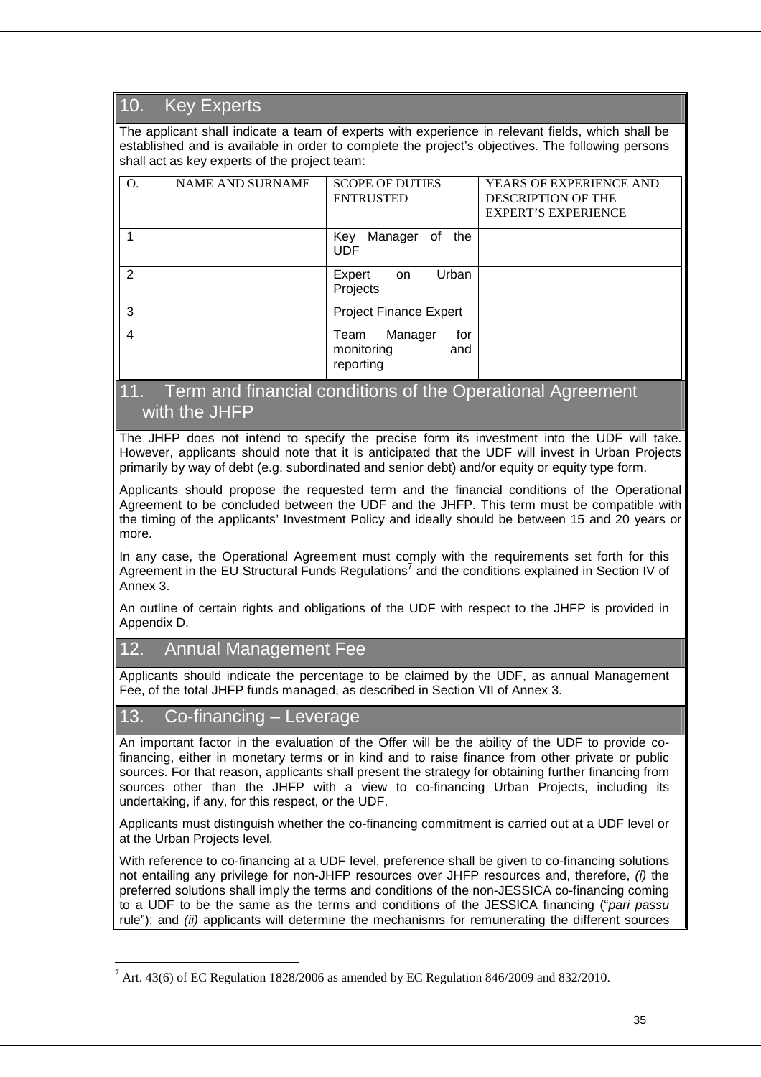# 10. Key Experts

The applicant shall indicate a team of experts with experience in relevant fields, which shall be established and is available in order to complete the project's objectives. The following persons shall act as key experts of the project team:

| O. | <b>NAME AND SURNAME</b> | <b>SCOPE OF DUTIES</b><br><b>ENTRUSTED</b>               | <b>YEARS OF EXPERIENCE AND</b><br><b>DESCRIPTION OF THE</b><br><b>EXPERT'S EXPERIENCE</b> |
|----|-------------------------|----------------------------------------------------------|-------------------------------------------------------------------------------------------|
|    |                         | Manager<br>the<br>Key<br>of<br><b>UDF</b>                |                                                                                           |
| 2  |                         | Urban<br>Expert<br>on.<br>Projects                       |                                                                                           |
| 3  |                         | <b>Project Finance Expert</b>                            |                                                                                           |
| 4  |                         | Manager<br>for<br>Team<br>monitoring<br>and<br>reporting |                                                                                           |

### 11. Term and financial conditions of the Operational Agreement with the JHFP

The JHFP does not intend to specify the precise form its investment into the UDF will take. However, applicants should note that it is anticipated that the UDF will invest in Urban Projects primarily by way of debt (e.g. subordinated and senior debt) and/or equity or equity type form.

Applicants should propose the requested term and the financial conditions of the Operational Agreement to be concluded between the UDF and the JHFP. This term must be compatible with the timing of the applicants' Investment Policy and ideally should be between 15 and 20 years or more.

In any case, the Operational Agreement must comply with the requirements set forth for this Agreement in the EU Structural Funds Regulations<sup>7</sup> and the conditions explained in Section IV of Annex 3.

An outline of certain rights and obligations of the UDF with respect to the JHFP is provided in Appendix D.

### 12. Annual Management Fee

Applicants should indicate the percentage to be claimed by the UDF, as annual Management Fee, of the total JHFP funds managed, as described in Section VII of Annex 3.

### 13. Co-financing – Leverage

 $\overline{a}$ 

An important factor in the evaluation of the Offer will be the ability of the UDF to provide cofinancing, either in monetary terms or in kind and to raise finance from other private or public sources. For that reason, applicants shall present the strategy for obtaining further financing from sources other than the JHFP with a view to co-financing Urban Projects, including its undertaking, if any, for this respect, or the UDF.

Applicants must distinguish whether the co-financing commitment is carried out at a UDF level or at the Urban Projects level.

With reference to co-financing at a UDF level, preference shall be given to co-financing solutions not entailing any privilege for non-JHFP resources over JHFP resources and, therefore, (i) the preferred solutions shall imply the terms and conditions of the non-JESSICA co-financing coming to a UDF to be the same as the terms and conditions of the JESSICA financing ("pari passu rule"); and (ii) applicants will determine the mechanisms for remunerating the different sources

 $^7$  Art. 43(6) of EC Regulation 1828/2006 as amended by EC Regulation 846/2009 and 832/2010.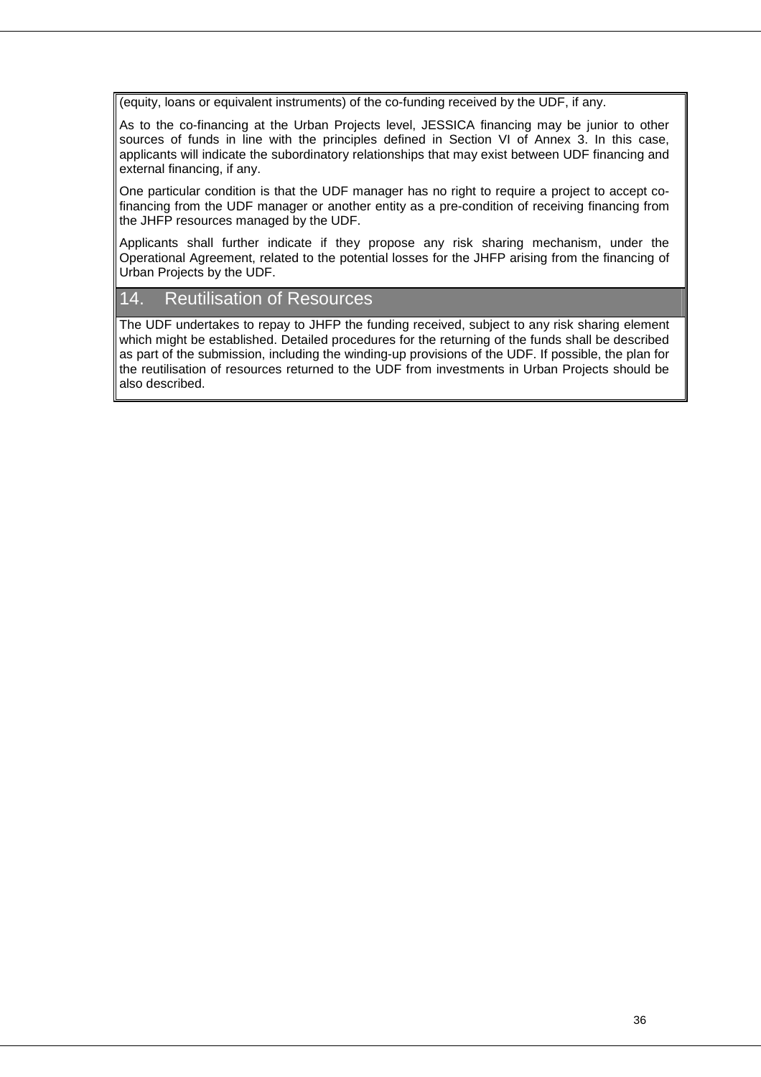(equity, loans or equivalent instruments) of the co-funding received by the UDF, if any.

As to the co-financing at the Urban Projects level, JESSICA financing may be junior to other sources of funds in line with the principles defined in Section VI of Annex 3. In this case, applicants will indicate the subordinatory relationships that may exist between UDF financing and external financing, if any.

One particular condition is that the UDF manager has no right to require a project to accept cofinancing from the UDF manager or another entity as a pre-condition of receiving financing from the JHFP resources managed by the UDF.

Applicants shall further indicate if they propose any risk sharing mechanism, under the Operational Agreement, related to the potential losses for the JHFP arising from the financing of Urban Projects by the UDF.

### 14. Reutilisation of Resources

The UDF undertakes to repay to JHFP the funding received, subject to any risk sharing element which might be established. Detailed procedures for the returning of the funds shall be described as part of the submission, including the winding-up provisions of the UDF. If possible, the plan for the reutilisation of resources returned to the UDF from investments in Urban Projects should be also described.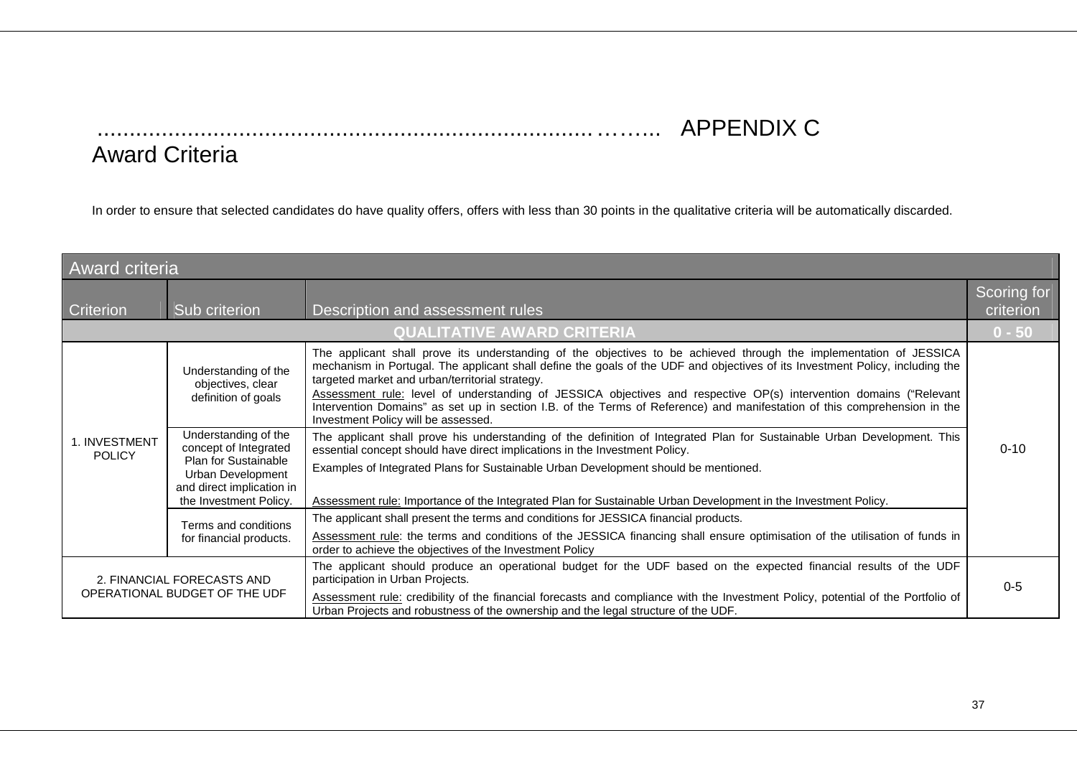# .............................................................................……... APPENDIX C

# Award Criteria

In order to ensure that selected candidates do have quality offers, offers with less than 30 points in the qualitative criteria will be automatically discarded.

| <b>Award criteria</b>          |                                                                                                                                                   |                                                                                                                                                                                                                                                                                                                                                                                                                                                                                                                                                                                                  |                          |
|--------------------------------|---------------------------------------------------------------------------------------------------------------------------------------------------|--------------------------------------------------------------------------------------------------------------------------------------------------------------------------------------------------------------------------------------------------------------------------------------------------------------------------------------------------------------------------------------------------------------------------------------------------------------------------------------------------------------------------------------------------------------------------------------------------|--------------------------|
| <b>Criterion</b>               | Sub criterion                                                                                                                                     | Description and assessment rules                                                                                                                                                                                                                                                                                                                                                                                                                                                                                                                                                                 | Scoring for<br>criterion |
|                                | <b>QUALITATIVE AWARD CRITERIA</b>                                                                                                                 |                                                                                                                                                                                                                                                                                                                                                                                                                                                                                                                                                                                                  | $0 - 50$                 |
|                                | Understanding of the<br>objectives, clear<br>definition of goals                                                                                  | The applicant shall prove its understanding of the objectives to be achieved through the implementation of JESSICA<br>mechanism in Portugal. The applicant shall define the goals of the UDF and objectives of its Investment Policy, including the<br>targeted market and urban/territorial strategy.<br>Assessment rule: level of understanding of JESSICA objectives and respective OP(s) intervention domains ("Relevant<br>Intervention Domains" as set up in section I.B. of the Terms of Reference) and manifestation of this comprehension in the<br>Investment Policy will be assessed. |                          |
| 1. INVESTMENT<br><b>POLICY</b> | Understanding of the<br>concept of Integrated<br>Plan for Sustainable<br>Urban Development<br>and direct implication in<br>the Investment Policy. | The applicant shall prove his understanding of the definition of Integrated Plan for Sustainable Urban Development. This<br>essential concept should have direct implications in the Investment Policy.<br>Examples of Integrated Plans for Sustainable Urban Development should be mentioned.<br>Assessment rule: Importance of the Integrated Plan for Sustainable Urban Development in the Investment Policy.                                                                                                                                                                                 | $0 - 10$                 |
|                                | Terms and conditions<br>for financial products.                                                                                                   | The applicant shall present the terms and conditions for JESSICA financial products.<br>Assessment rule: the terms and conditions of the JESSICA financing shall ensure optimisation of the utilisation of funds in<br>order to achieve the objectives of the Investment Policy                                                                                                                                                                                                                                                                                                                  |                          |
|                                | 2. FINANCIAL FORECASTS AND<br>OPERATIONAL BUDGET OF THE UDF                                                                                       | The applicant should produce an operational budget for the UDF based on the expected financial results of the UDF<br>participation in Urban Projects.<br>Assessment rule: credibility of the financial forecasts and compliance with the Investment Policy, potential of the Portfolio of<br>Urban Projects and robustness of the ownership and the legal structure of the UDF.                                                                                                                                                                                                                  | $0 - 5$                  |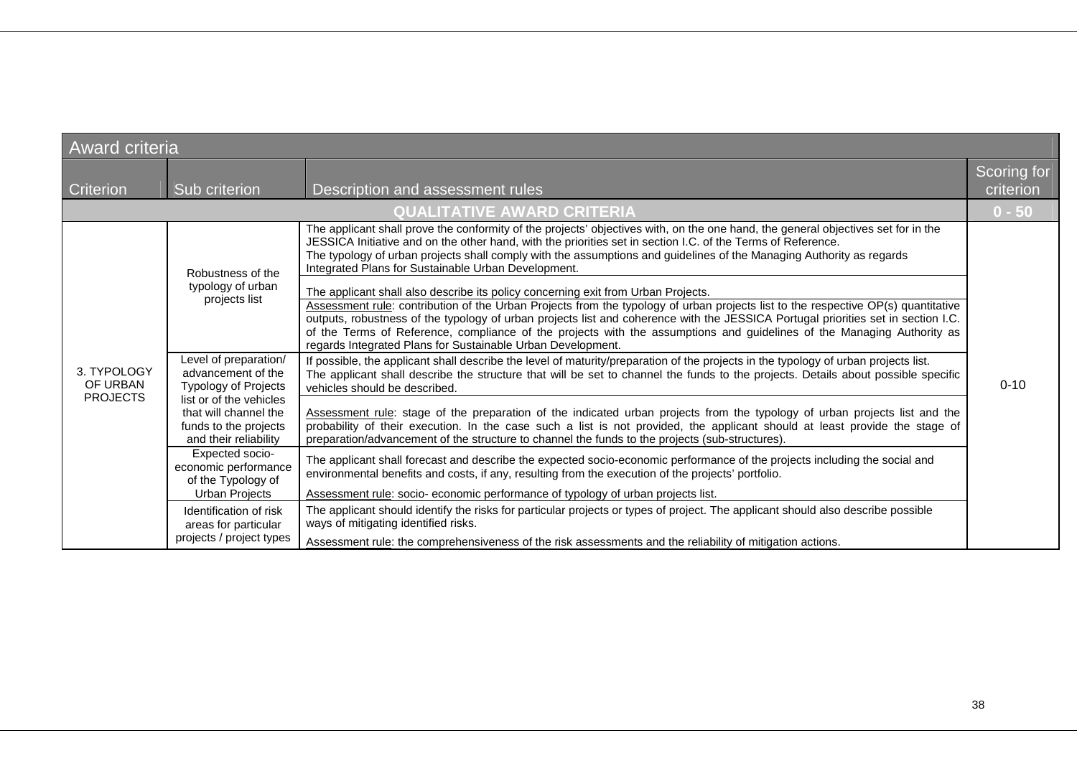| <b>Award criteria</b>                      |                                                                                                                                                                                                                                                                                                                                                   |                                                                                                                                                                                                                                                                                                                                                                                                                                                                                                                                                                                                                                                                                                                                                                                                                                                                                                                                                                                          |          |  |  |  |
|--------------------------------------------|---------------------------------------------------------------------------------------------------------------------------------------------------------------------------------------------------------------------------------------------------------------------------------------------------------------------------------------------------|------------------------------------------------------------------------------------------------------------------------------------------------------------------------------------------------------------------------------------------------------------------------------------------------------------------------------------------------------------------------------------------------------------------------------------------------------------------------------------------------------------------------------------------------------------------------------------------------------------------------------------------------------------------------------------------------------------------------------------------------------------------------------------------------------------------------------------------------------------------------------------------------------------------------------------------------------------------------------------------|----------|--|--|--|
| <b>Criterion</b>                           | Sub criterion                                                                                                                                                                                                                                                                                                                                     | Description and assessment rules                                                                                                                                                                                                                                                                                                                                                                                                                                                                                                                                                                                                                                                                                                                                                                                                                                                                                                                                                         |          |  |  |  |
|                                            |                                                                                                                                                                                                                                                                                                                                                   | <b>QUALITATIVE AWARD CRITERIA</b>                                                                                                                                                                                                                                                                                                                                                                                                                                                                                                                                                                                                                                                                                                                                                                                                                                                                                                                                                        | $0 - 50$ |  |  |  |
|                                            | Robustness of the<br>typology of urban<br>projects list                                                                                                                                                                                                                                                                                           | The applicant shall prove the conformity of the projects' objectives with, on the one hand, the general objectives set for in the<br>JESSICA Initiative and on the other hand, with the priorities set in section I.C. of the Terms of Reference.<br>The typology of urban projects shall comply with the assumptions and guidelines of the Managing Authority as regards<br>Integrated Plans for Sustainable Urban Development.<br>The applicant shall also describe its policy concerning exit from Urban Projects.<br>Assessment rule: contribution of the Urban Projects from the typology of urban projects list to the respective OP(s) quantitative<br>outputs, robustness of the typology of urban projects list and coherence with the JESSICA Portugal priorities set in section I.C.<br>of the Terms of Reference, compliance of the projects with the assumptions and guidelines of the Managing Authority as<br>regards Integrated Plans for Sustainable Urban Development. |          |  |  |  |
| 3. TYPOLOGY<br>OF URBAN<br><b>PROJECTS</b> | Level of preparation/<br>advancement of the<br><b>Typology of Projects</b><br>list or of the vehicles<br>that will channel the<br>funds to the projects<br>and their reliability<br>Expected socio-<br>economic performance<br>of the Typology of<br>Urban Projects<br>Identification of risk<br>areas for particular<br>projects / project types | If possible, the applicant shall describe the level of maturity/preparation of the projects in the typology of urban projects list.<br>The applicant shall describe the structure that will be set to channel the funds to the projects. Details about possible specific<br>vehicles should be described.<br>Assessment rule: stage of the preparation of the indicated urban projects from the typology of urban projects list and the<br>probability of their execution. In the case such a list is not provided, the applicant should at least provide the stage of<br>preparation/advancement of the structure to channel the funds to the projects (sub-structures).                                                                                                                                                                                                                                                                                                                | $0 - 10$ |  |  |  |
|                                            |                                                                                                                                                                                                                                                                                                                                                   | The applicant shall forecast and describe the expected socio-economic performance of the projects including the social and<br>environmental benefits and costs, if any, resulting from the execution of the projects' portfolio.<br>Assessment rule: socio- economic performance of typology of urban projects list.                                                                                                                                                                                                                                                                                                                                                                                                                                                                                                                                                                                                                                                                     |          |  |  |  |
|                                            |                                                                                                                                                                                                                                                                                                                                                   | The applicant should identify the risks for particular projects or types of project. The applicant should also describe possible<br>ways of mitigating identified risks.<br>Assessment rule: the comprehensiveness of the risk assessments and the reliability of mitigation actions.                                                                                                                                                                                                                                                                                                                                                                                                                                                                                                                                                                                                                                                                                                    |          |  |  |  |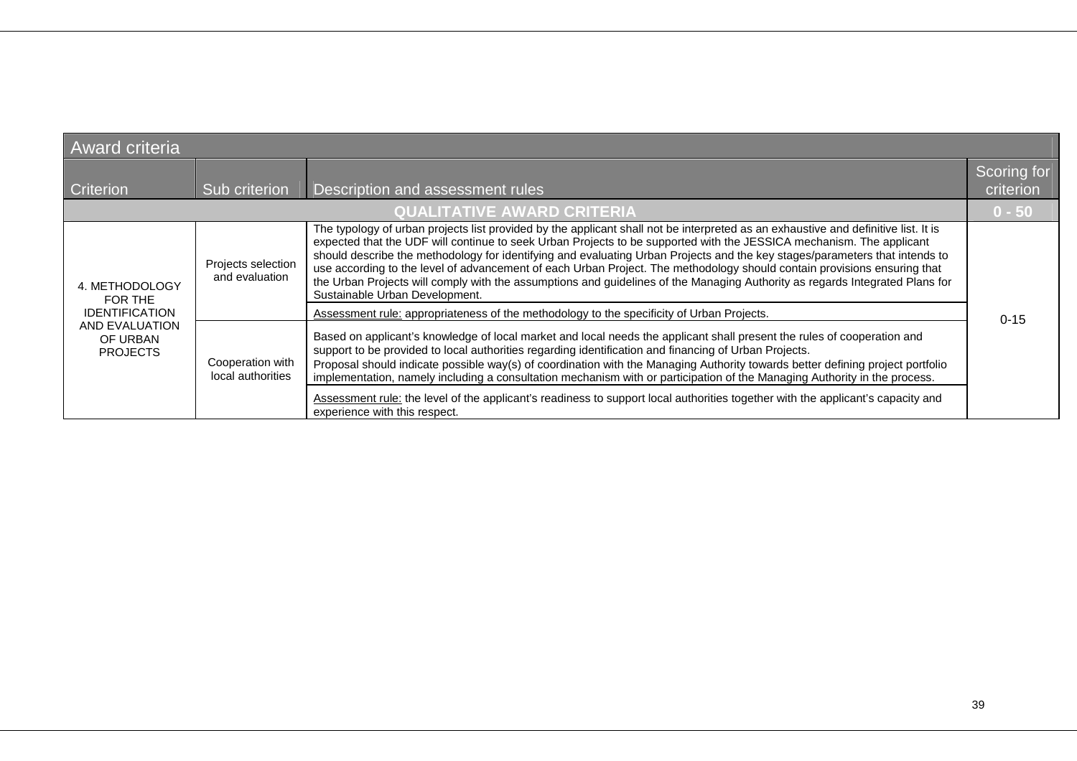| <b>Award criteria</b>                         |                                                                  |                                                                                                                                                                                                                                                                                                                                                                                                                                                                                                                                                                                                                                                                                         |          |  |  |
|-----------------------------------------------|------------------------------------------------------------------|-----------------------------------------------------------------------------------------------------------------------------------------------------------------------------------------------------------------------------------------------------------------------------------------------------------------------------------------------------------------------------------------------------------------------------------------------------------------------------------------------------------------------------------------------------------------------------------------------------------------------------------------------------------------------------------------|----------|--|--|
| Criterion                                     | Scoring for<br>Sub criterion<br>Description and assessment rules |                                                                                                                                                                                                                                                                                                                                                                                                                                                                                                                                                                                                                                                                                         |          |  |  |
| <b>QUALITATIVE AWARD CRITERIA</b><br>$0 - 50$ |                                                                  |                                                                                                                                                                                                                                                                                                                                                                                                                                                                                                                                                                                                                                                                                         |          |  |  |
| 4. METHODOLOGY<br>FOR THE                     | Projects selection<br>and evaluation                             | The typology of urban projects list provided by the applicant shall not be interpreted as an exhaustive and definitive list. It is<br>expected that the UDF will continue to seek Urban Projects to be supported with the JESSICA mechanism. The applicant<br>should describe the methodology for identifying and evaluating Urban Projects and the key stages/parameters that intends to<br>use according to the level of advancement of each Urban Project. The methodology should contain provisions ensuring that<br>the Urban Projects will comply with the assumptions and guidelines of the Managing Authority as regards Integrated Plans for<br>Sustainable Urban Development. |          |  |  |
| <b>IDENTIFICATION</b>                         |                                                                  | Assessment rule: appropriateness of the methodology to the specificity of Urban Projects.                                                                                                                                                                                                                                                                                                                                                                                                                                                                                                                                                                                               | $0 - 15$ |  |  |
| AND EVALUATION<br>OF URBAN<br><b>PROJECTS</b> | Cooperation with<br>local authorities                            | Based on applicant's knowledge of local market and local needs the applicant shall present the rules of cooperation and<br>support to be provided to local authorities regarding identification and financing of Urban Projects.<br>Proposal should indicate possible way(s) of coordination with the Managing Authority towards better defining project portfolio<br>implementation, namely including a consultation mechanism with or participation of the Managing Authority in the process.<br>Assessment rule: the level of the applicant's readiness to support local authorities together with the applicant's capacity and<br>experience with this respect.                     |          |  |  |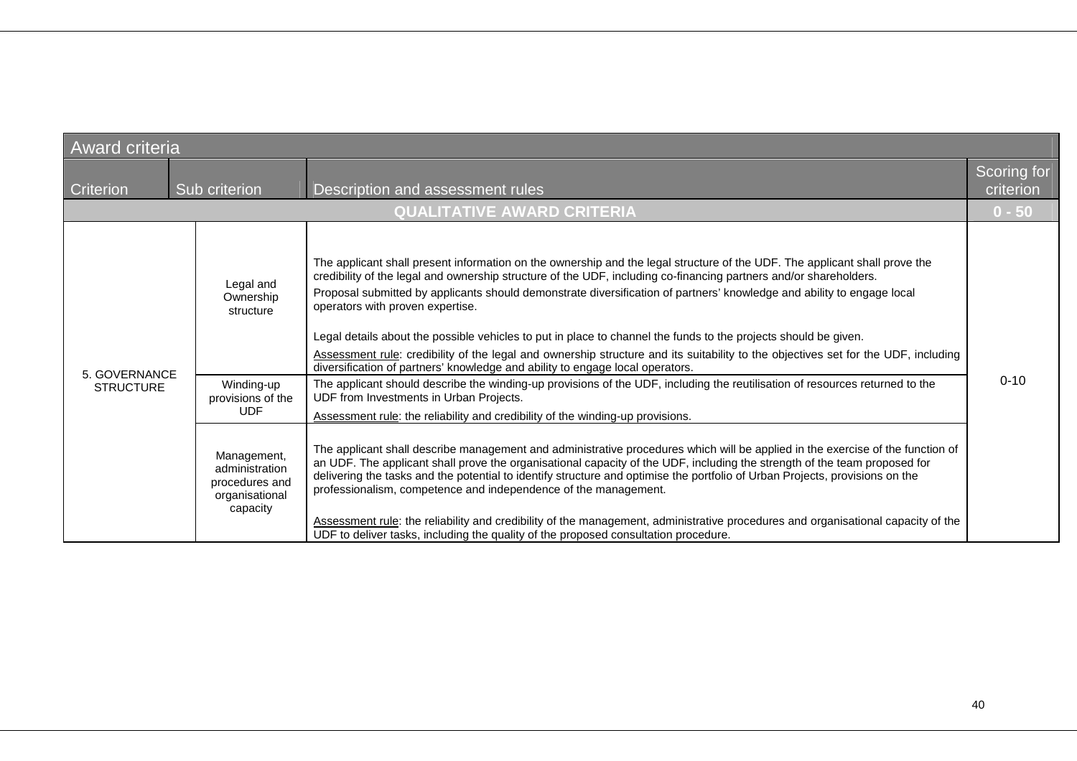| <b>Award criteria</b>                         |                                                                                                                       |                                                                                                                                                                                                                                                                                                                                                                                                                                                                                                                                                                                                                                                                                                                                                                                                                                                                                                                                                                                                                                                                                                                                                                                                                                                                                     |                          |  |  |  |
|-----------------------------------------------|-----------------------------------------------------------------------------------------------------------------------|-------------------------------------------------------------------------------------------------------------------------------------------------------------------------------------------------------------------------------------------------------------------------------------------------------------------------------------------------------------------------------------------------------------------------------------------------------------------------------------------------------------------------------------------------------------------------------------------------------------------------------------------------------------------------------------------------------------------------------------------------------------------------------------------------------------------------------------------------------------------------------------------------------------------------------------------------------------------------------------------------------------------------------------------------------------------------------------------------------------------------------------------------------------------------------------------------------------------------------------------------------------------------------------|--------------------------|--|--|--|
| Criterion<br>Sub criterion                    |                                                                                                                       | Description and assessment rules                                                                                                                                                                                                                                                                                                                                                                                                                                                                                                                                                                                                                                                                                                                                                                                                                                                                                                                                                                                                                                                                                                                                                                                                                                                    | Scoring for<br>criterion |  |  |  |
| <b>QUALITATIVE AWARD CRITERIA</b><br>$0 - 50$ |                                                                                                                       |                                                                                                                                                                                                                                                                                                                                                                                                                                                                                                                                                                                                                                                                                                                                                                                                                                                                                                                                                                                                                                                                                                                                                                                                                                                                                     |                          |  |  |  |
| 5. GOVERNANCE<br><b>STRUCTURE</b>             | Legal and<br>Ownership<br>structure<br>Winding-up<br>provisions of the<br><b>UDF</b><br>Management,<br>administration | The applicant shall present information on the ownership and the legal structure of the UDF. The applicant shall prove the<br>credibility of the legal and ownership structure of the UDF, including co-financing partners and/or shareholders.<br>Proposal submitted by applicants should demonstrate diversification of partners' knowledge and ability to engage local<br>operators with proven expertise.<br>Legal details about the possible vehicles to put in place to channel the funds to the projects should be given.<br>Assessment rule: credibility of the legal and ownership structure and its suitability to the objectives set for the UDF, including<br>diversification of partners' knowledge and ability to engage local operators.<br>The applicant should describe the winding-up provisions of the UDF, including the reutilisation of resources returned to the<br>UDF from Investments in Urban Projects.<br>Assessment rule: the reliability and credibility of the winding-up provisions.<br>The applicant shall describe management and administrative procedures which will be applied in the exercise of the function of<br>an UDF. The applicant shall prove the organisational capacity of the UDF, including the strength of the team proposed for | $0 - 10$                 |  |  |  |
|                                               | procedures and<br>organisational<br>capacity                                                                          | delivering the tasks and the potential to identify structure and optimise the portfolio of Urban Projects, provisions on the<br>professionalism, competence and independence of the management.<br>Assessment rule: the reliability and credibility of the management, administrative procedures and organisational capacity of the<br>UDF to deliver tasks, including the quality of the proposed consultation procedure.                                                                                                                                                                                                                                                                                                                                                                                                                                                                                                                                                                                                                                                                                                                                                                                                                                                          |                          |  |  |  |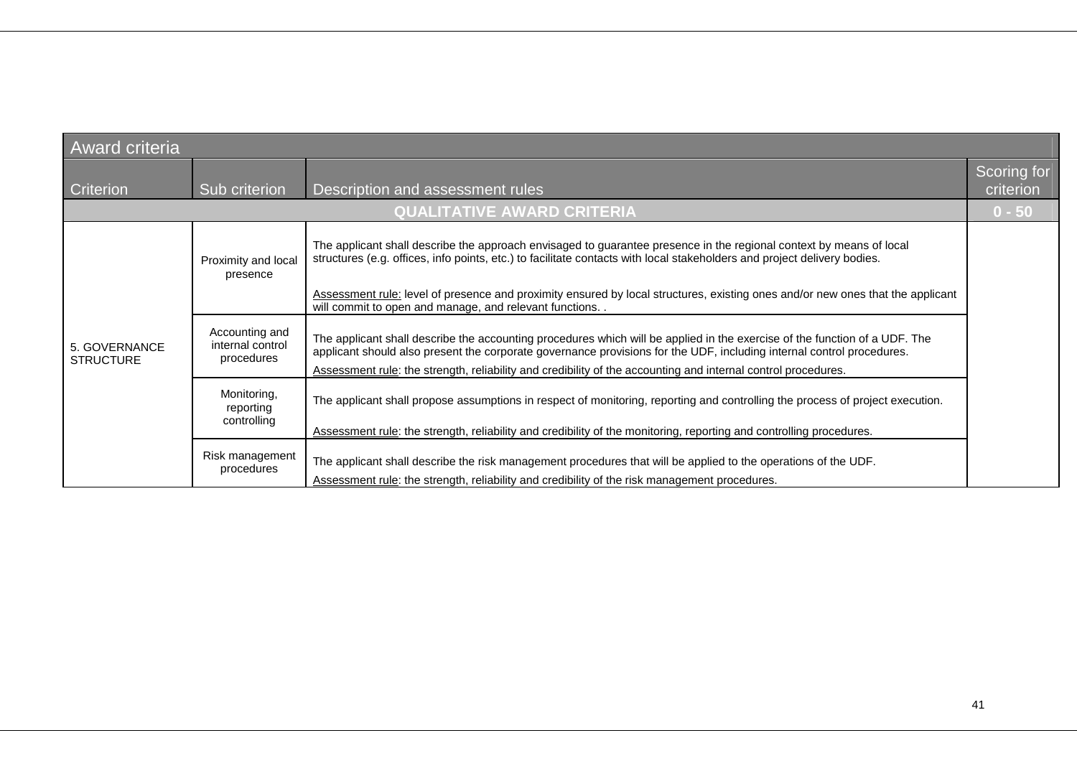| <b>Award criteria</b>             |                                                  |                                                                                                                                                                                                                                                                                                                                                                                                                                             |                          |  |  |
|-----------------------------------|--------------------------------------------------|---------------------------------------------------------------------------------------------------------------------------------------------------------------------------------------------------------------------------------------------------------------------------------------------------------------------------------------------------------------------------------------------------------------------------------------------|--------------------------|--|--|
| Criterion                         | Sub criterion                                    | Description and assessment rules                                                                                                                                                                                                                                                                                                                                                                                                            | Scoring for<br>criterion |  |  |
|                                   |                                                  | <b>QUALITATIVE AWARD CRITERIA</b>                                                                                                                                                                                                                                                                                                                                                                                                           | $0 - 50$                 |  |  |
|                                   | Proximity and local<br>presence                  | The applicant shall describe the approach envisaged to guarantee presence in the regional context by means of local<br>structures (e.g. offices, info points, etc.) to facilitate contacts with local stakeholders and project delivery bodies.<br>Assessment rule: level of presence and proximity ensured by local structures, existing ones and/or new ones that the applicant<br>will commit to open and manage, and relevant functions |                          |  |  |
| 5. GOVERNANCE<br><b>STRUCTURE</b> | Accounting and<br>internal control<br>procedures | The applicant shall describe the accounting procedures which will be applied in the exercise of the function of a UDF. The<br>applicant should also present the corporate governance provisions for the UDF, including internal control procedures.<br>Assessment rule: the strength, reliability and credibility of the accounting and internal control procedures.                                                                        |                          |  |  |
|                                   | Monitoring,<br>reporting<br>controlling          | The applicant shall propose assumptions in respect of monitoring, reporting and controlling the process of project execution.<br>Assessment rule: the strength, reliability and credibility of the monitoring, reporting and controlling procedures.                                                                                                                                                                                        |                          |  |  |
|                                   | Risk management<br>procedures                    | The applicant shall describe the risk management procedures that will be applied to the operations of the UDF.<br>Assessment rule: the strength, reliability and credibility of the risk management procedures.                                                                                                                                                                                                                             |                          |  |  |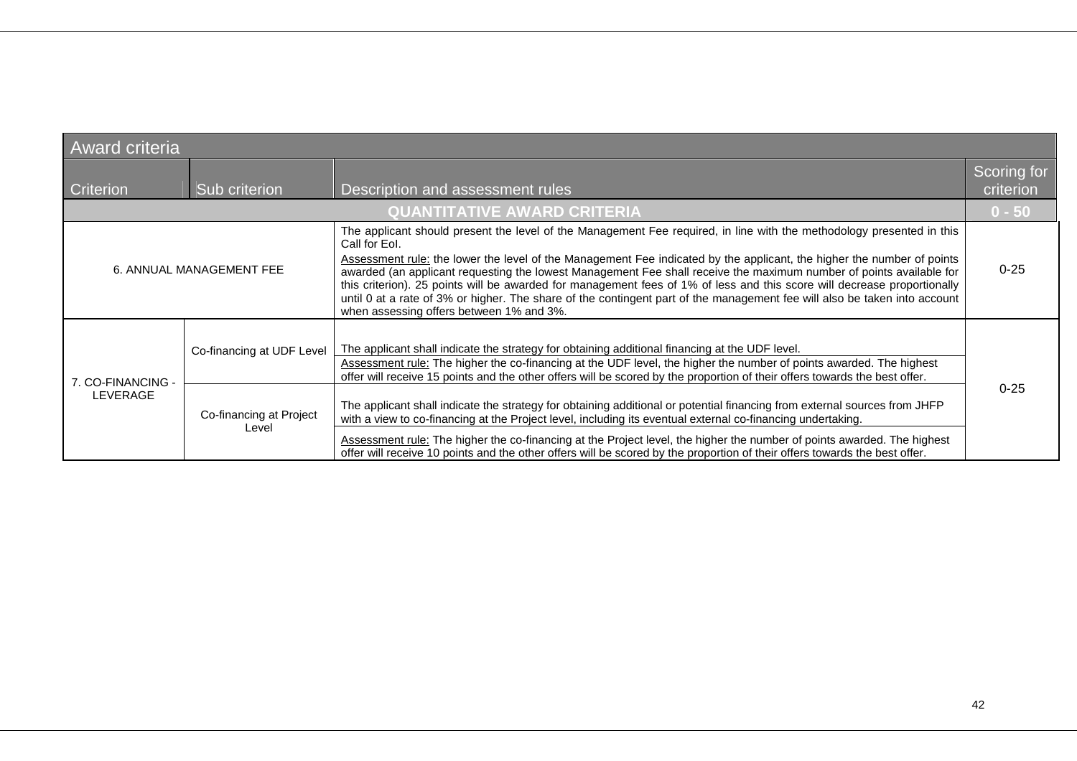| <b>Award criteria</b>              |                                  |                                                                                                                                                                                                                                                                                                                                                                                                                                                                                                                                                                                                                                                                                              |                          |  |  |
|------------------------------------|----------------------------------|----------------------------------------------------------------------------------------------------------------------------------------------------------------------------------------------------------------------------------------------------------------------------------------------------------------------------------------------------------------------------------------------------------------------------------------------------------------------------------------------------------------------------------------------------------------------------------------------------------------------------------------------------------------------------------------------|--------------------------|--|--|
| Criterion<br>Sub criterion         |                                  | Description and assessment rules                                                                                                                                                                                                                                                                                                                                                                                                                                                                                                                                                                                                                                                             | Scoring for<br>criterion |  |  |
| <b>QUANTITATIVE AWARD CRITERIA</b> |                                  |                                                                                                                                                                                                                                                                                                                                                                                                                                                                                                                                                                                                                                                                                              |                          |  |  |
|                                    | 6. ANNUAL MANAGEMENT FEE         | The applicant should present the level of the Management Fee required, in line with the methodology presented in this<br>Call for Eol.<br>Assessment rule: the lower the level of the Management Fee indicated by the applicant, the higher the number of points<br>awarded (an applicant requesting the lowest Management Fee shall receive the maximum number of points available for<br>this criterion). 25 points will be awarded for management fees of 1% of less and this score will decrease proportionally<br>until 0 at a rate of 3% or higher. The share of the contingent part of the management fee will also be taken into account<br>when assessing offers between 1% and 3%. | $0 - 25$                 |  |  |
| 7. CO-FINANCING -                  | Co-financing at UDF Level        | The applicant shall indicate the strategy for obtaining additional financing at the UDF level.<br>Assessment rule: The higher the co-financing at the UDF level, the higher the number of points awarded. The highest<br>offer will receive 15 points and the other offers will be scored by the proportion of their offers towards the best offer.                                                                                                                                                                                                                                                                                                                                          | $0 - 25$                 |  |  |
| LEVERAGE                           | Co-financing at Project<br>Level | The applicant shall indicate the strategy for obtaining additional or potential financing from external sources from JHFP<br>with a view to co-financing at the Project level, including its eventual external co-financing undertaking.<br>Assessment rule: The higher the co-financing at the Project level, the higher the number of points awarded. The highest<br>offer will receive 10 points and the other offers will be scored by the proportion of their offers towards the best offer.                                                                                                                                                                                            |                          |  |  |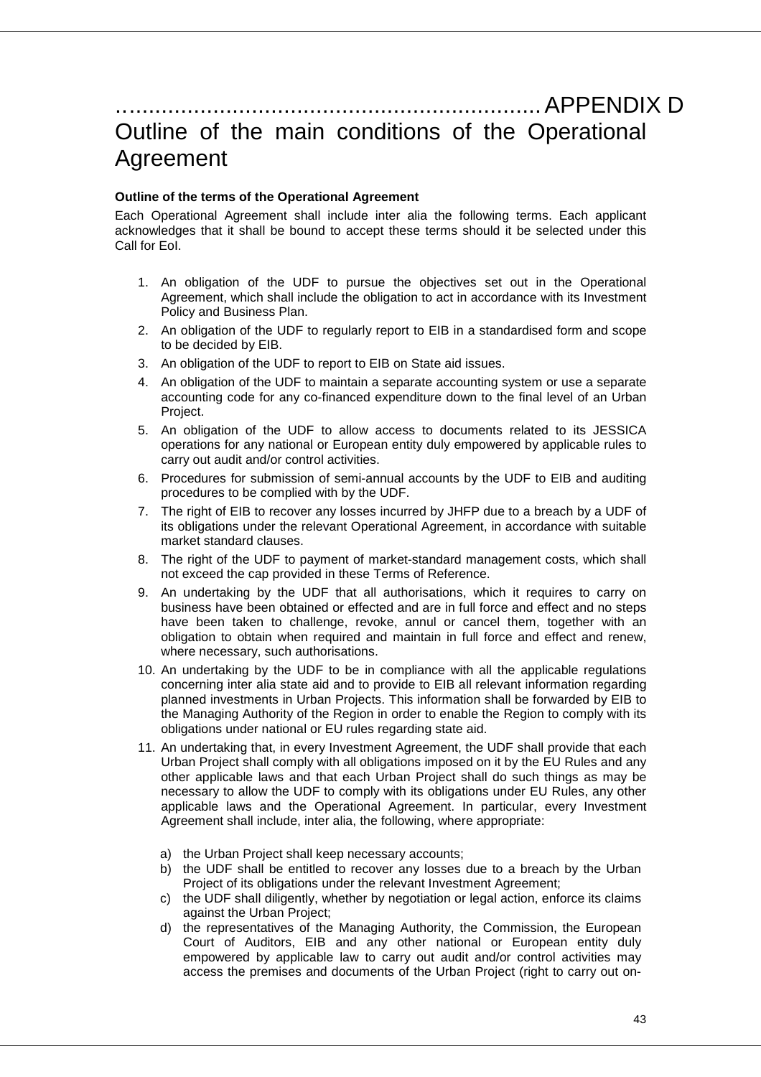# .................................................................. APPENDIX D Outline of the main conditions of the Operational Agreement

#### **Outline of the terms of the Operational Agreement**

Each Operational Agreement shall include inter alia the following terms. Each applicant acknowledges that it shall be bound to accept these terms should it be selected under this Call for EoI.

- 1. An obligation of the UDF to pursue the objectives set out in the Operational Agreement, which shall include the obligation to act in accordance with its Investment Policy and Business Plan.
- 2. An obligation of the UDF to regularly report to EIB in a standardised form and scope to be decided by EIB.
- 3. An obligation of the UDF to report to EIB on State aid issues.
- 4. An obligation of the UDF to maintain a separate accounting system or use a separate accounting code for any co-financed expenditure down to the final level of an Urban Project.
- 5. An obligation of the UDF to allow access to documents related to its JESSICA operations for any national or European entity duly empowered by applicable rules to carry out audit and/or control activities.
- 6. Procedures for submission of semi-annual accounts by the UDF to EIB and auditing procedures to be complied with by the UDF.
- 7. The right of EIB to recover any losses incurred by JHFP due to a breach by a UDF of its obligations under the relevant Operational Agreement, in accordance with suitable market standard clauses.
- 8. The right of the UDF to payment of market-standard management costs, which shall not exceed the cap provided in these Terms of Reference.
- 9. An undertaking by the UDF that all authorisations, which it requires to carry on business have been obtained or effected and are in full force and effect and no steps have been taken to challenge, revoke, annul or cancel them, together with an obligation to obtain when required and maintain in full force and effect and renew, where necessary, such authorisations.
- 10. An undertaking by the UDF to be in compliance with all the applicable regulations concerning inter alia state aid and to provide to EIB all relevant information regarding planned investments in Urban Projects. This information shall be forwarded by EIB to the Managing Authority of the Region in order to enable the Region to comply with its obligations under national or EU rules regarding state aid.
- 11. An undertaking that, in every Investment Agreement, the UDF shall provide that each Urban Project shall comply with all obligations imposed on it by the EU Rules and any other applicable laws and that each Urban Project shall do such things as may be necessary to allow the UDF to comply with its obligations under EU Rules, any other applicable laws and the Operational Agreement. In particular, every Investment Agreement shall include, inter alia, the following, where appropriate:
	- a) the Urban Project shall keep necessary accounts;
	- b) the UDF shall be entitled to recover any losses due to a breach by the Urban Project of its obligations under the relevant Investment Agreement;
	- c) the UDF shall diligently, whether by negotiation or legal action, enforce its claims against the Urban Project;
	- d) the representatives of the Managing Authority, the Commission, the European Court of Auditors, EIB and any other national or European entity duly empowered by applicable law to carry out audit and/or control activities may access the premises and documents of the Urban Project (right to carry out on-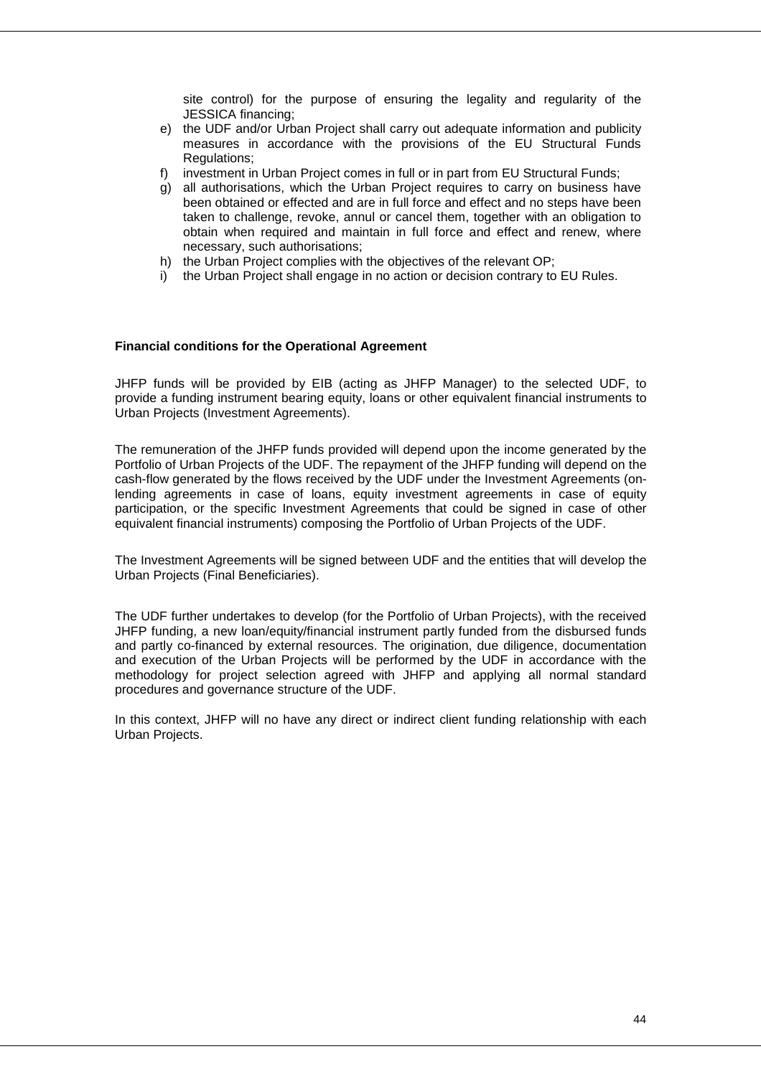site control) for the purpose of ensuring the legality and regularity of the JESSICA financing;

- e) the UDF and/or Urban Project shall carry out adequate information and publicity measures in accordance with the provisions of the EU Structural Funds Regulations;
- f) investment in Urban Project comes in full or in part from EU Structural Funds;
- g) all authorisations, which the Urban Project requires to carry on business have been obtained or effected and are in full force and effect and no steps have been taken to challenge, revoke, annul or cancel them, together with an obligation to obtain when required and maintain in full force and effect and renew, where necessary, such authorisations;
- h) the Urban Project complies with the objectives of the relevant OP;
- i) the Urban Project shall engage in no action or decision contrary to EU Rules.

#### **Financial conditions for the Operational Agreement**

JHFP funds will be provided by EIB (acting as JHFP Manager) to the selected UDF, to provide a funding instrument bearing equity, loans or other equivalent financial instruments to Urban Projects (Investment Agreements).

The remuneration of the JHFP funds provided will depend upon the income generated by the Portfolio of Urban Projects of the UDF. The repayment of the JHFP funding will depend on the cash-flow generated by the flows received by the UDF under the Investment Agreements (onlending agreements in case of loans, equity investment agreements in case of equity participation, or the specific Investment Agreements that could be signed in case of other equivalent financial instruments) composing the Portfolio of Urban Projects of the UDF.

The Investment Agreements will be signed between UDF and the entities that will develop the Urban Projects (Final Beneficiaries).

The UDF further undertakes to develop (for the Portfolio of Urban Projects), with the received JHFP funding, a new loan/equity/financial instrument partly funded from the disbursed funds and partly co-financed by external resources. The origination, due diligence, documentation and execution of the Urban Projects will be performed by the UDF in accordance with the methodology for project selection agreed with JHFP and applying all normal standard procedures and governance structure of the UDF.

In this context, JHFP will no have any direct or indirect client funding relationship with each Urban Projects.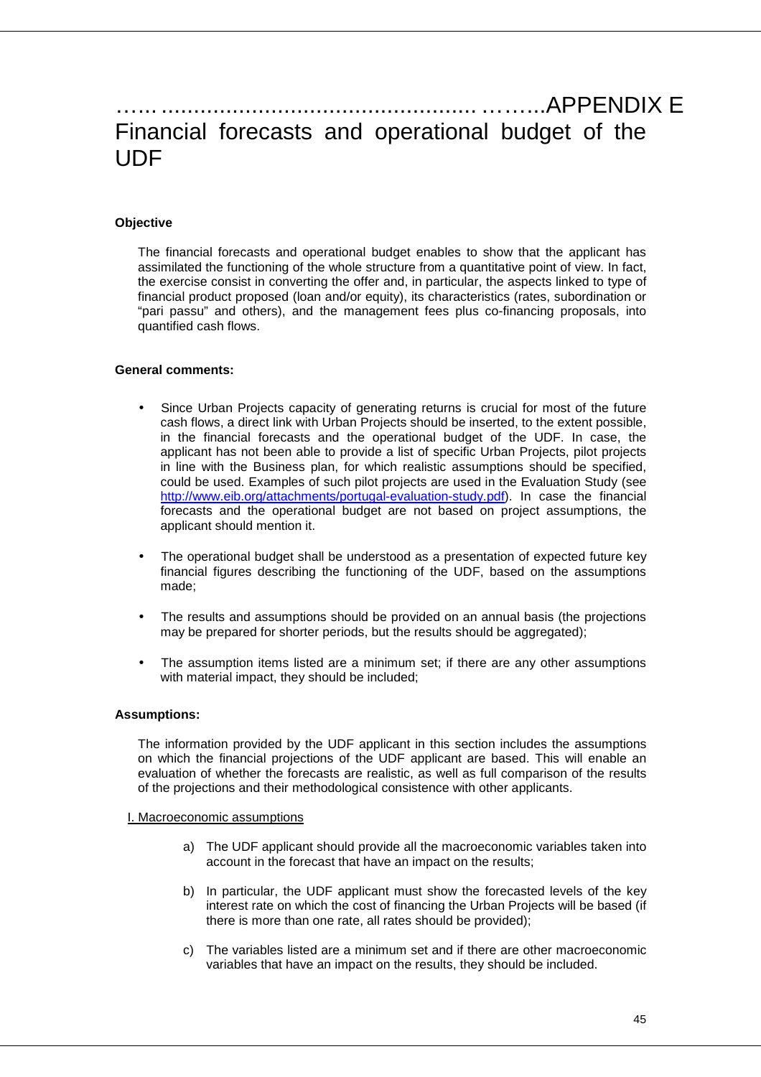# …... ................................................. ……...APPENDIX E Financial forecasts and operational budget of the **UDF**

#### **Objective**

The financial forecasts and operational budget enables to show that the applicant has assimilated the functioning of the whole structure from a quantitative point of view. In fact, the exercise consist in converting the offer and, in particular, the aspects linked to type of financial product proposed (loan and/or equity), its characteristics (rates, subordination or "pari passu" and others), and the management fees plus co-financing proposals, into quantified cash flows.

#### **General comments:**

- Since Urban Projects capacity of generating returns is crucial for most of the future cash flows, a direct link with Urban Projects should be inserted, to the extent possible, in the financial forecasts and the operational budget of the UDF. In case, the applicant has not been able to provide a list of specific Urban Projects, pilot projects in line with the Business plan, for which realistic assumptions should be specified, could be used. Examples of such pilot projects are used in the Evaluation Study (see http://www.eib.org/attachments/portugal-evaluation-study.pdf). In case the financial forecasts and the operational budget are not based on project assumptions, the applicant should mention it.
- The operational budget shall be understood as a presentation of expected future key financial figures describing the functioning of the UDF, based on the assumptions made;
- The results and assumptions should be provided on an annual basis (the projections may be prepared for shorter periods, but the results should be aggregated);
- The assumption items listed are a minimum set; if there are any other assumptions with material impact, they should be included;

#### **Assumptions:**

The information provided by the UDF applicant in this section includes the assumptions on which the financial projections of the UDF applicant are based. This will enable an evaluation of whether the forecasts are realistic, as well as full comparison of the results of the projections and their methodological consistence with other applicants.

I. Macroeconomic assumptions

- a) The UDF applicant should provide all the macroeconomic variables taken into account in the forecast that have an impact on the results;
- b) In particular, the UDF applicant must show the forecasted levels of the key interest rate on which the cost of financing the Urban Projects will be based (if there is more than one rate, all rates should be provided);
- c) The variables listed are a minimum set and if there are other macroeconomic variables that have an impact on the results, they should be included.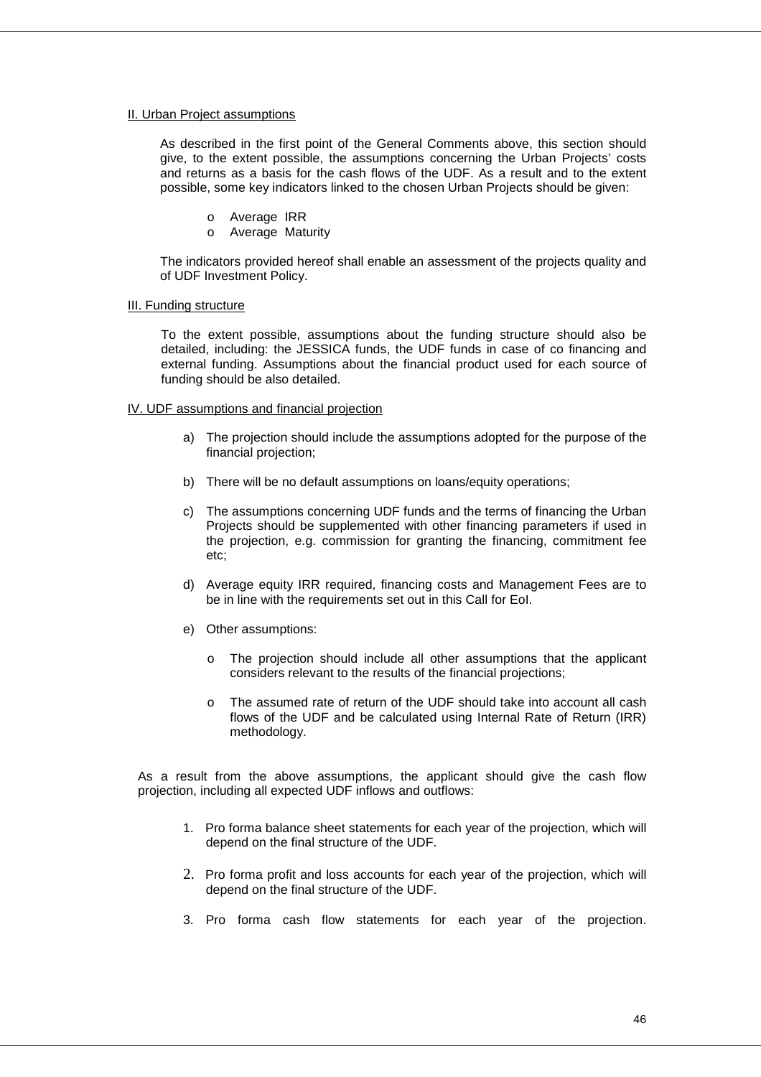#### II. Urban Project assumptions

As described in the first point of the General Comments above, this section should give, to the extent possible, the assumptions concerning the Urban Projects' costs and returns as a basis for the cash flows of the UDF. As a result and to the extent possible, some key indicators linked to the chosen Urban Projects should be given:

- o Average IRR
- o Average Maturity

The indicators provided hereof shall enable an assessment of the projects quality and of UDF Investment Policy.

#### III. Funding structure

To the extent possible, assumptions about the funding structure should also be detailed, including: the JESSICA funds, the UDF funds in case of co financing and external funding. Assumptions about the financial product used for each source of funding should be also detailed.

#### IV. UDF assumptions and financial projection

- a) The projection should include the assumptions adopted for the purpose of the financial projection;
- b) There will be no default assumptions on loans/equity operations;
- c) The assumptions concerning UDF funds and the terms of financing the Urban Projects should be supplemented with other financing parameters if used in the projection, e.g. commission for granting the financing, commitment fee etc;
- d) Average equity IRR required, financing costs and Management Fees are to be in line with the requirements set out in this Call for EoI.
- e) Other assumptions:
	- o The projection should include all other assumptions that the applicant considers relevant to the results of the financial projections;
	- o The assumed rate of return of the UDF should take into account all cash flows of the UDF and be calculated using Internal Rate of Return (IRR) methodology.

As a result from the above assumptions, the applicant should give the cash flow projection, including all expected UDF inflows and outflows:

- 1. Pro forma balance sheet statements for each year of the projection, which will depend on the final structure of the UDF.
- 2. Pro forma profit and loss accounts for each year of the projection, which will depend on the final structure of the UDF.
- 3. Pro forma cash flow statements for each year of the projection.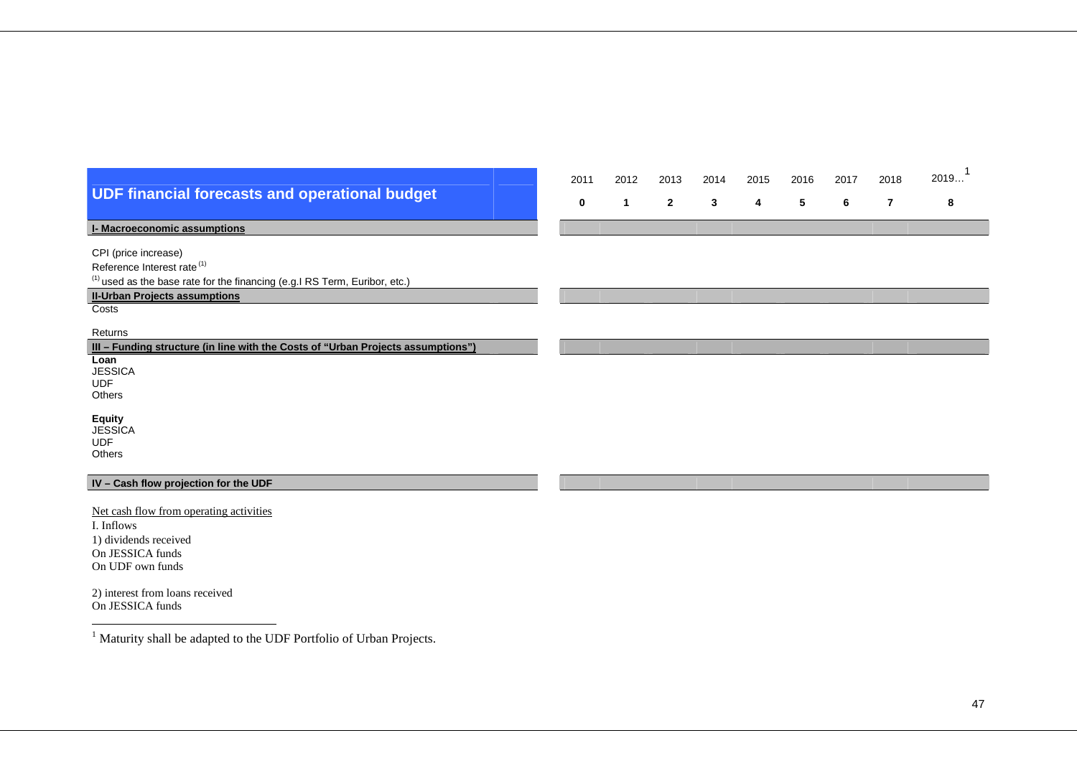|                                                                                        | 2011 | 2012         | 2013           | 2014 | 2015 | 2016 | 2017 | 2018 | 2019 |
|----------------------------------------------------------------------------------------|------|--------------|----------------|------|------|------|------|------|------|
| <b>UDF financial forecasts and operational budget</b>                                  | 0    | $\mathbf{1}$ | $\overline{2}$ | 3    | 4    | 5    | 6    | 7    | 8    |
|                                                                                        |      |              |                |      |      |      |      |      |      |
| <b>I- Macroeconomic assumptions</b>                                                    |      |              |                |      |      |      |      |      |      |
| CPI (price increase)                                                                   |      |              |                |      |      |      |      |      |      |
| Reference Interest rate <sup>(1)</sup>                                                 |      |              |                |      |      |      |      |      |      |
| <sup>(1)</sup> used as the base rate for the financing (e.g. I RS Term, Euribor, etc.) |      |              |                |      |      |      |      |      |      |
| <b>II-Urban Projects assumptions</b>                                                   |      |              |                |      |      |      |      |      |      |
| Costs                                                                                  |      |              |                |      |      |      |      |      |      |
| Returns                                                                                |      |              |                |      |      |      |      |      |      |
| III - Funding structure (in line with the Costs of "Urban Projects assumptions")       |      |              |                |      |      |      |      |      |      |
| Loan                                                                                   |      |              |                |      |      |      |      |      |      |
| <b>JESSICA</b><br><b>UDF</b>                                                           |      |              |                |      |      |      |      |      |      |
| Others                                                                                 |      |              |                |      |      |      |      |      |      |
|                                                                                        |      |              |                |      |      |      |      |      |      |
| <b>Equity</b><br><b>JESSICA</b>                                                        |      |              |                |      |      |      |      |      |      |
| <b>UDF</b>                                                                             |      |              |                |      |      |      |      |      |      |
| Others                                                                                 |      |              |                |      |      |      |      |      |      |
| IV - Cash flow projection for the UDF                                                  |      |              |                |      |      |      |      |      |      |
|                                                                                        |      |              |                |      |      |      |      |      |      |
| Net cash flow from operating activities                                                |      |              |                |      |      |      |      |      |      |
| I. Inflows                                                                             |      |              |                |      |      |      |      |      |      |
| 1) dividends received                                                                  |      |              |                |      |      |      |      |      |      |
| On JESSICA funds                                                                       |      |              |                |      |      |      |      |      |      |
| On UDF own funds                                                                       |      |              |                |      |      |      |      |      |      |

2) interest from loans received On JESSICA funds

 $^{\mathrm{1}}$  Maturity shall be adapted to the UDF Portfolio of Urban Projects.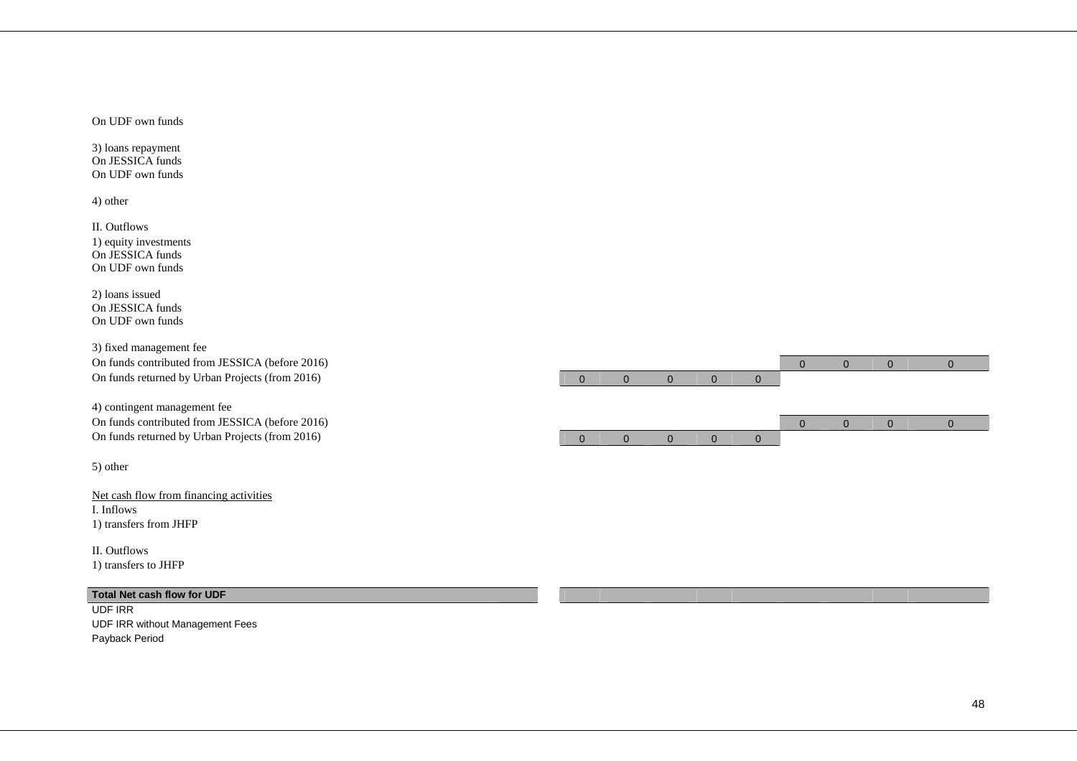On UDF own funds

3) loans repayment On JESSICA funds On UDF own funds

4) other

II. Outflows 1) equity investments On JESSICA funds On UDF own funds

2) loans issued On JESSICA funds On UDF own funds

3) fixed management fee On funds returned by Urban Projects (from 2016)

4) contingent management fee On funds contributed from JESSICA (before 2016) 0 0 0 0 On funds returned by Urban Projects (from 2016) 0 0 0 0 0

5) other

Net cash flow from financing activities I. Inflows 1) transfers from JHFP

II. Outflows 1) transfers to JHFP

#### **Total Net cash flow for UDF**

UDF IRR UDF IRR without Management Fees Payback Period

48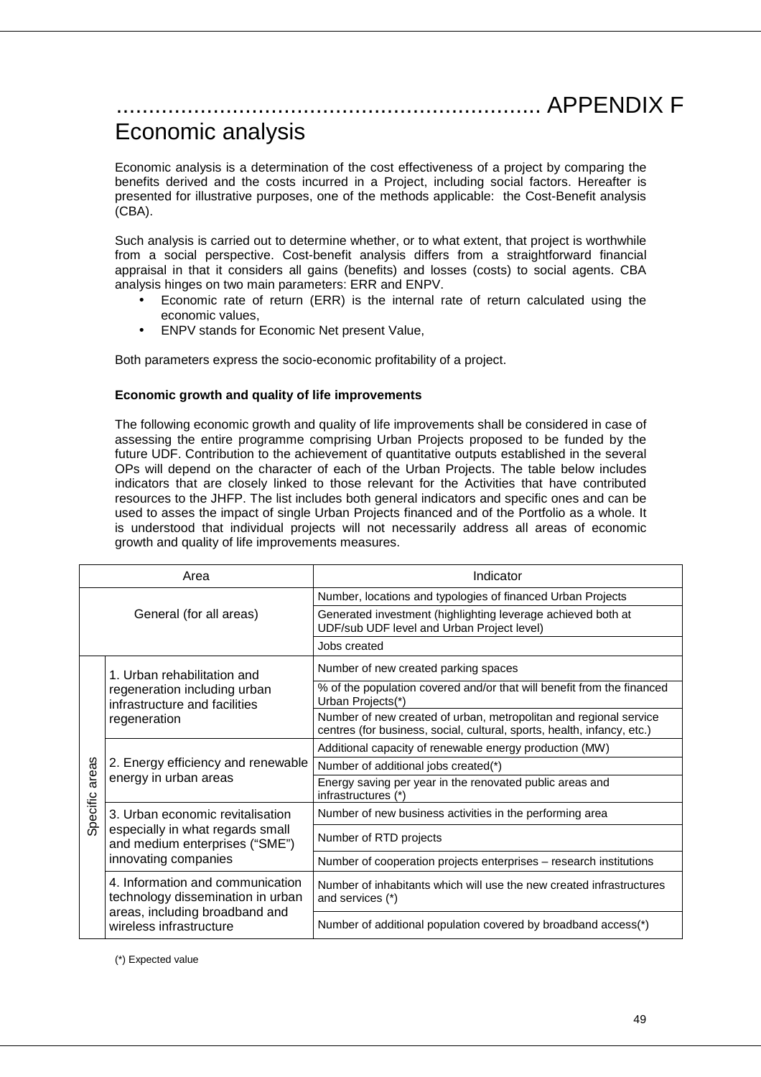# .................................................................. APPENDIX F

# Economic analysis

Economic analysis is a determination of the cost effectiveness of a project by comparing the benefits derived and the costs incurred in a Project, including social factors. Hereafter is presented for illustrative purposes, one of the methods applicable: the Cost-Benefit analysis (CBA).

Such analysis is carried out to determine whether, or to what extent, that project is worthwhile from a social perspective. Cost-benefit analysis differs from a straightforward financial appraisal in that it considers all gains (benefits) and losses (costs) to social agents. CBA analysis hinges on two main parameters: ERR and ENPV.

- Economic rate of return (ERR) is the internal rate of return calculated using the economic values,
- ENPV stands for Economic Net present Value,

Both parameters express the socio-economic profitability of a project.

#### **Economic growth and quality of life improvements**

The following economic growth and quality of life improvements shall be considered in case of assessing the entire programme comprising Urban Projects proposed to be funded by the future UDF. Contribution to the achievement of quantitative outputs established in the several OPs will depend on the character of each of the Urban Projects. The table below includes indicators that are closely linked to those relevant for the Activities that have contributed resources to the JHFP. The list includes both general indicators and specific ones and can be used to asses the impact of single Urban Projects financed and of the Portfolio as a whole. It is understood that individual projects will not necessarily address all areas of economic growth and quality of life improvements measures.

|          | Area                                                                  | Indicator                                                                                                                                    |  |  |  |  |  |
|----------|-----------------------------------------------------------------------|----------------------------------------------------------------------------------------------------------------------------------------------|--|--|--|--|--|
|          |                                                                       | Number, locations and typologies of financed Urban Projects                                                                                  |  |  |  |  |  |
|          | General (for all areas)                                               | Generated investment (highlighting leverage achieved both at<br>UDF/sub UDF level and Urban Project level)                                   |  |  |  |  |  |
|          |                                                                       | Jobs created                                                                                                                                 |  |  |  |  |  |
|          | 1. Urban rehabilitation and                                           | Number of new created parking spaces                                                                                                         |  |  |  |  |  |
|          | regeneration including urban<br>infrastructure and facilities         | % of the population covered and/or that will benefit from the financed<br>Urban Projects(*)                                                  |  |  |  |  |  |
|          | regeneration                                                          | Number of new created of urban, metropolitan and regional service<br>centres (for business, social, cultural, sports, health, infancy, etc.) |  |  |  |  |  |
|          |                                                                       | Additional capacity of renewable energy production (MW)                                                                                      |  |  |  |  |  |
| areas    | 2. Energy efficiency and renewable                                    | Number of additional jobs created(*)                                                                                                         |  |  |  |  |  |
|          | energy in urban areas                                                 | Energy saving per year in the renovated public areas and<br>infrastructures (*)                                                              |  |  |  |  |  |
| Specific | 3. Urban economic revitalisation                                      | Number of new business activities in the performing area                                                                                     |  |  |  |  |  |
|          | especially in what regards small<br>and medium enterprises ("SME")    | Number of RTD projects                                                                                                                       |  |  |  |  |  |
|          | innovating companies                                                  | Number of cooperation projects enterprises – research institutions                                                                           |  |  |  |  |  |
|          | 4. Information and communication<br>technology dissemination in urban | Number of inhabitants which will use the new created infrastructures<br>and services (*)                                                     |  |  |  |  |  |
|          | areas, including broadband and<br>wireless infrastructure             | Number of additional population covered by broadband access(*)                                                                               |  |  |  |  |  |

(\*) Expected value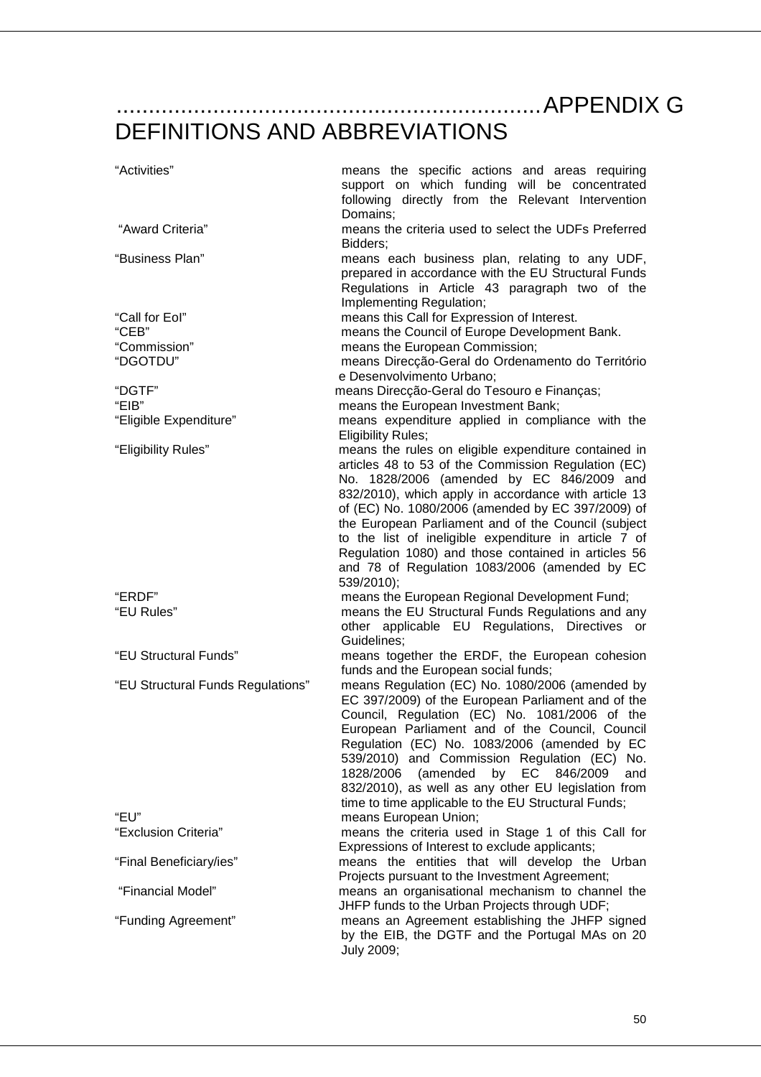..................................................................APPENDIX G

# DEFINITIONS AND ABBREVIATIONS

| "Activities"                              | means the specific actions and areas requiring<br>support on which funding will be concentrated<br>following directly from the Relevant Intervention                                                                                                                                                                                                                                                                                                                      |
|-------------------------------------------|---------------------------------------------------------------------------------------------------------------------------------------------------------------------------------------------------------------------------------------------------------------------------------------------------------------------------------------------------------------------------------------------------------------------------------------------------------------------------|
| "Award Criteria"                          | Domains;<br>means the criteria used to select the UDFs Preferred                                                                                                                                                                                                                                                                                                                                                                                                          |
| "Business Plan"                           | Bidders;<br>means each business plan, relating to any UDF,<br>prepared in accordance with the EU Structural Funds<br>Regulations in Article 43 paragraph two of the<br>Implementing Regulation;                                                                                                                                                                                                                                                                           |
| "Call for Eol"<br>"CEB"<br>"Commission"   | means this Call for Expression of Interest.<br>means the Council of Europe Development Bank.<br>means the European Commission;                                                                                                                                                                                                                                                                                                                                            |
| "DGOTDU"                                  | means Direcção-Geral do Ordenamento do Território<br>e Desenvolvimento Urbano;                                                                                                                                                                                                                                                                                                                                                                                            |
| "DGTF"<br>"EIB"<br>"Eligible Expenditure" | means Direcção-Geral do Tesouro e Finanças;<br>means the European Investment Bank;<br>means expenditure applied in compliance with the                                                                                                                                                                                                                                                                                                                                    |
|                                           | <b>Eligibility Rules:</b><br>means the rules on eligible expenditure contained in                                                                                                                                                                                                                                                                                                                                                                                         |
| "Eligibility Rules"                       | articles 48 to 53 of the Commission Regulation (EC)<br>No. 1828/2006 (amended by EC 846/2009 and<br>832/2010), which apply in accordance with article 13<br>of (EC) No. 1080/2006 (amended by EC 397/2009) of<br>the European Parliament and of the Council (subject<br>to the list of ineligible expenditure in article 7 of<br>Regulation 1080) and those contained in articles 56<br>and 78 of Regulation 1083/2006 (amended by EC<br>539/2010);                       |
| "ERDF"<br>"EU Rules"                      | means the European Regional Development Fund;<br>means the EU Structural Funds Regulations and any                                                                                                                                                                                                                                                                                                                                                                        |
|                                           | other applicable EU Regulations, Directives or<br>Guidelines:                                                                                                                                                                                                                                                                                                                                                                                                             |
| "EU Structural Funds"                     | means together the ERDF, the European cohesion<br>funds and the European social funds;                                                                                                                                                                                                                                                                                                                                                                                    |
| "EU Structural Funds Regulations"         | means Regulation (EC) No. 1080/2006 (amended by<br>EC 397/2009) of the European Parliament and of the<br>Council, Regulation (EC) No. 1081/2006 of the<br>European Parliament and of the Council, Council<br>Regulation (EC) No. 1083/2006 (amended by EC<br>539/2010) and Commission Regulation (EC) No.<br>(amended<br>by EC 846/2009<br>1828/2006<br>and<br>832/2010), as well as any other EU legislation from<br>time to time applicable to the EU Structural Funds; |
| "EU"<br>"Exclusion Criteria"              | means European Union;<br>means the criteria used in Stage 1 of this Call for                                                                                                                                                                                                                                                                                                                                                                                              |
| "Final Beneficiary/ies"                   | Expressions of Interest to exclude applicants;<br>means the entities that will develop the Urban                                                                                                                                                                                                                                                                                                                                                                          |
| "Financial Model"                         | Projects pursuant to the Investment Agreement;<br>means an organisational mechanism to channel the                                                                                                                                                                                                                                                                                                                                                                        |
| "Funding Agreement"                       | JHFP funds to the Urban Projects through UDF;<br>means an Agreement establishing the JHFP signed<br>by the EIB, the DGTF and the Portugal MAs on 20<br>July 2009;                                                                                                                                                                                                                                                                                                         |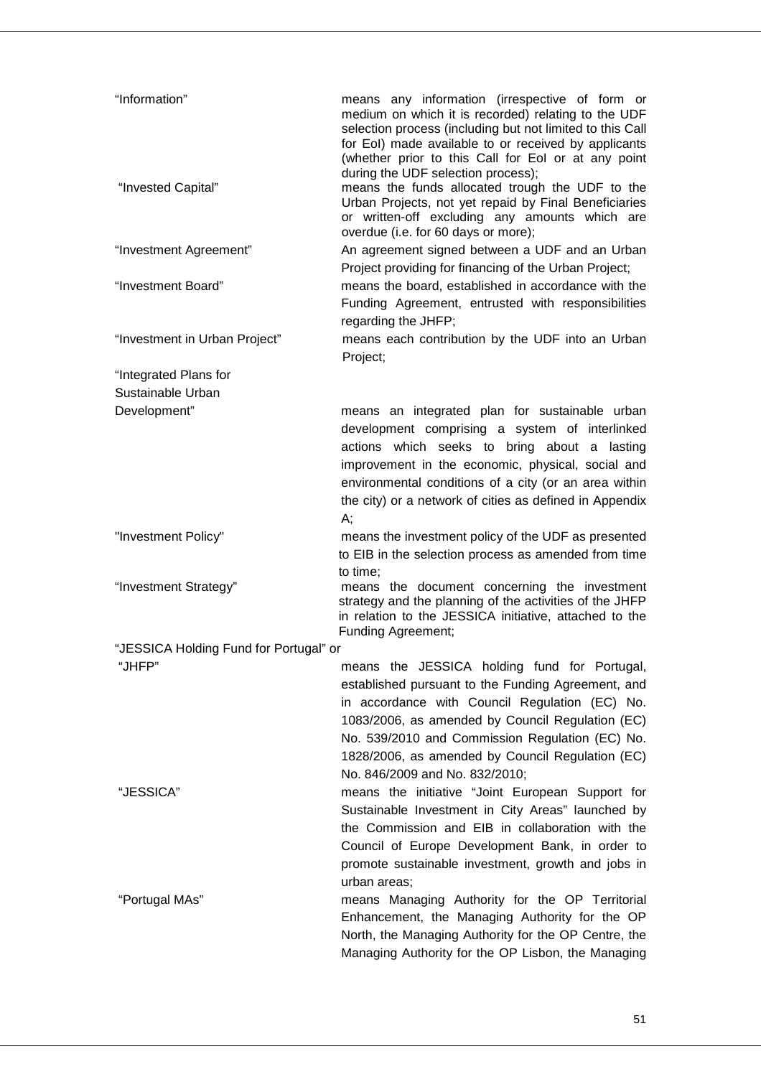| "Information"                              | means any information (irrespective of form or<br>medium on which it is recorded) relating to the UDF<br>selection process (including but not limited to this Call<br>for EoI) made available to or received by applicants<br>(whether prior to this Call for Eol or at any point                                                                 |
|--------------------------------------------|---------------------------------------------------------------------------------------------------------------------------------------------------------------------------------------------------------------------------------------------------------------------------------------------------------------------------------------------------|
| "Invested Capital"                         | during the UDF selection process);<br>means the funds allocated trough the UDF to the<br>Urban Projects, not yet repaid by Final Beneficiaries<br>or written-off excluding any amounts which are<br>overdue (i.e. for 60 days or more);                                                                                                           |
| "Investment Agreement"                     | An agreement signed between a UDF and an Urban<br>Project providing for financing of the Urban Project;                                                                                                                                                                                                                                           |
| "Investment Board"                         | means the board, established in accordance with the<br>Funding Agreement, entrusted with responsibilities<br>regarding the JHFP;                                                                                                                                                                                                                  |
| "Investment in Urban Project"              | means each contribution by the UDF into an Urban<br>Project;                                                                                                                                                                                                                                                                                      |
| "Integrated Plans for<br>Sustainable Urban |                                                                                                                                                                                                                                                                                                                                                   |
| Development"                               | means an integrated plan for sustainable urban<br>development comprising a system of interlinked<br>actions which seeks to bring about a lasting<br>improvement in the economic, physical, social and<br>environmental conditions of a city (or an area within<br>the city) or a network of cities as defined in Appendix<br>А;                   |
| "Investment Policy"                        | means the investment policy of the UDF as presented<br>to EIB in the selection process as amended from time                                                                                                                                                                                                                                       |
| "Investment Strategy"                      | to time;<br>means the document concerning the investment<br>strategy and the planning of the activities of the JHFP<br>in relation to the JESSICA initiative, attached to the<br><b>Funding Agreement;</b>                                                                                                                                        |
| "JESSICA Holding Fund for Portugal" or     |                                                                                                                                                                                                                                                                                                                                                   |
| "JHFP"                                     | means the JESSICA holding fund for Portugal,<br>established pursuant to the Funding Agreement, and<br>in accordance with Council Regulation (EC) No.<br>1083/2006, as amended by Council Regulation (EC)<br>No. 539/2010 and Commission Regulation (EC) No.<br>1828/2006, as amended by Council Regulation (EC)<br>No. 846/2009 and No. 832/2010; |
| "JESSICA"                                  | means the initiative "Joint European Support for<br>Sustainable Investment in City Areas" launched by<br>the Commission and EIB in collaboration with the<br>Council of Europe Development Bank, in order to<br>promote sustainable investment, growth and jobs in<br>urban areas;                                                                |
| "Portugal MAs"                             | means Managing Authority for the OP Territorial<br>Enhancement, the Managing Authority for the OP<br>North, the Managing Authority for the OP Centre, the<br>Managing Authority for the OP Lisbon, the Managing                                                                                                                                   |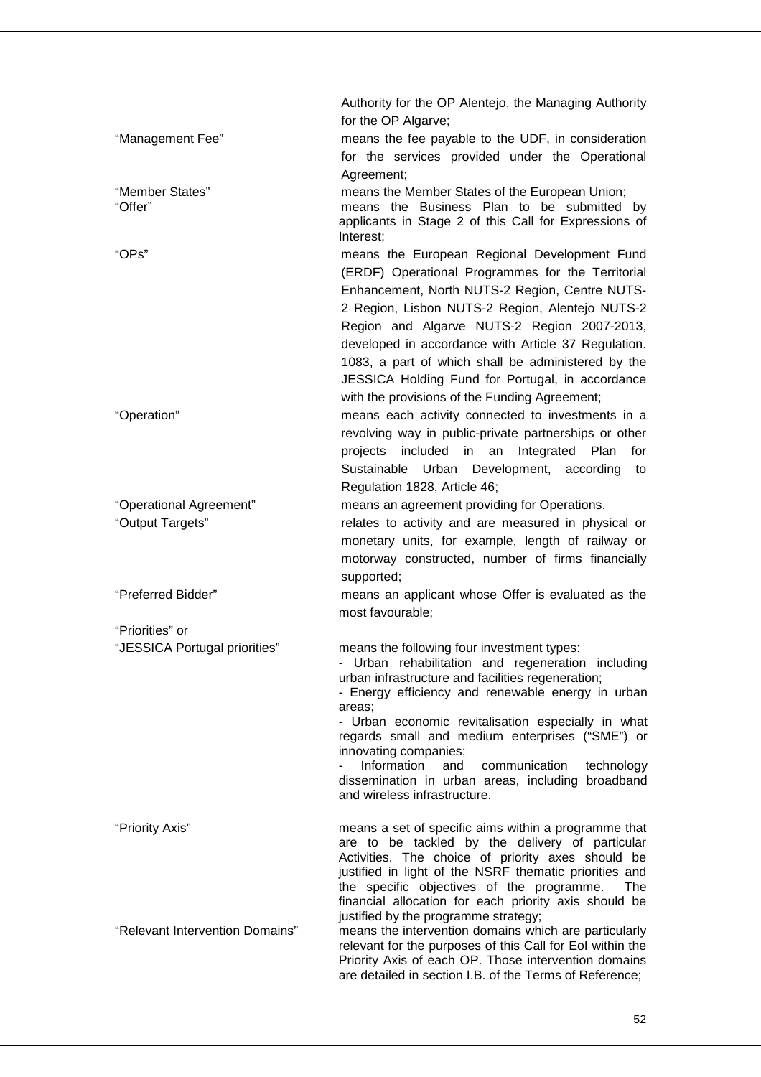|                                 | Authority for the OP Alentejo, the Managing Authority                                                            |
|---------------------------------|------------------------------------------------------------------------------------------------------------------|
|                                 | for the OP Algarve;                                                                                              |
| "Management Fee"                | means the fee payable to the UDF, in consideration                                                               |
|                                 | for the services provided under the Operational                                                                  |
|                                 | Agreement;                                                                                                       |
| "Member States"                 | means the Member States of the European Union;                                                                   |
| "Offer"                         | means the Business Plan to be submitted by                                                                       |
|                                 | applicants in Stage 2 of this Call for Expressions of                                                            |
|                                 | Interest;                                                                                                        |
| "OPs"                           | means the European Regional Development Fund                                                                     |
|                                 | (ERDF) Operational Programmes for the Territorial                                                                |
|                                 | Enhancement, North NUTS-2 Region, Centre NUTS-                                                                   |
|                                 | 2 Region, Lisbon NUTS-2 Region, Alentejo NUTS-2                                                                  |
|                                 | Region and Algarve NUTS-2 Region 2007-2013,                                                                      |
|                                 | developed in accordance with Article 37 Regulation.                                                              |
|                                 | 1083, a part of which shall be administered by the                                                               |
|                                 | JESSICA Holding Fund for Portugal, in accordance                                                                 |
|                                 | with the provisions of the Funding Agreement;                                                                    |
| "Operation"                     | means each activity connected to investments in a                                                                |
|                                 | revolving way in public-private partnerships or other                                                            |
|                                 | included in an<br>Integrated Plan<br>projects<br>for                                                             |
|                                 | Sustainable Urban Development, according<br>to                                                                   |
|                                 | Regulation 1828, Article 46;                                                                                     |
| "Operational Agreement"         | means an agreement providing for Operations.                                                                     |
| "Output Targets"                | relates to activity and are measured in physical or                                                              |
|                                 | monetary units, for example, length of railway or                                                                |
|                                 |                                                                                                                  |
|                                 | motorway constructed, number of firms financially                                                                |
|                                 | supported;                                                                                                       |
| "Preferred Bidder"              | means an applicant whose Offer is evaluated as the                                                               |
|                                 | most favourable;                                                                                                 |
| "Priorities" or                 |                                                                                                                  |
| "JESSICA Portugal priorities"   | means the following four investment types:                                                                       |
|                                 | - Urban rehabilitation and regeneration including                                                                |
|                                 | urban infrastructure and facilities regeneration;<br>- Energy efficiency and renewable energy in urban           |
|                                 | areas:                                                                                                           |
|                                 | - Urban economic revitalisation especially in what                                                               |
|                                 | regards small and medium enterprises ("SME") or                                                                  |
|                                 | innovating companies;                                                                                            |
|                                 | Information<br>and<br>communication<br>technology<br>dissemination in urban areas, including<br>broadband        |
|                                 | and wireless infrastructure.                                                                                     |
|                                 |                                                                                                                  |
| "Priority Axis"                 | means a set of specific aims within a programme that                                                             |
|                                 | are to be tackled by the delivery of particular                                                                  |
|                                 | Activities. The choice of priority axes should be                                                                |
|                                 | justified in light of the NSRF thematic priorities and                                                           |
|                                 | the specific objectives of the programme.<br><b>The</b><br>financial allocation for each priority axis should be |
|                                 | justified by the programme strategy;                                                                             |
| "Relevant Intervention Domains" | means the intervention domains which are particularly                                                            |
|                                 | relevant for the purposes of this Call for Eol within the                                                        |
|                                 | Priority Axis of each OP. Those intervention domains                                                             |
|                                 | are detailed in section I.B. of the Terms of Reference;                                                          |